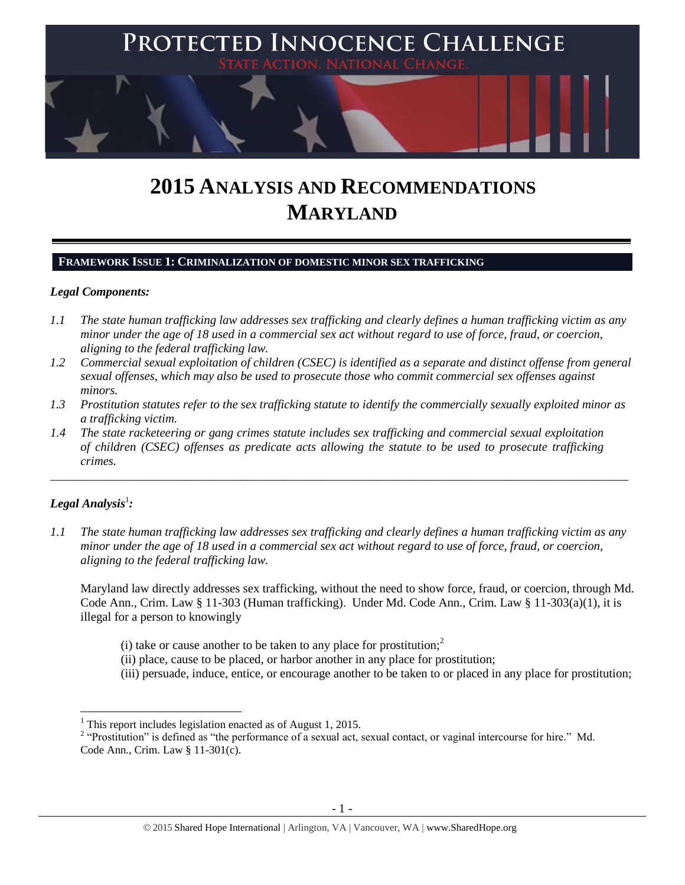

# **2015 ANALYSIS AND RECOMMENDATIONS MARYLAND**

## **FRAMEWORK ISSUE 1: CRIMINALIZATION OF DOMESTIC MINOR SEX TRAFFICKING**

# *Legal Components:*

- *1.1 The state human trafficking law addresses sex trafficking and clearly defines a human trafficking victim as any minor under the age of 18 used in a commercial sex act without regard to use of force, fraud, or coercion, aligning to the federal trafficking law.*
- *1.2 Commercial sexual exploitation of children (CSEC) is identified as a separate and distinct offense from general sexual offenses, which may also be used to prosecute those who commit commercial sex offenses against minors.*
- *1.3 Prostitution statutes refer to the sex trafficking statute to identify the commercially sexually exploited minor as a trafficking victim.*

\_\_\_\_\_\_\_\_\_\_\_\_\_\_\_\_\_\_\_\_\_\_\_\_\_\_\_\_\_\_\_\_\_\_\_\_\_\_\_\_\_\_\_\_\_\_\_\_\_\_\_\_\_\_\_\_\_\_\_\_\_\_\_\_\_\_\_\_\_\_\_\_\_\_\_\_\_\_\_\_\_\_\_\_\_\_\_\_\_\_\_\_\_\_

*1.4 The state racketeering or gang crimes statute includes sex trafficking and commercial sexual exploitation of children (CSEC) offenses as predicate acts allowing the statute to be used to prosecute trafficking crimes.* 

# $\bm{L}$ egal Analysis $^1$ :

 $\overline{\phantom{a}}$ 

*1.1 The state human trafficking law addresses sex trafficking and clearly defines a human trafficking victim as any minor under the age of 18 used in a commercial sex act without regard to use of force, fraud, or coercion, aligning to the federal trafficking law.*

Maryland law directly addresses sex trafficking, without the need to show force, fraud, or coercion, through Md. Code Ann., Crim. Law § 11-303 (Human trafficking). Under Md. Code Ann., Crim. Law § 11-303(a)(1), it is illegal for a person to knowingly

- (i) take or cause another to be taken to any place for prostitution;<sup>2</sup>
- (ii) place, cause to be placed, or harbor another in any place for prostitution;
- (iii) persuade, induce, entice, or encourage another to be taken to or placed in any place for prostitution;

 $<sup>1</sup>$  This report includes legislation enacted as of August 1, 2015.</sup>

<sup>&</sup>lt;sup>2</sup> "Prostitution" is defined as "the performance of a sexual act, sexual contact, or vaginal intercourse for hire." Md. Code Ann., Crim. Law § 11-301(c).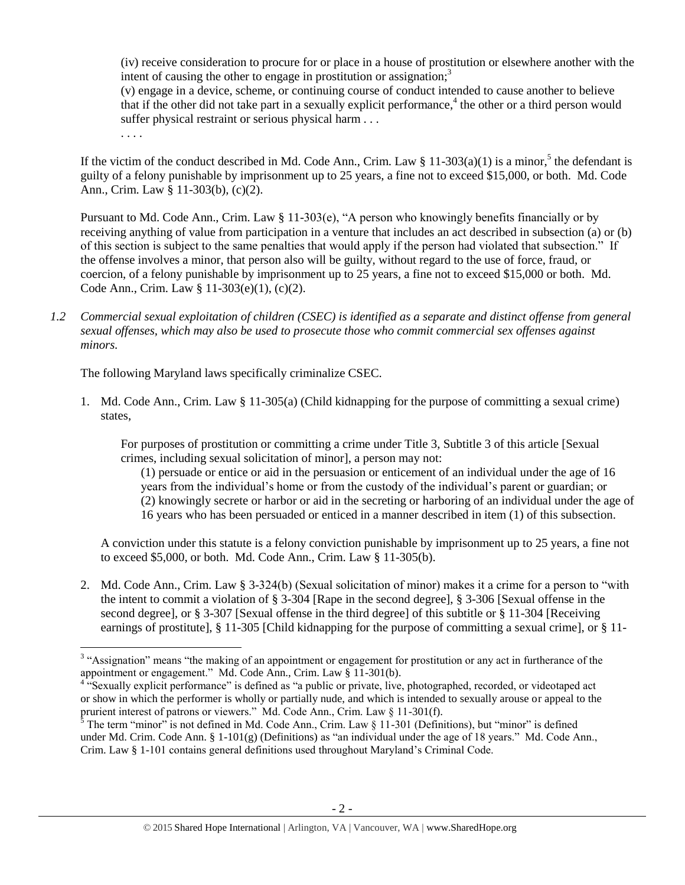<span id="page-1-0"></span>(iv) receive consideration to procure for or place in a house of prostitution or elsewhere another with the intent of causing the other to engage in prostitution or assignation:<sup>3</sup>

(v) engage in a device, scheme, or continuing course of conduct intended to cause another to believe that if the other did not take part in a sexually explicit performance,<sup>4</sup> the other or a third person would suffer physical restraint or serious physical harm . . .

<span id="page-1-1"></span>. . . .

If the victim of the conduct described in Md. Code Ann., Crim. Law  $\S 11-303(a)(1)$  is a minor,<sup>5</sup> the defendant is guilty of a felony punishable by imprisonment up to 25 years, a fine not to exceed \$15,000, or both. Md. Code Ann., Crim. Law § 11-303(b), (c)(2).

Pursuant to Md. Code Ann., Crim. Law § 11-303(e), "A person who knowingly benefits financially or by receiving anything of value from participation in a venture that includes an act described in subsection (a) or (b) of this section is subject to the same penalties that would apply if the person had violated that subsection." If the offense involves a minor, that person also will be guilty, without regard to the use of force, fraud, or coercion, of a felony punishable by imprisonment up to 25 years, a fine not to exceed \$15,000 or both. Md. Code Ann., Crim. Law § 11-303(e)(1), (c)(2).

*1.2 Commercial sexual exploitation of children (CSEC) is identified as a separate and distinct offense from general sexual offenses, which may also be used to prosecute those who commit commercial sex offenses against minors.*

The following Maryland laws specifically criminalize CSEC.

1. Md. Code Ann., Crim. Law § 11-305(a) (Child kidnapping for the purpose of committing a sexual crime) states,

For purposes of prostitution or committing a crime under Title 3, Subtitle 3 of this article [Sexual crimes, including sexual solicitation of minor], a person may not:

(1) persuade or entice or aid in the persuasion or enticement of an individual under the age of 16 years from the individual's home or from the custody of the individual's parent or guardian; or (2) knowingly secrete or harbor or aid in the secreting or harboring of an individual under the age of 16 years who has been persuaded or enticed in a manner described in item (1) of this subsection.

A conviction under this statute is a felony conviction punishable by imprisonment up to 25 years, a fine not to exceed \$5,000, or both. Md. Code Ann., Crim. Law § 11-305(b).

2. Md. Code Ann., Crim. Law § 3-324(b) (Sexual solicitation of minor) makes it a crime for a person to "with the intent to commit a violation of § 3-304 [Rape in the second degree], § 3-306 [Sexual offense in the second degree], or § 3-307 [Sexual offense in the third degree] of this subtitle or § 11-304 [Receiving earnings of prostitute], § 11-305 [Child kidnapping for the purpose of committing a sexual crime], or § 11-

<sup>&</sup>lt;sup>3</sup> "Assignation" means "the making of an appointment or engagement for prostitution or any act in furtherance of the appointment or engagement." Md. Code Ann., Crim. Law § 11-301(b).

<sup>&</sup>lt;sup>4 "S</sup>exually explicit performance" is defined as "a public or private, live, photographed, recorded, or videotaped act or show in which the performer is wholly or partially nude, and which is intended to sexually arouse or appeal to the prurient interest of patrons or viewers." Md. Code Ann., Crim. Law § 11-301(f).

<sup>&</sup>lt;sup>5</sup> The term "minor" is not defined in Md. Code Ann., Crim. Law  $\S$  11-301 (Definitions), but "minor" is defined under Md. Crim. Code Ann. §  $1-101(g)$  (Definitions) as "an individual under the age of 18 years." Md. Code Ann., Crim. Law § 1-101 contains general definitions used throughout Maryland's Criminal Code.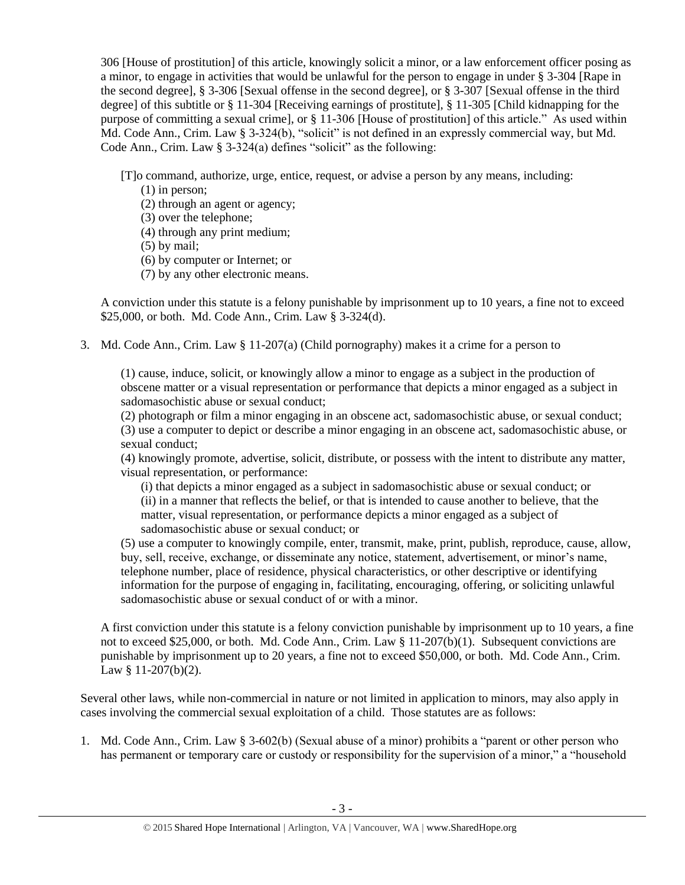306 [House of prostitution] of this article, knowingly solicit a minor, or a law enforcement officer posing as a minor, to engage in activities that would be unlawful for the person to engage in under § 3-304 [Rape in the second degree], § 3-306 [Sexual offense in the second degree], or § 3-307 [Sexual offense in the third degree] of this subtitle or § 11-304 [Receiving earnings of prostitute], § 11-305 [Child kidnapping for the purpose of committing a sexual crime], or § 11-306 [House of prostitution] of this article." As used within Md. Code Ann., Crim. Law § 3-324(b), "solicit" is not defined in an expressly commercial way, but Md. Code Ann., Crim. Law § 3-324(a) defines "solicit" as the following:

[T]o command, authorize, urge, entice, request, or advise a person by any means, including:

- (1) in person;
- (2) through an agent or agency;
- (3) over the telephone;
- (4) through any print medium;
- (5) by mail;
- (6) by computer or Internet; or
- (7) by any other electronic means.

A conviction under this statute is a felony punishable by imprisonment up to 10 years, a fine not to exceed \$25,000, or both. Md. Code Ann., Crim. Law § 3-324(d).

3. Md. Code Ann., Crim. Law § 11-207(a) (Child pornography) makes it a crime for a person to

(1) cause, induce, solicit, or knowingly allow a minor to engage as a subject in the production of obscene matter or a visual representation or performance that depicts a minor engaged as a subject in sadomasochistic abuse or sexual conduct;

(2) photograph or film a minor engaging in an obscene act, sadomasochistic abuse, or sexual conduct; (3) use a computer to depict or describe a minor engaging in an obscene act, sadomasochistic abuse, or sexual conduct;

(4) knowingly promote, advertise, solicit, distribute, or possess with the intent to distribute any matter, visual representation, or performance:

(i) that depicts a minor engaged as a subject in sadomasochistic abuse or sexual conduct; or (ii) in a manner that reflects the belief, or that is intended to cause another to believe, that the matter, visual representation, or performance depicts a minor engaged as a subject of sadomasochistic abuse or sexual conduct; or

(5) use a computer to knowingly compile, enter, transmit, make, print, publish, reproduce, cause, allow, buy, sell, receive, exchange, or disseminate any notice, statement, advertisement, or minor's name, telephone number, place of residence, physical characteristics, or other descriptive or identifying information for the purpose of engaging in, facilitating, encouraging, offering, or soliciting unlawful sadomasochistic abuse or sexual conduct of or with a minor.

A first conviction under this statute is a felony conviction punishable by imprisonment up to 10 years, a fine not to exceed \$25,000, or both. Md. Code Ann., Crim. Law § 11-207(b)(1). Subsequent convictions are punishable by imprisonment up to 20 years, a fine not to exceed \$50,000, or both. Md. Code Ann., Crim. Law § 11-207(b)(2).

Several other laws, while non-commercial in nature or not limited in application to minors, may also apply in cases involving the commercial sexual exploitation of a child. Those statutes are as follows:

1. Md. Code Ann., Crim. Law § 3-602(b) (Sexual abuse of a minor) prohibits a "parent or other person who has permanent or temporary care or custody or responsibility for the supervision of a minor," a "household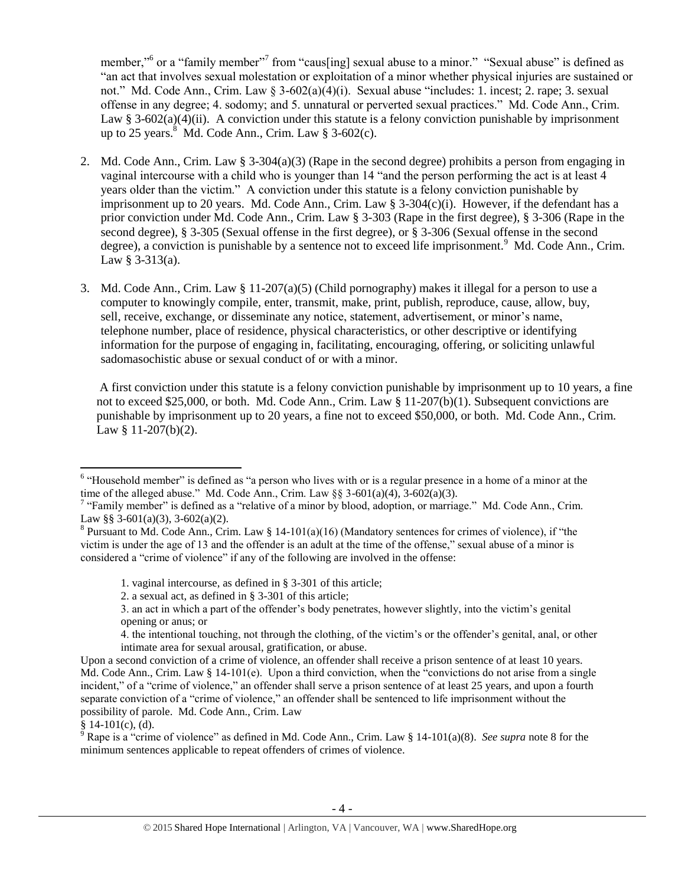member,"<sup>6</sup> or a "family member"<sup>7</sup> from "caus[ing] sexual abuse to a minor." "Sexual abuse" is defined as "an act that involves sexual molestation or exploitation of a minor whether physical injuries are sustained or not." Md. Code Ann., Crim. Law § 3-602(a)(4)(i). Sexual abuse "includes: 1. incest; 2. rape; 3. sexual offense in any degree; 4. sodomy; and 5. unnatural or perverted sexual practices." Md. Code Ann., Crim. Law § 3-602(a)(4)(ii). A conviction under this statute is a felony conviction punishable by imprisonment up to 25 years. $8 \text{ Md}$ . Code Ann., Crim. Law  $8 \text{ 3-602(c)}$ .

- <span id="page-3-0"></span>2. Md. Code Ann., Crim. Law § 3-304(a)(3) (Rape in the second degree) prohibits a person from engaging in vaginal intercourse with a child who is younger than 14 "and the person performing the act is at least 4 years older than the victim." A conviction under this statute is a felony conviction punishable by imprisonment up to 20 years. Md. Code Ann., Crim. Law  $\S 3-304(c)(i)$ . However, if the defendant has a prior conviction under Md. Code Ann., Crim. Law § 3-303 (Rape in the first degree), § 3-306 (Rape in the second degree), § 3-305 (Sexual offense in the first degree), or § 3-306 (Sexual offense in the second degree), a conviction is punishable by a sentence not to exceed life imprisonment.<sup>9</sup> Md. Code Ann., Crim. Law  $§$  3-313(a).
- 3. Md. Code Ann., Crim. Law § 11-207(a)(5) (Child pornography) makes it illegal for a person to use a computer to knowingly compile, enter, transmit, make, print, publish, reproduce, cause, allow, buy, sell, receive, exchange, or disseminate any notice, statement, advertisement, or minor's name, telephone number, place of residence, physical characteristics, or other descriptive or identifying information for the purpose of engaging in, facilitating, encouraging, offering, or soliciting unlawful sadomasochistic abuse or sexual conduct of or with a minor.

A first conviction under this statute is a felony conviction punishable by imprisonment up to 10 years, a fine not to exceed \$25,000, or both. Md. Code Ann., Crim. Law § 11-207(b)(1). Subsequent convictions are punishable by imprisonment up to 20 years, a fine not to exceed \$50,000, or both. Md. Code Ann., Crim. Law § 11-207(b)(2).

<sup>&</sup>lt;sup>6</sup> "Household member" is defined as "a person who lives with or is a regular presence in a home of a minor at the time of the alleged abuse." Md. Code Ann., Crim. Law  $\S\S 3-601(a)(4)$ , 3-602(a)(3).

<sup>&</sup>lt;sup>7</sup> "Family member" is defined as a "relative of a minor by blood, adoption, or marriage." Md. Code Ann., Crim. Law §§ 3-601(a)(3), 3-602(a)(2).

<sup>&</sup>lt;sup>8</sup> Pursuant to Md. Code Ann., Crim. Law § 14-101(a)(16) (Mandatory sentences for crimes of violence), if "the victim is under the age of 13 and the offender is an adult at the time of the offense," sexual abuse of a minor is considered a "crime of violence" if any of the following are involved in the offense:

<sup>1.</sup> vaginal intercourse, as defined in § 3-301 of this article;

<sup>2.</sup> a sexual act, as defined in § 3-301 of this article;

<sup>3.</sup> an act in which a part of the offender's body penetrates, however slightly, into the victim's genital opening or anus; or

<sup>4.</sup> the intentional touching, not through the clothing, of the victim's or the offender's genital, anal, or other intimate area for sexual arousal, gratification, or abuse.

Upon a second conviction of a crime of violence, an offender shall receive a prison sentence of at least 10 years. Md. Code Ann., Crim. Law § 14-101(e). Upon a third conviction, when the "convictions do not arise from a single incident," of a "crime of violence," an offender shall serve a prison sentence of at least 25 years, and upon a fourth separate conviction of a "crime of violence," an offender shall be sentenced to life imprisonment without the possibility of parole. Md. Code Ann., Crim. Law

 $§ 14-101(c), (d).$ 

<sup>&</sup>lt;sup>9</sup> Rape is a "crime of violence" as defined in Md. Code Ann., Crim. Law § 14-101(a)(8). *See supra* note [8](#page-3-0) for the minimum sentences applicable to repeat offenders of crimes of violence.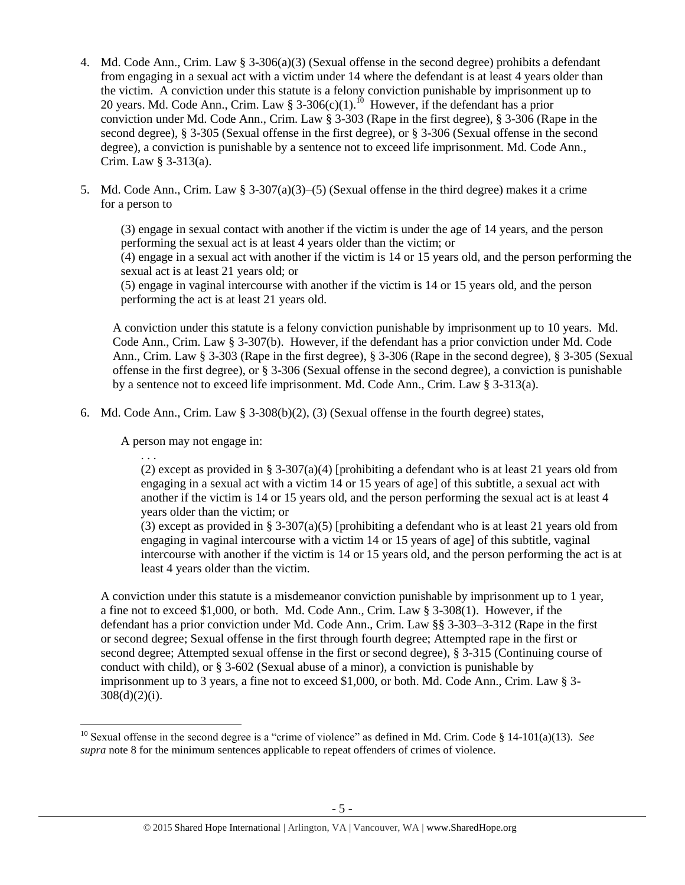- 4. Md. Code Ann., Crim. Law § 3-306(a)(3) (Sexual offense in the second degree) prohibits a defendant from engaging in a sexual act with a victim under 14 where the defendant is at least 4 years older than the victim. A conviction under this statute is a felony conviction punishable by imprisonment up to 20 years. Md. Code Ann., Crim. Law § 3-306(c)(1).<sup>10</sup> However, if the defendant has a prior conviction under Md. Code Ann., Crim. Law § 3-303 (Rape in the first degree), § 3-306 (Rape in the second degree), § 3-305 (Sexual offense in the first degree), or § 3-306 (Sexual offense in the second degree), a conviction is punishable by a sentence not to exceed life imprisonment. Md. Code Ann., Crim. Law § 3-313(a).
- 5. Md. Code Ann., Crim. Law §  $3-307(a)(3)$ –(5) (Sexual offense in the third degree) makes it a crime for a person to

(3) engage in sexual contact with another if the victim is under the age of 14 years, and the person performing the sexual act is at least 4 years older than the victim; or (4) engage in a sexual act with another if the victim is 14 or 15 years old, and the person performing the

sexual act is at least 21 years old; or

(5) engage in vaginal intercourse with another if the victim is 14 or 15 years old, and the person performing the act is at least 21 years old.

A conviction under this statute is a felony conviction punishable by imprisonment up to 10 years. Md. Code Ann., Crim. Law § 3-307(b). However, if the defendant has a prior conviction under Md. Code Ann., Crim. Law § 3-303 (Rape in the first degree), § 3-306 (Rape in the second degree), § 3-305 (Sexual offense in the first degree), or § 3-306 (Sexual offense in the second degree), a conviction is punishable by a sentence not to exceed life imprisonment. Md. Code Ann., Crim. Law § 3-313(a).

6. Md. Code Ann., Crim. Law  $\S$  3-308(b)(2), (3) (Sexual offense in the fourth degree) states,

A person may not engage in:

. . .

l

(2) except as provided in § 3-307(a)(4) [prohibiting a defendant who is at least 21 years old from engaging in a sexual act with a victim 14 or 15 years of age] of this subtitle, a sexual act with another if the victim is 14 or 15 years old, and the person performing the sexual act is at least 4 years older than the victim; or

(3) except as provided in § 3-307(a)(5) [prohibiting a defendant who is at least 21 years old from engaging in vaginal intercourse with a victim 14 or 15 years of age] of this subtitle, vaginal intercourse with another if the victim is 14 or 15 years old, and the person performing the act is at least 4 years older than the victim.

A conviction under this statute is a misdemeanor conviction punishable by imprisonment up to 1 year, a fine not to exceed \$1,000, or both. Md. Code Ann., Crim. Law § 3-308(1). However, if the defendant has a prior conviction under Md. Code Ann., Crim. Law §§ 3-303–3-312 (Rape in the first or second degree; Sexual offense in the first through fourth degree; Attempted rape in the first or second degree; Attempted sexual offense in the first or second degree), § 3-315 (Continuing course of conduct with child), or § 3-602 (Sexual abuse of a minor), a conviction is punishable by imprisonment up to 3 years, a fine not to exceed \$1,000, or both. Md. Code Ann., Crim. Law § 3-  $308(d)(2)(i)$ .

<sup>10</sup> Sexual offense in the second degree is a "crime of violence" as defined in Md. Crim. Code § 14-101(a)(13). *See supra* note [8](#page-3-0) for the minimum sentences applicable to repeat offenders of crimes of violence.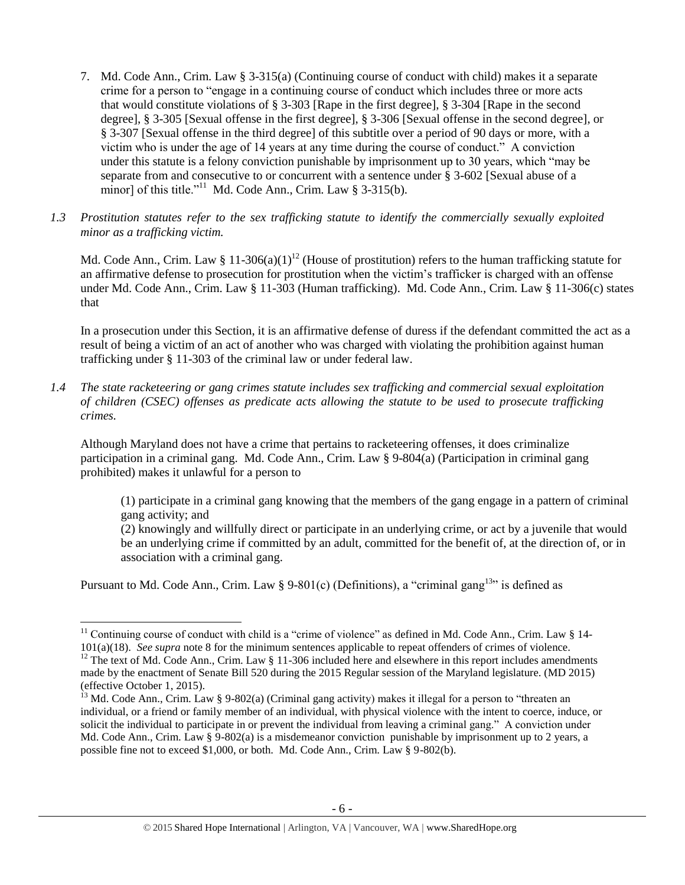- 7. Md. Code Ann., Crim. Law § 3-315(a) (Continuing course of conduct with child) makes it a separate crime for a person to "engage in a continuing course of conduct which includes three or more acts that would constitute violations of § 3-303 [Rape in the first degree], § 3-304 [Rape in the second degree], § 3-305 [Sexual offense in the first degree], § 3-306 [Sexual offense in the second degree], or § 3-307 [Sexual offense in the third degree] of this subtitle over a period of 90 days or more, with a victim who is under the age of 14 years at any time during the course of conduct." A conviction under this statute is a felony conviction punishable by imprisonment up to 30 years, which "may be separate from and consecutive to or concurrent with a sentence under § 3-602 [Sexual abuse of a minor] of this title."<sup>11</sup> Md. Code Ann., Crim. Law § 3-315(b).
- *1.3 Prostitution statutes refer to the sex trafficking statute to identify the commercially sexually exploited minor as a trafficking victim.*

<span id="page-5-0"></span>Md. Code Ann., Crim. Law § 11-306(a)(1)<sup>12</sup> (House of prostitution) refers to the human trafficking statute for an affirmative defense to prosecution for prostitution when the victim's trafficker is charged with an offense under Md. Code Ann., Crim. Law § 11-303 (Human trafficking). Md. Code Ann., Crim. Law § 11-306(c) states that

In a prosecution under this Section, it is an affirmative defense of duress if the defendant committed the act as a result of being a victim of an act of another who was charged with violating the prohibition against human trafficking under § 11-303 of the criminal law or under federal law.

*1.4 The state racketeering or gang crimes statute includes sex trafficking and commercial sexual exploitation of children (CSEC) offenses as predicate acts allowing the statute to be used to prosecute trafficking crimes.* 

Although Maryland does not have a crime that pertains to racketeering offenses, it does criminalize participation in a criminal gang. Md. Code Ann., Crim. Law § 9-804(a) (Participation in criminal gang prohibited) makes it unlawful for a person to

(1) participate in a criminal gang knowing that the members of the gang engage in a pattern of criminal gang activity; and

(2) knowingly and willfully direct or participate in an underlying crime, or act by a juvenile that would be an underlying crime if committed by an adult, committed for the benefit of, at the direction of, or in association with a criminal gang.

Pursuant to Md. Code Ann., Crim. Law § 9-801(c) (Definitions), a "criminal gang<sup>13</sup>" is defined as

 $\overline{a}$ 

<sup>&</sup>lt;sup>11</sup> Continuing course of conduct with child is a "crime of violence" as defined in Md. Code Ann., Crim. Law § 14-101(a)(18). *See supra* not[e 8](#page-3-0) for the minimum sentences applicable to repeat offenders of crimes of violence. <sup>12</sup> The text of Md. Code Ann., Crim. Law § 11-306 included here and elsewhere in this report includes amendments made by the enactment of Senate Bill 520 during the 2015 Regular session of the Maryland legislature. (MD 2015) (effective October 1, 2015).

<sup>&</sup>lt;sup>13</sup> Md. Code Ann., Crim. Law § 9-802(a) (Criminal gang activity) makes it illegal for a person to "threaten an individual, or a friend or family member of an individual, with physical violence with the intent to coerce, induce, or solicit the individual to participate in or prevent the individual from leaving a criminal gang." A conviction under Md. Code Ann., Crim. Law § 9-802(a) is a misdemeanor conviction punishable by imprisonment up to 2 years, a possible fine not to exceed \$1,000, or both. Md. Code Ann., Crim. Law § 9-802(b).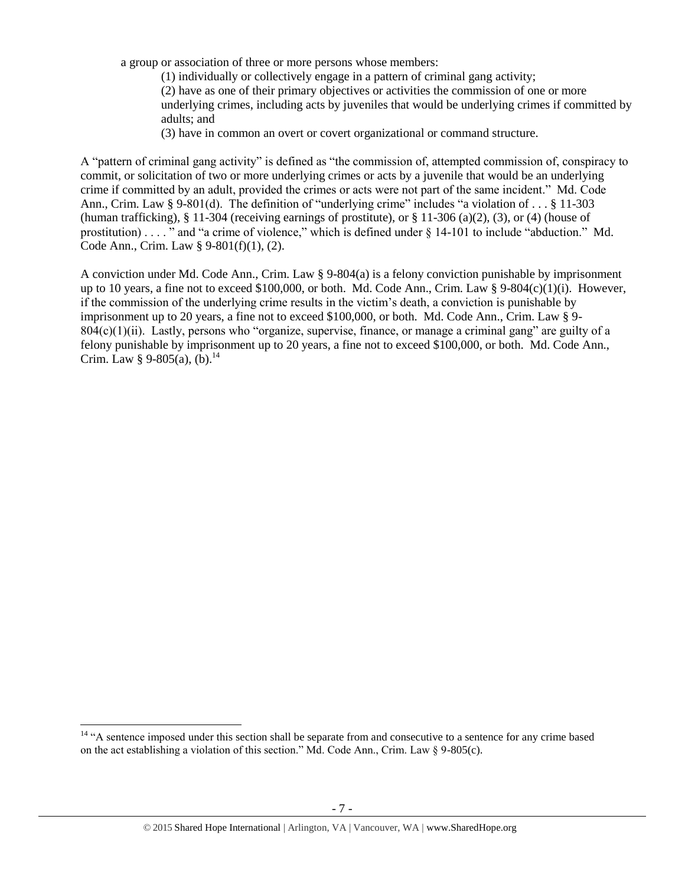a group or association of three or more persons whose members:

(1) individually or collectively engage in a pattern of criminal gang activity; (2) have as one of their primary objectives or activities the commission of one or more underlying crimes, including acts by juveniles that would be underlying crimes if committed by adults; and

(3) have in common an overt or covert organizational or command structure.

A "pattern of criminal gang activity" is defined as "the commission of, attempted commission of, conspiracy to commit, or solicitation of two or more underlying crimes or acts by a juvenile that would be an underlying crime if committed by an adult, provided the crimes or acts were not part of the same incident." Md. Code Ann., Crim. Law § 9-801(d). The definition of "underlying crime" includes "a violation of . . . § 11-303 (human trafficking), § 11-304 (receiving earnings of prostitute), or § 11-306 (a)(2), (3), or (4) (house of prostitution) . . . . " and "a crime of violence," which is defined under § 14-101 to include "abduction." Md. Code Ann., Crim. Law § 9-801(f)(1), (2).

A conviction under Md. Code Ann., Crim. Law § 9-804(a) is a felony conviction punishable by imprisonment up to 10 years, a fine not to exceed \$100,000, or both. Md. Code Ann., Crim. Law § 9-804(c)(1)(i). However, if the commission of the underlying crime results in the victim's death, a conviction is punishable by imprisonment up to 20 years, a fine not to exceed \$100,000, or both. Md. Code Ann., Crim. Law § 9-  $804(c)(1)(ii)$ . Lastly, persons who "organize, supervise, finance, or manage a criminal gang" are guilty of a felony punishable by imprisonment up to 20 years, a fine not to exceed \$100,000, or both. Md. Code Ann., Crim. Law § 9-805(a), (b).<sup>14</sup>

l

<sup>&</sup>lt;sup>14</sup> "A sentence imposed under this section shall be separate from and consecutive to a sentence for any crime based on the act establishing a violation of this section." Md. Code Ann., Crim. Law § 9-805(c).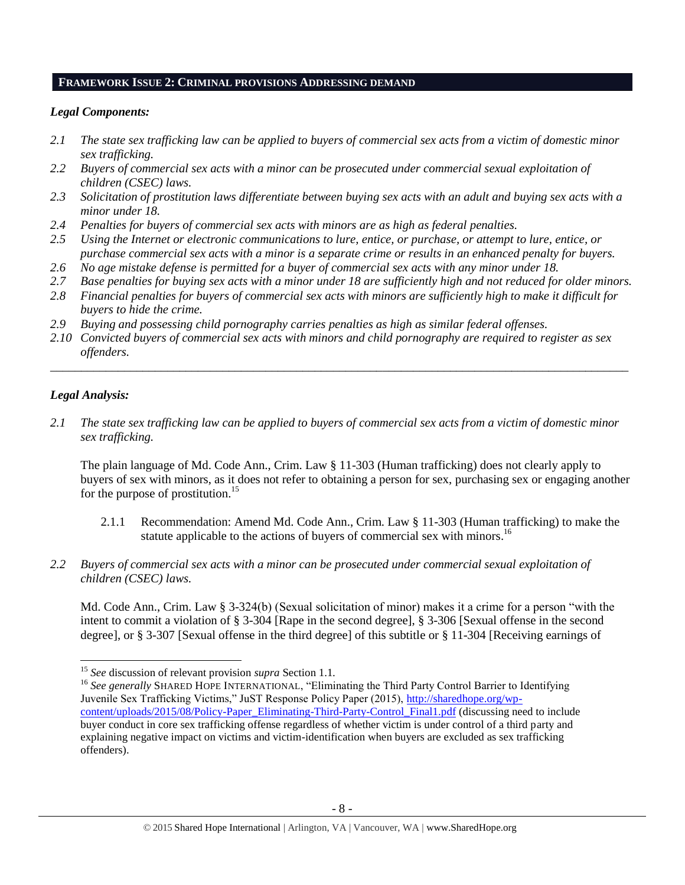#### **FRAMEWORK ISSUE 2: CRIMINAL PROVISIONS ADDRESSING DEMAND**

# *Legal Components:*

- *2.1 The state sex trafficking law can be applied to buyers of commercial sex acts from a victim of domestic minor sex trafficking.*
- *2.2 Buyers of commercial sex acts with a minor can be prosecuted under commercial sexual exploitation of children (CSEC) laws.*
- *2.3 Solicitation of prostitution laws differentiate between buying sex acts with an adult and buying sex acts with a minor under 18.*
- *2.4 Penalties for buyers of commercial sex acts with minors are as high as federal penalties.*
- *2.5 Using the Internet or electronic communications to lure, entice, or purchase, or attempt to lure, entice, or purchase commercial sex acts with a minor is a separate crime or results in an enhanced penalty for buyers.*
- *2.6 No age mistake defense is permitted for a buyer of commercial sex acts with any minor under 18.*
- *2.7 Base penalties for buying sex acts with a minor under 18 are sufficiently high and not reduced for older minors.*
- *2.8 Financial penalties for buyers of commercial sex acts with minors are sufficiently high to make it difficult for buyers to hide the crime.*
- *2.9 Buying and possessing child pornography carries penalties as high as similar federal offenses.*
- *2.10 Convicted buyers of commercial sex acts with minors and child pornography are required to register as sex offenders.*

\_\_\_\_\_\_\_\_\_\_\_\_\_\_\_\_\_\_\_\_\_\_\_\_\_\_\_\_\_\_\_\_\_\_\_\_\_\_\_\_\_\_\_\_\_\_\_\_\_\_\_\_\_\_\_\_\_\_\_\_\_\_\_\_\_\_\_\_\_\_\_\_\_\_\_\_\_\_\_\_\_\_\_\_\_\_\_\_\_\_\_\_\_\_

# *Legal Analysis:*

 $\overline{\phantom{a}}$ 

*2.1 The state sex trafficking law can be applied to buyers of commercial sex acts from a victim of domestic minor sex trafficking.* 

The plain language of Md. Code Ann., Crim. Law § 11-303 (Human trafficking) does not clearly apply to buyers of sex with minors, as it does not refer to obtaining a person for sex, purchasing sex or engaging another for the purpose of prostitution.<sup>15</sup>

- 2.1.1 Recommendation: Amend Md. Code Ann., Crim. Law § 11-303 (Human trafficking) to make the statute applicable to the actions of buyers of commercial sex with minors.<sup>16</sup>
- *2.2 Buyers of commercial sex acts with a minor can be prosecuted under commercial sexual exploitation of children (CSEC) laws.*

Md. Code Ann., Crim. Law § 3-324(b) (Sexual solicitation of minor) makes it a crime for a person "with the intent to commit a violation of § 3-304 [Rape in the second degree], § 3-306 [Sexual offense in the second degree], or § 3-307 [Sexual offense in the third degree] of this subtitle or § 11-304 [Receiving earnings of

<sup>15</sup> *See* discussion of relevant provision *supra* Section 1.1*.*

<sup>&</sup>lt;sup>16</sup> See generally SHARED HOPE INTERNATIONAL, "Eliminating the Third Party Control Barrier to Identifying Juvenile Sex Trafficking Victims," JuST Response Policy Paper (2015), [http://sharedhope.org/wp](http://sharedhope.org/wp-content/uploads/2015/08/Policy-Paper_Eliminating-Third-Party-Control_Final1.pdf)[content/uploads/2015/08/Policy-Paper\\_Eliminating-Third-Party-Control\\_Final1.pdf](http://sharedhope.org/wp-content/uploads/2015/08/Policy-Paper_Eliminating-Third-Party-Control_Final1.pdf) (discussing need to include buyer conduct in core sex trafficking offense regardless of whether victim is under control of a third party and explaining negative impact on victims and victim-identification when buyers are excluded as sex trafficking offenders).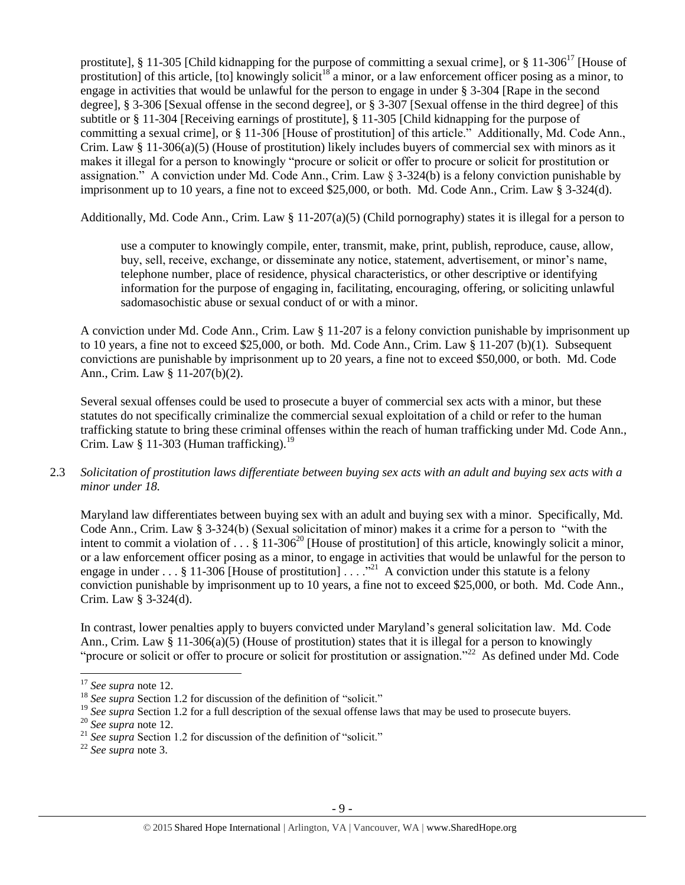prostitute], § 11-305 [Child kidnapping for the purpose of committing a sexual crime], or § 11-306<sup>17</sup> [House of prostitution] of this article,  $[$ to] knowingly solicit<sup>18</sup> a minor, or a law enforcement officer posing as a minor, to engage in activities that would be unlawful for the person to engage in under § 3-304 [Rape in the second degree], § 3-306 [Sexual offense in the second degree], or § 3-307 [Sexual offense in the third degree] of this subtitle or § 11-304 [Receiving earnings of prostitute], § 11-305 [Child kidnapping for the purpose of committing a sexual crime], or § 11-306 [House of prostitution] of this article." Additionally, Md. Code Ann., Crim. Law § 11-306(a)(5) (House of prostitution) likely includes buyers of commercial sex with minors as it makes it illegal for a person to knowingly "procure or solicit or offer to procure or solicit for prostitution or assignation." A conviction under Md. Code Ann., Crim. Law  $\S 3-324(b)$  is a felony conviction punishable by imprisonment up to 10 years, a fine not to exceed \$25,000, or both. Md. Code Ann., Crim. Law § 3-324(d).

Additionally, Md. Code Ann., Crim. Law § 11-207(a)(5) (Child pornography) states it is illegal for a person to

use a computer to knowingly compile, enter, transmit, make, print, publish, reproduce, cause, allow, buy, sell, receive, exchange, or disseminate any notice, statement, advertisement, or minor's name, telephone number, place of residence, physical characteristics, or other descriptive or identifying information for the purpose of engaging in, facilitating, encouraging, offering, or soliciting unlawful sadomasochistic abuse or sexual conduct of or with a minor.

A conviction under Md. Code Ann., Crim. Law § 11-207 is a felony conviction punishable by imprisonment up to 10 years, a fine not to exceed \$25,000, or both. Md. Code Ann., Crim. Law § 11-207 (b)(1). Subsequent convictions are punishable by imprisonment up to 20 years, a fine not to exceed \$50,000, or both. Md. Code Ann., Crim. Law § 11-207(b)(2).

Several sexual offenses could be used to prosecute a buyer of commercial sex acts with a minor, but these statutes do not specifically criminalize the commercial sexual exploitation of a child or refer to the human trafficking statute to bring these criminal offenses within the reach of human trafficking under Md. Code Ann., Crim. Law § 11-303 (Human trafficking).<sup>19</sup>

2.3 *Solicitation of prostitution laws differentiate between buying sex acts with an adult and buying sex acts with a minor under 18.*

Maryland law differentiates between buying sex with an adult and buying sex with a minor. Specifically, Md. Code Ann., Crim. Law § 3-324(b) (Sexual solicitation of minor) makes it a crime for a person to "with the intent to commit a violation of  $\ldots$  § 11-306<sup>20</sup> [House of prostitution] of this article, knowingly solicit a minor, or a law enforcement officer posing as a minor, to engage in activities that would be unlawful for the person to engage in under  $\dots$  § 11-306 [House of prostitution]  $\dots$  .<sup>221</sup> A conviction under this statute is a felony conviction punishable by imprisonment up to 10 years, a fine not to exceed \$25,000, or both. Md. Code Ann., Crim. Law § 3-324(d).

In contrast, lower penalties apply to buyers convicted under Maryland's general solicitation law. Md. Code Ann., Crim. Law § 11-306(a)(5) (House of prostitution) states that it is illegal for a person to knowingly "procure or solicit or offer to procure or solicit for prostitution or assignation."<sup>22</sup> As defined under Md. Code

 $\overline{\phantom{a}}$ 

<sup>22</sup> *See supra* note [3.](#page-1-0)

<sup>17</sup> *See supra* note [12.](#page-5-0)

<sup>&</sup>lt;sup>18</sup> See supra Section 1.2 for discussion of the definition of "solicit."

<sup>&</sup>lt;sup>19</sup> See supra Section 1.2 for a full description of the sexual offense laws that may be used to prosecute buyers.

<sup>20</sup> *See supra* note [12.](#page-5-0)

<sup>&</sup>lt;sup>21</sup> See supra Section 1.2 for discussion of the definition of "solicit."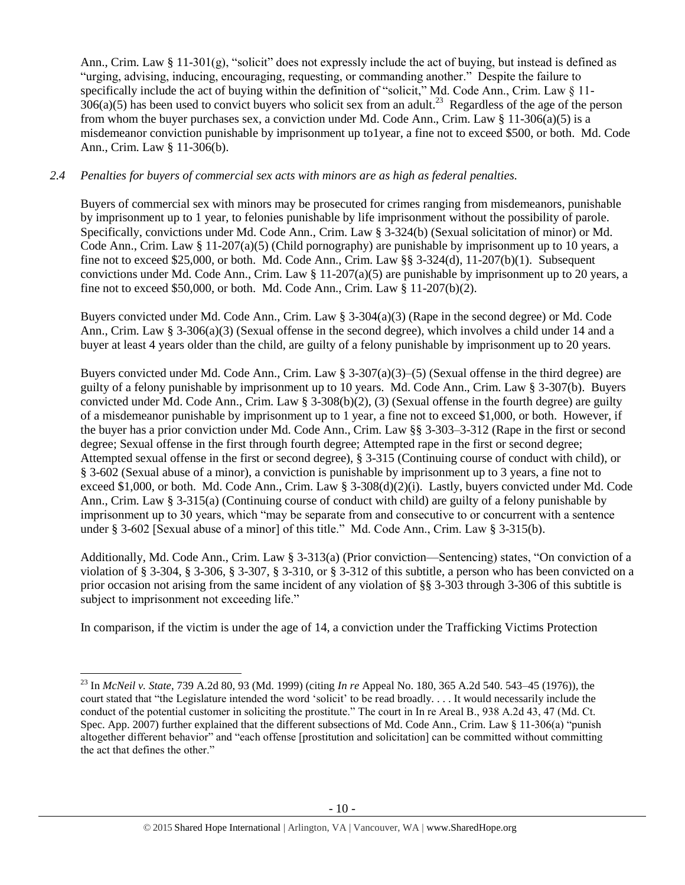Ann., Crim. Law § 11-301(g), "solicit" does not expressly include the act of buying, but instead is defined as "urging, advising, inducing, encouraging, requesting, or commanding another." Despite the failure to specifically include the act of buying within the definition of "solicit," Md. Code Ann., Crim. Law § 11- $306(a)(5)$  has been used to convict buyers who solicit sex from an adult.<sup>23</sup> Regardless of the age of the person from whom the buyer purchases sex, a conviction under Md. Code Ann., Crim. Law § 11-306(a)(5) is a misdemeanor conviction punishable by imprisonment up to1year, a fine not to exceed \$500, or both. Md. Code Ann., Crim. Law § 11-306(b).

# *2.4 Penalties for buyers of commercial sex acts with minors are as high as federal penalties.*

Buyers of commercial sex with minors may be prosecuted for crimes ranging from misdemeanors, punishable by imprisonment up to 1 year, to felonies punishable by life imprisonment without the possibility of parole. Specifically, convictions under Md. Code Ann., Crim. Law § 3-324(b) (Sexual solicitation of minor) or Md. Code Ann., Crim. Law § 11-207(a)(5) (Child pornography) are punishable by imprisonment up to 10 years, a fine not to exceed \$25,000, or both. Md. Code Ann., Crim. Law §§ 3-324(d), 11-207(b)(1). Subsequent convictions under Md. Code Ann., Crim. Law  $\S 11{\text -}207(a)(5)$  are punishable by imprisonment up to 20 years, a fine not to exceed \$50,000, or both. Md. Code Ann., Crim. Law § 11-207(b)(2).

Buyers convicted under Md. Code Ann., Crim. Law § 3-304(a)(3) (Rape in the second degree) or Md. Code Ann., Crim. Law § 3-306(a)(3) (Sexual offense in the second degree), which involves a child under 14 and a buyer at least 4 years older than the child, are guilty of a felony punishable by imprisonment up to 20 years.

Buyers convicted under Md. Code Ann., Crim. Law § 3-307(a)(3)–(5) (Sexual offense in the third degree) are guilty of a felony punishable by imprisonment up to 10 years. Md. Code Ann., Crim. Law § 3-307(b). Buyers convicted under Md. Code Ann., Crim. Law § 3-308(b)(2), (3) (Sexual offense in the fourth degree) are guilty of a misdemeanor punishable by imprisonment up to 1 year, a fine not to exceed \$1,000, or both. However, if the buyer has a prior conviction under Md. Code Ann., Crim. Law §§ 3-303–3-312 (Rape in the first or second degree; Sexual offense in the first through fourth degree; Attempted rape in the first or second degree; Attempted sexual offense in the first or second degree), § 3-315 (Continuing course of conduct with child), or § 3-602 (Sexual abuse of a minor), a conviction is punishable by imprisonment up to 3 years, a fine not to exceed \$1,000, or both. Md. Code Ann., Crim. Law § 3-308(d)(2)(i). Lastly, buyers convicted under Md. Code Ann., Crim. Law § 3-315(a) (Continuing course of conduct with child) are guilty of a felony punishable by imprisonment up to 30 years, which "may be separate from and consecutive to or concurrent with a sentence under § 3-602 [Sexual abuse of a minor] of this title." Md. Code Ann., Crim. Law § 3-315(b).

Additionally, Md. Code Ann., Crim. Law § 3-313(a) (Prior conviction—Sentencing) states, "On conviction of a violation of § 3-304, § 3-306, § 3-307, § 3-310, or § 3-312 of this subtitle, a person who has been convicted on a prior occasion not arising from the same incident of any violation of §§ 3-303 through 3-306 of this subtitle is subject to imprisonment not exceeding life."

In comparison, if the victim is under the age of 14, a conviction under the Trafficking Victims Protection

 $\overline{\phantom{a}}$ 

<sup>23</sup> In *McNeil v. State*, 739 A.2d 80, 93 (Md. 1999) (citing *In re* Appeal No. 180, 365 A.2d 540. 543–45 (1976)), the court stated that "the Legislature intended the word 'solicit' to be read broadly. . . . It would necessarily include the conduct of the potential customer in soliciting the prostitute." The court in In re Areal B., 938 A.2d 43, 47 (Md. Ct. Spec. App. 2007) further explained that the different subsections of Md. Code Ann., Crim. Law § 11-306(a) "punish altogether different behavior" and "each offense [prostitution and solicitation] can be committed without committing the act that defines the other."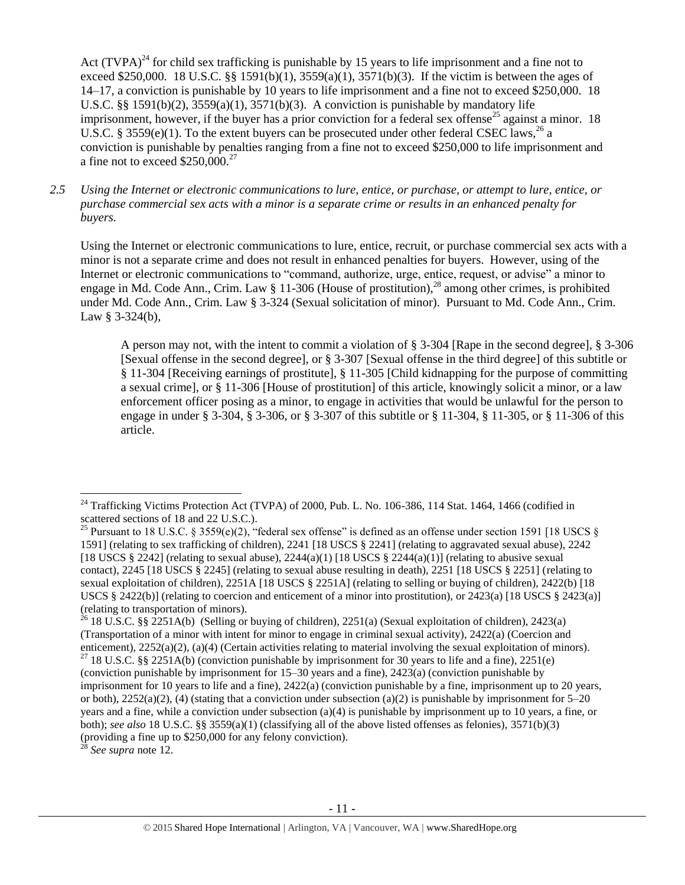<span id="page-10-1"></span><span id="page-10-0"></span>Act  $(TVPA)^{24}$  for child sex trafficking is punishable by 15 years to life imprisonment and a fine not to exceed \$250,000. 18 U.S.C. §§ 1591(b)(1), 3559(a)(1), 3571(b)(3). If the victim is between the ages of 14–17, a conviction is punishable by 10 years to life imprisonment and a fine not to exceed \$250,000. 18 U.S.C. §§ 1591(b)(2), 3559(a)(1), 3571(b)(3). A conviction is punishable by mandatory life imprisonment, however, if the buyer has a prior conviction for a federal sex offense<sup>25</sup> against a minor. 18 U.S.C. § 3559(e)(1). To the extent buyers can be prosecuted under other federal CSEC laws,<sup>26</sup> a conviction is punishable by penalties ranging from a fine not to exceed \$250,000 to life imprisonment and a fine not to exceed  $$250,000.<sup>27</sup>$ 

*2.5 Using the Internet or electronic communications to lure, entice, or purchase, or attempt to lure, entice, or purchase commercial sex acts with a minor is a separate crime or results in an enhanced penalty for buyers.*

Using the Internet or electronic communications to lure, entice, recruit, or purchase commercial sex acts with a minor is not a separate crime and does not result in enhanced penalties for buyers. However, using of the Internet or electronic communications to "command, authorize, urge, entice, request, or advise" a minor to engage in Md. Code Ann., Crim. Law § 11-306 (House of prostitution),<sup>28</sup> among other crimes, is prohibited under Md. Code Ann., Crim. Law § 3-324 (Sexual solicitation of minor). Pursuant to Md. Code Ann., Crim. Law  $§$  3-324(b),

A person may not, with the intent to commit a violation of § 3-304 [Rape in the second degree], § 3-306 [Sexual offense in the second degree], or § 3-307 [Sexual offense in the third degree] of this subtitle or § 11-304 [Receiving earnings of prostitute], § 11-305 [Child kidnapping for the purpose of committing a sexual crime], or § 11-306 [House of prostitution] of this article, knowingly solicit a minor, or a law enforcement officer posing as a minor, to engage in activities that would be unlawful for the person to engage in under § 3-304, § 3-306, or § 3-307 of this subtitle or § 11-304, § 11-305, or § 11-306 of this article.

See supra note [12.](#page-5-0)

 $\overline{a}$  $^{24}$  Trafficking Victims Protection Act (TVPA) of 2000, Pub. L. No. 106-386, 114 Stat. 1464, 1466 (codified in scattered sections of 18 and 22 U.S.C.).

<sup>&</sup>lt;sup>25</sup> Pursuant to 18 U.S.C. § 3559(e)(2), "federal sex offense" is defined as an offense under section 1591 [18 USCS § 1591] (relating to sex trafficking of children), 2241 [18 USCS § 2241] (relating to aggravated sexual abuse), 2242 [18 USCS § 2242] (relating to sexual abuse),  $2244(a)(1)$  [18 USCS § 2244(a)(1)] (relating to abusive sexual contact), 2245 [18 USCS § 2245] (relating to sexual abuse resulting in death), 2251 [18 USCS § 2251] (relating to sexual exploitation of children), 2251A [18 USCS § 2251A] (relating to selling or buying of children), 2422(b) [18 USCS § 2422(b)] (relating to coercion and enticement of a minor into prostitution), or 2423(a) [18 USCS § 2423(a)] (relating to transportation of minors).

<sup>&</sup>lt;sup>26</sup> 18 U.S.C. §§ 2251A(b) (Selling or buying of children), 2251(a) (Sexual exploitation of children), 2423(a) (Transportation of a minor with intent for minor to engage in criminal sexual activity), 2422(a) (Coercion and enticement), 2252(a)(2), (a)(4) (Certain activities relating to material involving the sexual exploitation of minors).

<sup>&</sup>lt;sup>27</sup> 18 U.S.C. §§ 2251A(b) (conviction punishable by imprisonment for 30 years to life and a fine), 2251(e) (conviction punishable by imprisonment for 15–30 years and a fine), 2423(a) (conviction punishable by imprisonment for 10 years to life and a fine), 2422(a) (conviction punishable by a fine, imprisonment up to 20 years, or both),  $2252(a)(2)$ , (4) (stating that a conviction under subsection (a)(2) is punishable by imprisonment for 5–20 years and a fine, while a conviction under subsection (a)(4) is punishable by imprisonment up to 10 years, a fine, or both); *see also* 18 U.S.C. §§ 3559(a)(1) (classifying all of the above listed offenses as felonies), 3571(b)(3) (providing a fine up to \$250,000 for any felony conviction).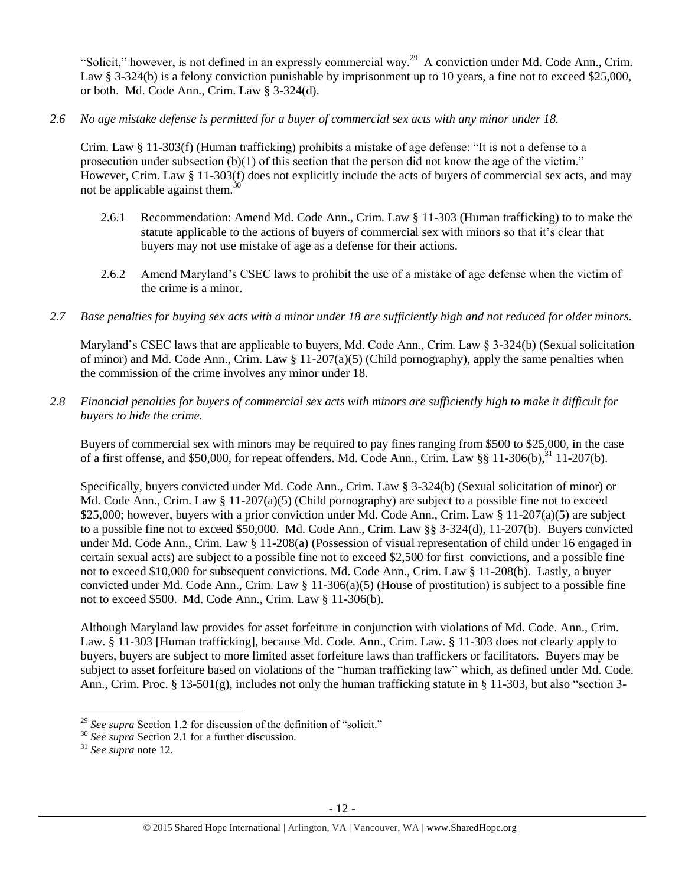"Solicit," however, is not defined in an expressly commercial way.<sup>29</sup> A conviction under Md. Code Ann., Crim. Law § 3-324(b) is a felony conviction punishable by imprisonment up to 10 years, a fine not to exceed \$25,000, or both. Md. Code Ann., Crim. Law § 3-324(d).

*2.6 No age mistake defense is permitted for a buyer of commercial sex acts with any minor under 18.*

Crim. Law § 11-303(f) (Human trafficking) prohibits a mistake of age defense: "It is not a defense to a prosecution under subsection  $(b)(1)$  of this section that the person did not know the age of the victim." However, Crim. Law § 11-303(f) does not explicitly include the acts of buyers of commercial sex acts, and may not be applicable against them.<sup>30</sup>

- 2.6.1 Recommendation: Amend Md. Code Ann., Crim. Law § 11-303 (Human trafficking) to to make the statute applicable to the actions of buyers of commercial sex with minors so that it's clear that buyers may not use mistake of age as a defense for their actions.
- 2.6.2 Amend Maryland's CSEC laws to prohibit the use of a mistake of age defense when the victim of the crime is a minor.
- *2.7 Base penalties for buying sex acts with a minor under 18 are sufficiently high and not reduced for older minors.*

Maryland's CSEC laws that are applicable to buyers, Md. Code Ann., Crim. Law § 3-324(b) (Sexual solicitation of minor) and Md. Code Ann., Crim. Law  $\S 11-207(a)(5)$  (Child pornography), apply the same penalties when the commission of the crime involves any minor under 18.

*2.8 Financial penalties for buyers of commercial sex acts with minors are sufficiently high to make it difficult for buyers to hide the crime.*

Buyers of commercial sex with minors may be required to pay fines ranging from \$500 to \$25,000, in the case of a first offense, and \$50,000, for repeat offenders. Md. Code Ann., Crim. Law §§  $11\text{-}306(b)$ ,  $31\text{ }11\text{-}207(b)$ .

Specifically, buyers convicted under Md. Code Ann., Crim. Law § 3-324(b) (Sexual solicitation of minor) or Md. Code Ann., Crim. Law  $\S 11-207(a)(5)$  (Child pornography) are subject to a possible fine not to exceed \$25,000; however, buyers with a prior conviction under Md. Code Ann., Crim. Law § 11-207(a)(5) are subject to a possible fine not to exceed \$50,000. Md. Code Ann., Crim. Law §§ 3-324(d), 11-207(b). Buyers convicted under Md. Code Ann., Crim. Law § 11-208(a) (Possession of visual representation of child under 16 engaged in certain sexual acts) are subject to a possible fine not to exceed \$2,500 for first convictions, and a possible fine not to exceed \$10,000 for subsequent convictions. Md. Code Ann., Crim. Law § 11-208(b). Lastly, a buyer convicted under Md. Code Ann., Crim. Law  $\S 11-306(a)(5)$  (House of prostitution) is subject to a possible fine not to exceed \$500. Md. Code Ann., Crim. Law § 11-306(b).

Although Maryland law provides for asset forfeiture in conjunction with violations of Md. Code. Ann., Crim. Law. § 11-303 [Human trafficking], because Md. Code. Ann., Crim. Law. § 11-303 does not clearly apply to buyers, buyers are subject to more limited asset forfeiture laws than traffickers or facilitators. Buyers may be subject to asset forfeiture based on violations of the "human trafficking law" which, as defined under Md. Code. Ann., Crim. Proc. § 13-501(g), includes not only the human trafficking statute in § 11-303, but also "section 3-

 $\overline{\phantom{a}}$ 

<sup>&</sup>lt;sup>29</sup> See supra Section 1.2 for discussion of the definition of "solicit."

<sup>30</sup> *See supra* Section 2.1 for a further discussion.

<sup>31</sup> *See supra* note [12.](#page-5-0)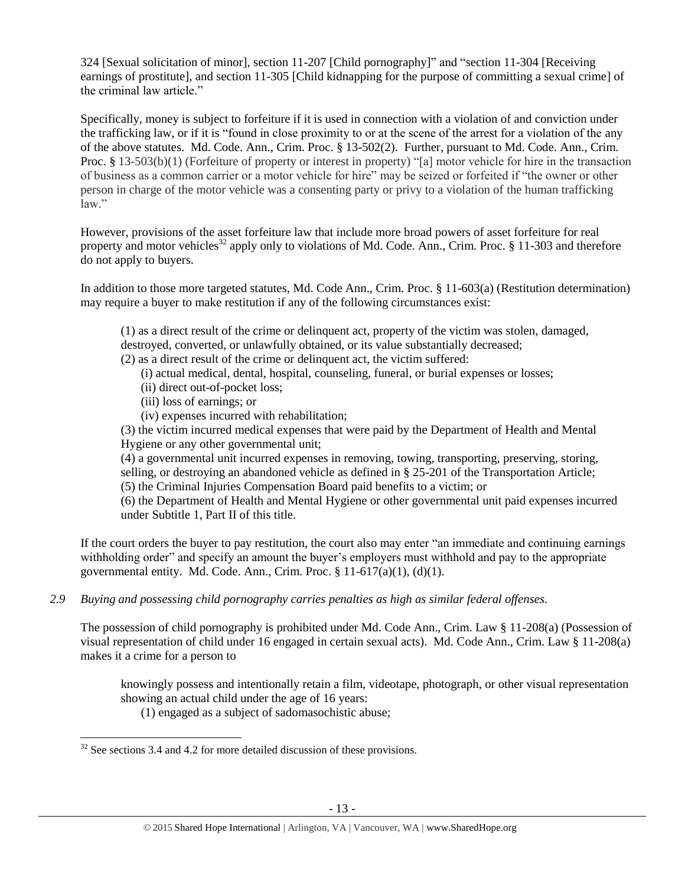324 [Sexual solicitation of minor], section 11-207 [Child pornography]" and "section 11-304 [Receiving earnings of prostitute], and section 11-305 [Child kidnapping for the purpose of committing a sexual crime] of the criminal law article."

Specifically, money is subject to forfeiture if it is used in connection with a violation of and conviction under the trafficking law, or if it is "found in close proximity to or at the scene of the arrest for a violation of the any of the above statutes. Md. Code. Ann., Crim. Proc. § 13-502(2). Further, pursuant to Md. Code. Ann., Crim. Proc. § 13-503(b)(1) (Forfeiture of property or interest in property) "[a] motor vehicle for hire in the transaction of business as a common carrier or a motor vehicle for hire" may be seized or forfeited if "the owner or other person in charge of the motor vehicle was a consenting party or privy to a violation of the human trafficking law."

However, provisions of the asset forfeiture law that include more broad powers of asset forfeiture for real property and motor vehicles<sup>32</sup> apply only to violations of Md. Code. Ann., Crim. Proc. § 11-303 and therefore do not apply to buyers.

In addition to those more targeted statutes, Md. Code Ann., Crim. Proc. § 11-603(a) (Restitution determination) may require a buyer to make restitution if any of the following circumstances exist:

(1) as a direct result of the crime or delinquent act, property of the victim was stolen, damaged, destroyed, converted, or unlawfully obtained, or its value substantially decreased;

(2) as a direct result of the crime or delinquent act, the victim suffered:

(i) actual medical, dental, hospital, counseling, funeral, or burial expenses or losses;

- (ii) direct out-of-pocket loss;
- (iii) loss of earnings; or
- (iv) expenses incurred with rehabilitation;

(3) the victim incurred medical expenses that were paid by the Department of Health and Mental Hygiene or any other governmental unit;

(4) a governmental unit incurred expenses in removing, towing, transporting, preserving, storing, selling, or destroying an abandoned vehicle as defined in § 25-201 of the Transportation Article;

(5) the Criminal Injuries Compensation Board paid benefits to a victim; or

(6) the Department of Health and Mental Hygiene or other governmental unit paid expenses incurred under Subtitle 1, Part II of this title.

If the court orders the buyer to pay restitution, the court also may enter "an immediate and continuing earnings withholding order" and specify an amount the buyer's employers must withhold and pay to the appropriate governmental entity. Md. Code. Ann., Crim. Proc.  $\S 11-617(a)(1)$ , (d)(1).

*2.9 Buying and possessing child pornography carries penalties as high as similar federal offenses.*

The possession of child pornography is prohibited under Md. Code Ann., Crim. Law § 11-208(a) (Possession of visual representation of child under 16 engaged in certain sexual acts). Md. Code Ann., Crim. Law § 11-208(a) makes it a crime for a person to

knowingly possess and intentionally retain a film, videotape, photograph, or other visual representation showing an actual child under the age of 16 years:

(1) engaged as a subject of sadomasochistic abuse;

 $\overline{a}$  $32$  See sections 3.4 and 4.2 for more detailed discussion of these provisions.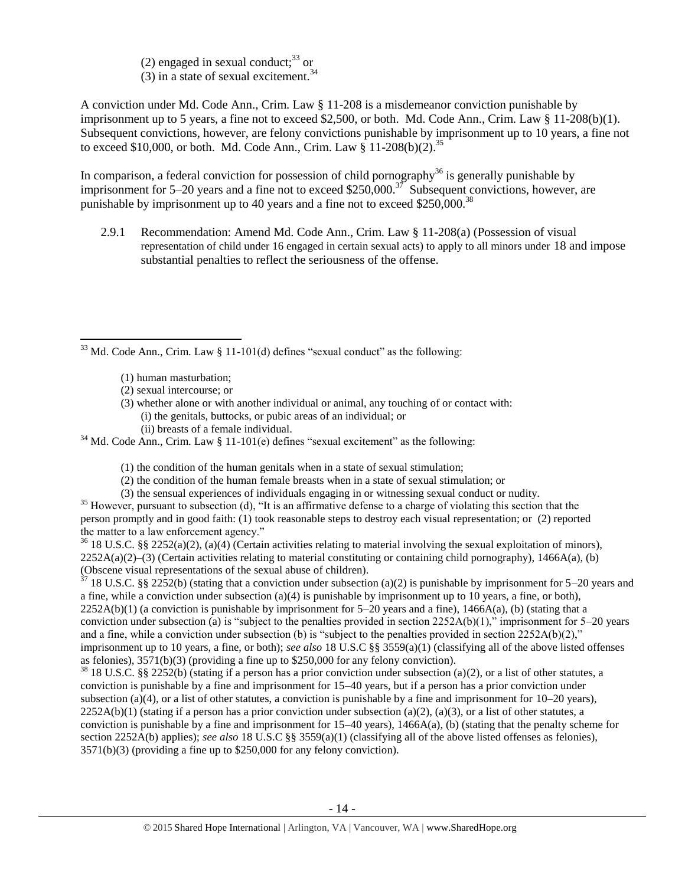(2) engaged in sexual conduct; $^{33}$  or (3) in a state of sexual excitement.<sup>34</sup>

A conviction under Md. Code Ann., Crim. Law § 11-208 is a misdemeanor conviction punishable by imprisonment up to 5 years, a fine not to exceed \$2,500, or both. Md. Code Ann., Crim. Law § 11-208(b)(1). Subsequent convictions, however, are felony convictions punishable by imprisonment up to 10 years, a fine not to exceed \$10,000, or both. Md. Code Ann., Crim. Law  $\frac{1}{8}$  11-208(b)(2).<sup>35</sup>

In comparison, a federal conviction for possession of child pornography<sup>36</sup> is generally punishable by imprisonment for 5–20 years and a fine not to exceed \$250,000.<sup>37</sup> Subsequent convictions, however, are punishable by imprisonment up to 40 years and a fine not to exceed \$250,000.<sup>38</sup>

2.9.1 Recommendation: Amend Md. Code Ann., Crim. Law § 11-208(a) (Possession of visual representation of child under 16 engaged in certain sexual acts) to apply to all minors under 18 and impose substantial penalties to reflect the seriousness of the offense.

 $\overline{\phantom{a}}$  $33$  Md. Code Ann., Crim. Law § 11-101(d) defines "sexual conduct" as the following:

(3) whether alone or with another individual or animal, any touching of or contact with: (i) the genitals, buttocks, or pubic areas of an individual; or (ii) breasts of a female individual.

(1) the condition of the human genitals when in a state of sexual stimulation;

- (2) the condition of the human female breasts when in a state of sexual stimulation; or
- (3) the sensual experiences of individuals engaging in or witnessing sexual conduct or nudity.

 $35$  However, pursuant to subsection (d), "It is an affirmative defense to a charge of violating this section that the person promptly and in good faith: (1) took reasonable steps to destroy each visual representation; or (2) reported the matter to a law enforcement agency."

 $36\,18$  U.S.C. §§ 2252(a)(2), (a)(4) (Certain activities relating to material involving the sexual exploitation of minors),  $2252A(a)(2)$ –(3) (Certain activities relating to material constituting or containing child pornography), 1466A(a), (b) (Obscene visual representations of the sexual abuse of children).

 $37$  18 U.S.C. §§ 2252(b) (stating that a conviction under subsection (a)(2) is punishable by imprisonment for 5–20 years and a fine, while a conviction under subsection (a)(4) is punishable by imprisonment up to 10 years, a fine, or both),  $2252A(b)(1)$  (a conviction is punishable by imprisonment for  $5-20$  years and a fine),  $1466A(a)$ , (b) (stating that a conviction under subsection (a) is "subject to the penalties provided in section 2252A(b)(1)," imprisonment for 5–20 years and a fine, while a conviction under subsection (b) is "subject to the penalties provided in section  $2252A(b)(2)$ ," imprisonment up to 10 years, a fine, or both); *see also* 18 U.S.C §§ 3559(a)(1) (classifying all of the above listed offenses as felonies), 3571(b)(3) (providing a fine up to \$250,000 for any felony conviction).

 $38\,18\,$  U.S.C. §§ 2252(b) (stating if a person has a prior conviction under subsection (a)(2), or a list of other statutes, a conviction is punishable by a fine and imprisonment for 15–40 years, but if a person has a prior conviction under subsection (a)(4), or a list of other statutes, a conviction is punishable by a fine and imprisonment for  $10-20$  years),  $2252A(b)(1)$  (stating if a person has a prior conviction under subsection (a)(2), (a)(3), or a list of other statutes, a conviction is punishable by a fine and imprisonment for 15–40 years), 1466A(a), (b) (stating that the penalty scheme for section 2252A(b) applies); *see also* 18 U.S.C §§ 3559(a)(1) (classifying all of the above listed offenses as felonies), 3571(b)(3) (providing a fine up to \$250,000 for any felony conviction).

<sup>(1)</sup> human masturbation;

<sup>(2)</sup> sexual intercourse; or

 $34$  Md. Code Ann., Crim. Law § 11-101(e) defines "sexual excitement" as the following: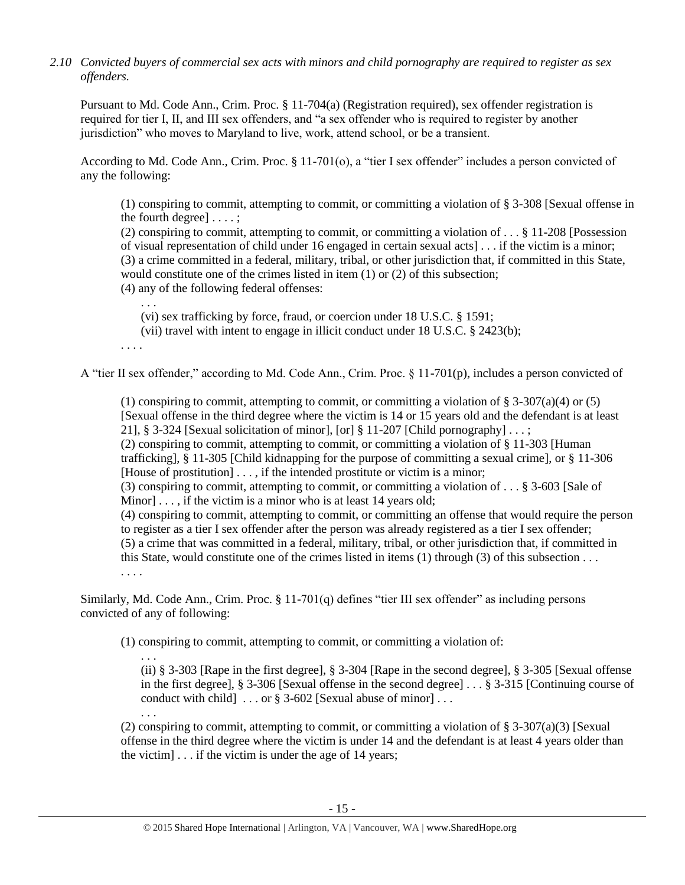*2.10 Convicted buyers of commercial sex acts with minors and child pornography are required to register as sex offenders.*

Pursuant to Md. Code Ann., Crim. Proc. § 11-704(a) (Registration required), sex offender registration is required for tier I, II, and III sex offenders, and "a sex offender who is required to register by another jurisdiction" who moves to Maryland to live, work, attend school, or be a transient.

According to Md. Code Ann., Crim. Proc. § 11-701(o), a "tier I sex offender" includes a person convicted of any the following:

(1) conspiring to commit, attempting to commit, or committing a violation of § 3-308 [Sexual offense in the fourth degree] . . . . ;

(2) conspiring to commit, attempting to commit, or committing a violation of . . . § 11-208 [Possession of visual representation of child under 16 engaged in certain sexual acts] . . . if the victim is a minor; (3) a crime committed in a federal, military, tribal, or other jurisdiction that, if committed in this State, would constitute one of the crimes listed in item (1) or (2) of this subsection;

(4) any of the following federal offenses:

. . . (vi) sex trafficking by force, fraud, or coercion under 18 U.S.C. § 1591;

(vii) travel with intent to engage in illicit conduct under 18 U.S.C. § 2423(b);

. . . .

. . .

A "tier II sex offender," according to Md. Code Ann., Crim. Proc. § 11-701(p), includes a person convicted of

(1) conspiring to commit, attempting to commit, or committing a violation of  $\S 3-307(a)(4)$  or (5) [Sexual offense in the third degree where the victim is 14 or 15 years old and the defendant is at least 21], § 3-324 [Sexual solicitation of minor], [or] § 11-207 [Child pornography]  $\dots$ ; (2) conspiring to commit, attempting to commit, or committing a violation of § 11-303 [Human trafficking], § 11-305 [Child kidnapping for the purpose of committing a sexual crime], or § 11-306 [House of prostitution] . . . , if the intended prostitute or victim is a minor; (3) conspiring to commit, attempting to commit, or committing a violation of . . . § 3-603 [Sale of Minor]  $\ldots$ , if the victim is a minor who is at least 14 years old; (4) conspiring to commit, attempting to commit, or committing an offense that would require the person to register as a tier I sex offender after the person was already registered as a tier I sex offender; (5) a crime that was committed in a federal, military, tribal, or other jurisdiction that, if committed in this State, would constitute one of the crimes listed in items (1) through (3) of this subsection . . . . . . .

Similarly, Md. Code Ann., Crim. Proc. § 11-701(q) defines "tier III sex offender" as including persons convicted of any of following:

(1) conspiring to commit, attempting to commit, or committing a violation of:

. . . (ii) § 3-303 [Rape in the first degree], § 3-304 [Rape in the second degree], § 3-305 [Sexual offense in the first degree], § 3-306 [Sexual offense in the second degree] . . . § 3-315 [Continuing course of conduct with child  $\ldots$  or § 3-602 [Sexual abuse of minor]...

(2) conspiring to commit, attempting to commit, or committing a violation of  $\S$  3-307(a)(3) [Sexual offense in the third degree where the victim is under 14 and the defendant is at least 4 years older than the victim]  $\ldots$  if the victim is under the age of 14 years;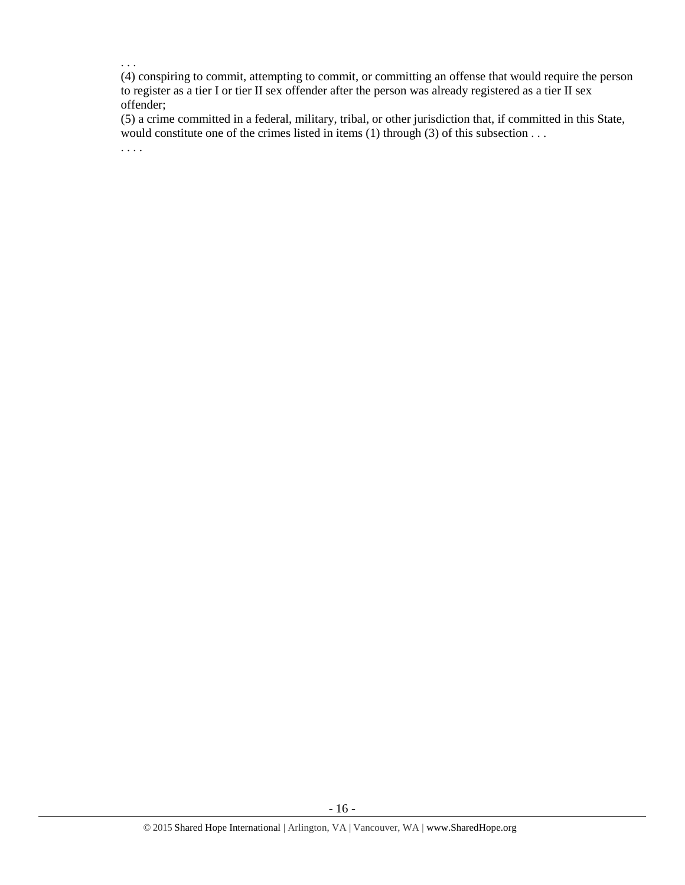. . .

(4) conspiring to commit, attempting to commit, or committing an offense that would require the person to register as a tier I or tier II sex offender after the person was already registered as a tier II sex offender;

(5) a crime committed in a federal, military, tribal, or other jurisdiction that, if committed in this State, would constitute one of the crimes listed in items (1) through (3) of this subsection . . .

. . . .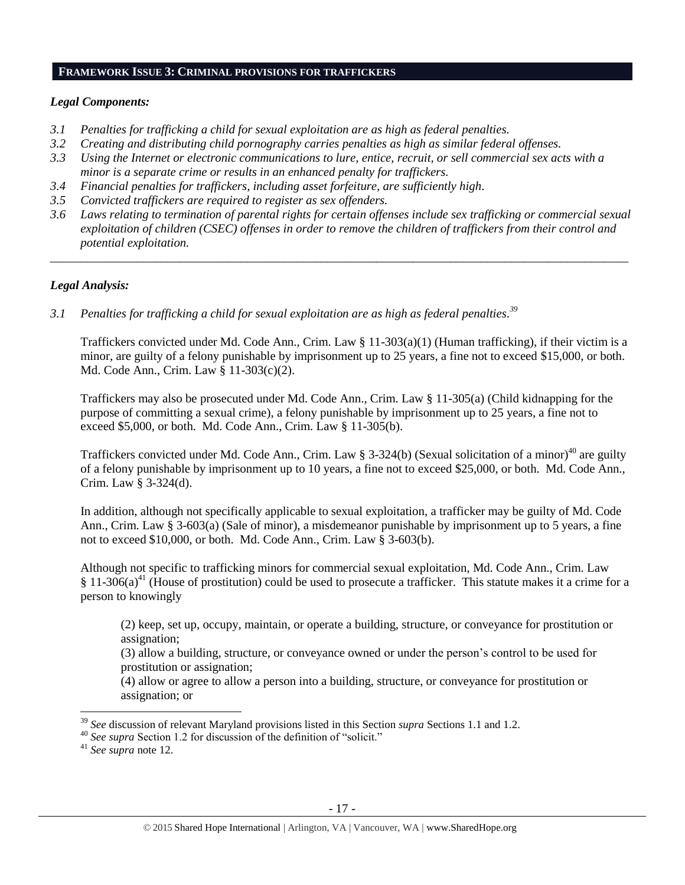#### **FRAMEWORK ISSUE 3: CRIMINAL PROVISIONS FOR TRAFFICKERS**

# *Legal Components:*

- *3.1 Penalties for trafficking a child for sexual exploitation are as high as federal penalties.*
- *3.2 Creating and distributing child pornography carries penalties as high as similar federal offenses.*
- *3.3 Using the Internet or electronic communications to lure, entice, recruit, or sell commercial sex acts with a minor is a separate crime or results in an enhanced penalty for traffickers.*
- *3.4 Financial penalties for traffickers, including asset forfeiture, are sufficiently high*.
- *3.5 Convicted traffickers are required to register as sex offenders.*
- *3.6 Laws relating to termination of parental rights for certain offenses include sex trafficking or commercial sexual exploitation of children (CSEC) offenses in order to remove the children of traffickers from their control and potential exploitation.*

*\_\_\_\_\_\_\_\_\_\_\_\_\_\_\_\_\_\_\_\_\_\_\_\_\_\_\_\_\_\_\_\_\_\_\_\_\_\_\_\_\_\_\_\_\_\_\_\_\_\_\_\_\_\_\_\_\_\_\_\_\_\_\_\_\_\_\_\_\_\_\_\_\_\_\_\_\_\_\_\_\_\_\_\_\_\_\_\_\_\_\_\_\_\_*

# *Legal Analysis:*

*3.1 Penalties for trafficking a child for sexual exploitation are as high as federal penalties. 39*

Traffickers convicted under Md. Code Ann., Crim. Law § 11-303(a)(1) (Human trafficking), if their victim is a minor, are guilty of a felony punishable by imprisonment up to 25 years, a fine not to exceed \$15,000, or both. Md. Code Ann., Crim. Law § 11-303(c)(2).

Traffickers may also be prosecuted under Md. Code Ann., Crim. Law § 11-305(a) (Child kidnapping for the purpose of committing a sexual crime), a felony punishable by imprisonment up to 25 years, a fine not to exceed \$5,000, or both. Md. Code Ann., Crim. Law § 11-305(b).

Traffickers convicted under Md. Code Ann., Crim. Law § 3-324(b) (Sexual solicitation of a minor)<sup>40</sup> are guilty of a felony punishable by imprisonment up to 10 years, a fine not to exceed \$25,000, or both. Md. Code Ann., Crim. Law § 3-324(d).

In addition, although not specifically applicable to sexual exploitation, a trafficker may be guilty of Md. Code Ann., Crim. Law § 3-603(a) (Sale of minor), a misdemeanor punishable by imprisonment up to 5 years, a fine not to exceed \$10,000, or both. Md. Code Ann., Crim. Law § 3-603(b).

Although not specific to trafficking minors for commercial sexual exploitation, Md. Code Ann., Crim. Law § 11-306(a)<sup>41</sup> (House of prostitution) could be used to prosecute a trafficker. This statute makes it a crime for a person to knowingly

(2) keep, set up, occupy, maintain, or operate a building, structure, or conveyance for prostitution or assignation;

(3) allow a building, structure, or conveyance owned or under the person's control to be used for prostitution or assignation;

(4) allow or agree to allow a person into a building, structure, or conveyance for prostitution or assignation; or

 $\overline{\phantom{a}}$ 

<sup>39</sup> *See* discussion of relevant Maryland provisions listed in this Section *supra* Sections 1.1 and 1.2.

<sup>&</sup>lt;sup>40</sup> See supra Section 1.2 for discussion of the definition of "solicit."

<sup>41</sup> *See supra* note [12.](#page-5-0)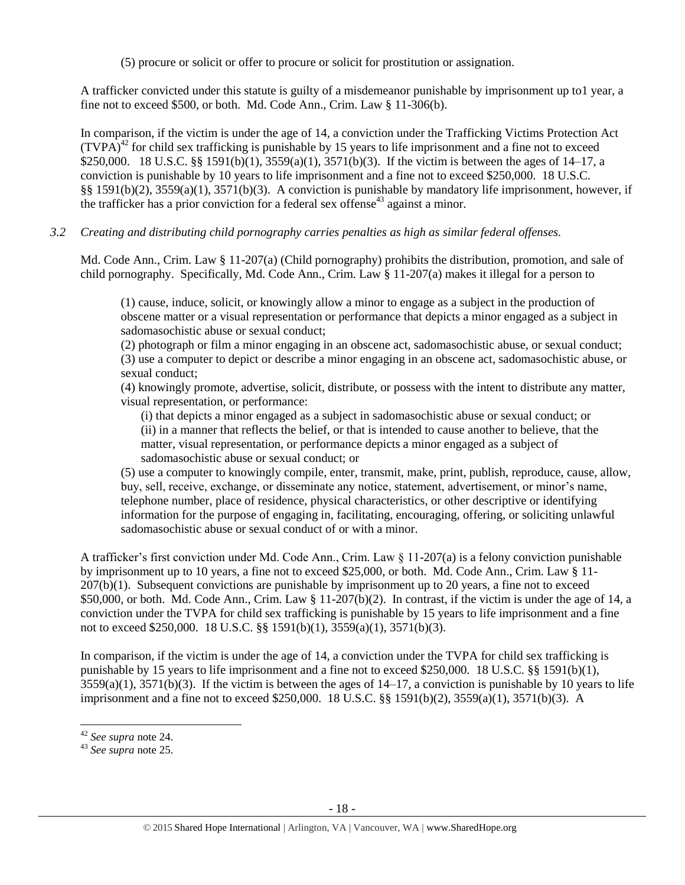(5) procure or solicit or offer to procure or solicit for prostitution or assignation.

A trafficker convicted under this statute is guilty of a misdemeanor punishable by imprisonment up to1 year, a fine not to exceed \$500, or both. Md. Code Ann., Crim. Law § 11-306(b).

In comparison, if the victim is under the age of 14, a conviction under the Trafficking Victims Protection Act  $(TVPA)<sup>42</sup>$  for child sex trafficking is punishable by 15 years to life imprisonment and a fine not to exceed \$250,000. 18 U.S.C. §§ 1591(b)(1), 3559(a)(1), 3571(b)(3). If the victim is between the ages of 14–17, a conviction is punishable by 10 years to life imprisonment and a fine not to exceed \$250,000. 18 U.S.C. §§ 1591(b)(2), 3559(a)(1), 3571(b)(3). A conviction is punishable by mandatory life imprisonment, however, if the trafficker has a prior conviction for a federal sex offense<sup>43</sup> against a minor.

*3.2 Creating and distributing child pornography carries penalties as high as similar federal offenses.*

Md. Code Ann., Crim. Law § 11-207(a) (Child pornography) prohibits the distribution, promotion, and sale of child pornography. Specifically, Md. Code Ann., Crim. Law § 11-207(a) makes it illegal for a person to

(1) cause, induce, solicit, or knowingly allow a minor to engage as a subject in the production of obscene matter or a visual representation or performance that depicts a minor engaged as a subject in sadomasochistic abuse or sexual conduct;

(2) photograph or film a minor engaging in an obscene act, sadomasochistic abuse, or sexual conduct; (3) use a computer to depict or describe a minor engaging in an obscene act, sadomasochistic abuse, or sexual conduct;

(4) knowingly promote, advertise, solicit, distribute, or possess with the intent to distribute any matter, visual representation, or performance:

(i) that depicts a minor engaged as a subject in sadomasochistic abuse or sexual conduct; or (ii) in a manner that reflects the belief, or that is intended to cause another to believe, that the matter, visual representation, or performance depicts a minor engaged as a subject of sadomasochistic abuse or sexual conduct; or

(5) use a computer to knowingly compile, enter, transmit, make, print, publish, reproduce, cause, allow, buy, sell, receive, exchange, or disseminate any notice, statement, advertisement, or minor's name, telephone number, place of residence, physical characteristics, or other descriptive or identifying information for the purpose of engaging in, facilitating, encouraging, offering, or soliciting unlawful sadomasochistic abuse or sexual conduct of or with a minor.

A trafficker's first conviction under Md. Code Ann., Crim. Law  $\S$  11-207(a) is a felony conviction punishable by imprisonment up to 10 years, a fine not to exceed \$25,000, or both. Md. Code Ann., Crim. Law § 11- 207(b)(1). Subsequent convictions are punishable by imprisonment up to 20 years, a fine not to exceed \$50,000, or both. Md. Code Ann., Crim. Law  $\S 11-207(b)(2)$ . In contrast, if the victim is under the age of 14, a conviction under the TVPA for child sex trafficking is punishable by 15 years to life imprisonment and a fine not to exceed \$250,000. 18 U.S.C. §§ 1591(b)(1), 3559(a)(1), 3571(b)(3).

In comparison, if the victim is under the age of 14, a conviction under the TVPA for child sex trafficking is punishable by 15 years to life imprisonment and a fine not to exceed \$250,000. 18 U.S.C. §§ 1591(b)(1),  $3559(a)(1)$ ,  $3571(b)(3)$ . If the victim is between the ages of  $14-17$ , a conviction is punishable by 10 years to life imprisonment and a fine not to exceed \$250,000. 18 U.S.C. §§ 1591(b)(2), 3559(a)(1), 3571(b)(3). A

l

<sup>42</sup> *See supra* note [24.](#page-10-0)

<sup>43</sup> *See supra* note [25.](#page-10-1)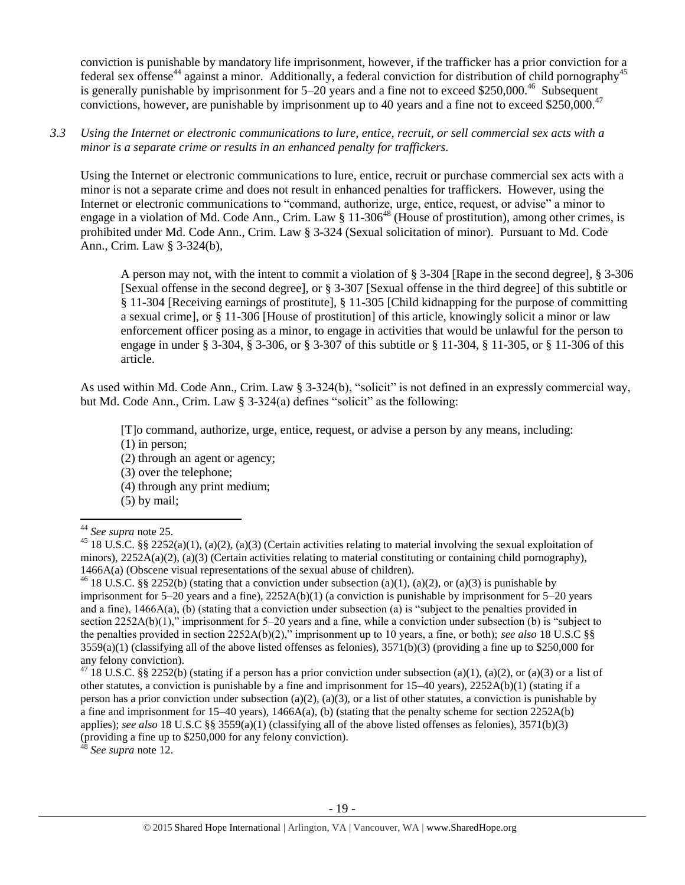conviction is punishable by mandatory life imprisonment, however, if the trafficker has a prior conviction for a federal sex offense<sup>44</sup> against a minor. Additionally, a federal conviction for distribution of child pornography<sup>45</sup> is generally punishable by imprisonment for  $5-20$  years and a fine not to exceed \$250,000.<sup>46</sup> Subsequent convictions, however, are punishable by imprisonment up to 40 years and a fine not to exceed \$250,000.<sup>47</sup>

#### *3.3 Using the Internet or electronic communications to lure, entice, recruit, or sell commercial sex acts with a minor is a separate crime or results in an enhanced penalty for traffickers.*

Using the Internet or electronic communications to lure, entice, recruit or purchase commercial sex acts with a minor is not a separate crime and does not result in enhanced penalties for traffickers. However, using the Internet or electronic communications to "command, authorize, urge, entice, request, or advise" a minor to engage in a violation of Md. Code Ann., Crim. Law § 11-306<sup>48</sup> (House of prostitution), among other crimes, is prohibited under Md. Code Ann., Crim. Law § 3-324 (Sexual solicitation of minor). Pursuant to Md. Code Ann., Crim. Law § 3-324(b),

A person may not, with the intent to commit a violation of § 3-304 [Rape in the second degree], § 3-306 [Sexual offense in the second degree], or § 3-307 [Sexual offense in the third degree] of this subtitle or § 11-304 [Receiving earnings of prostitute], § 11-305 [Child kidnapping for the purpose of committing a sexual crime], or § 11-306 [House of prostitution] of this article, knowingly solicit a minor or law enforcement officer posing as a minor, to engage in activities that would be unlawful for the person to engage in under § 3-304, § 3-306, or § 3-307 of this subtitle or § 11-304, § 11-305, or § 11-306 of this article.

As used within Md. Code Ann., Crim. Law § 3-324(b), "solicit" is not defined in an expressly commercial way, but Md. Code Ann., Crim. Law § 3-324(a) defines "solicit" as the following:

[T]o command, authorize, urge, entice, request, or advise a person by any means, including:

(1) in person;

(2) through an agent or agency;

(3) over the telephone;

(4) through any print medium;

(5) by mail;

 $\overline{\phantom{a}}$ 

<sup>48</sup> *See supra* note [12.](#page-5-0)

<sup>44</sup> *See supra* note [25.](#page-10-1)

<sup>&</sup>lt;sup>45</sup> 18 U.S.C. §§ 2252(a)(1), (a)(2), (a)(3) (Certain activities relating to material involving the sexual exploitation of minors),  $2252A(a)(2)$ , (a)(3) (Certain activities relating to material constituting or containing child pornography), 1466A(a) (Obscene visual representations of the sexual abuse of children).

<sup>&</sup>lt;sup>46</sup> 18 U.S.C. §§ 2252(b) (stating that a conviction under subsection (a)(1), (a)(2), or (a)(3) is punishable by imprisonment for  $5-20$  years and a fine),  $2252A(b)(1)$  (a conviction is punishable by imprisonment for  $5-20$  years and a fine), 1466A(a), (b) (stating that a conviction under subsection (a) is "subject to the penalties provided in section 2252A(b)(1)," imprisonment for 5–20 years and a fine, while a conviction under subsection (b) is "subject to the penalties provided in section 2252A(b)(2)," imprisonment up to 10 years, a fine, or both); *see also* 18 U.S.C §§  $3559(a)(1)$  (classifying all of the above listed offenses as felonies),  $3571(b)(3)$  (providing a fine up to \$250,000 for any felony conviction).

<sup>&</sup>lt;sup>47</sup> 18 U.S.C. §§ 2252(b) (stating if a person has a prior conviction under subsection (a)(1), (a)(2), or (a)(3) or a list of other statutes, a conviction is punishable by a fine and imprisonment for 15–40 years), 2252A(b)(1) (stating if a person has a prior conviction under subsection (a)(2), (a)(3), or a list of other statutes, a conviction is punishable by a fine and imprisonment for 15–40 years), 1466A(a), (b) (stating that the penalty scheme for section 2252A(b) applies); *see also* 18 U.S.C §§ 3559(a)(1) (classifying all of the above listed offenses as felonies), 3571(b)(3) (providing a fine up to  $$250,000$  for any felony conviction).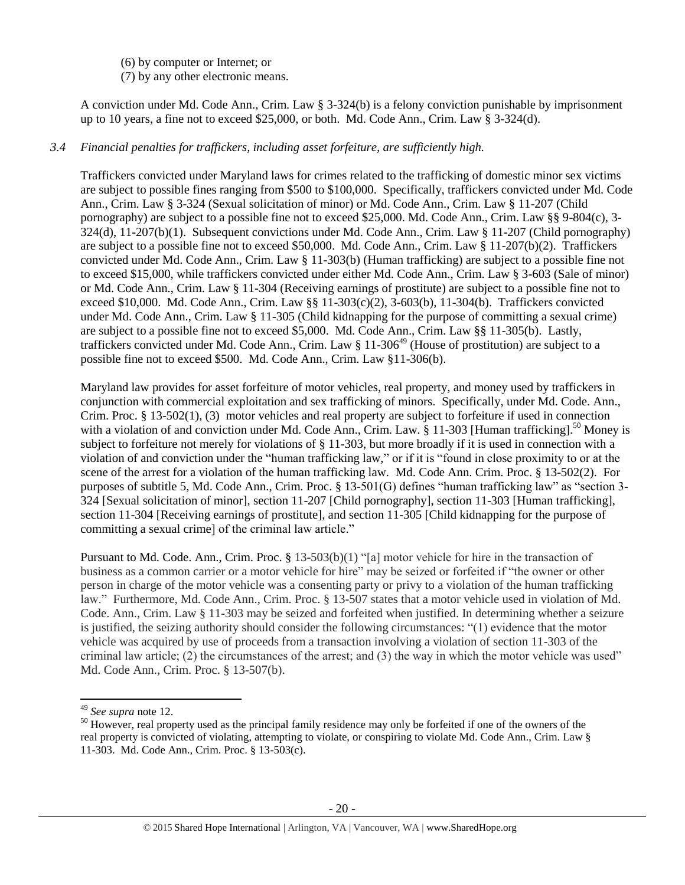(6) by computer or Internet; or

(7) by any other electronic means.

A conviction under Md. Code Ann., Crim. Law § 3-324(b) is a felony conviction punishable by imprisonment up to 10 years, a fine not to exceed \$25,000, or both. Md. Code Ann., Crim. Law § 3-324(d).

# *3.4 Financial penalties for traffickers, including asset forfeiture, are sufficiently high.*

Traffickers convicted under Maryland laws for crimes related to the trafficking of domestic minor sex victims are subject to possible fines ranging from \$500 to \$100,000. Specifically, traffickers convicted under Md. Code Ann., Crim. Law § 3-324 (Sexual solicitation of minor) or Md. Code Ann., Crim. Law § 11-207 (Child pornography) are subject to a possible fine not to exceed \$25,000. Md. Code Ann., Crim. Law §§ 9-804(c), 3- 324(d), 11-207(b)(1). Subsequent convictions under Md. Code Ann., Crim. Law § 11-207 (Child pornography) are subject to a possible fine not to exceed \$50,000. Md. Code Ann., Crim. Law § 11-207(b)(2). Traffickers convicted under Md. Code Ann., Crim. Law § 11-303(b) (Human trafficking) are subject to a possible fine not to exceed \$15,000, while traffickers convicted under either Md. Code Ann., Crim. Law § 3-603 (Sale of minor) or Md. Code Ann., Crim. Law § 11-304 (Receiving earnings of prostitute) are subject to a possible fine not to exceed \$10,000. Md. Code Ann., Crim. Law §§ 11-303(c)(2), 3-603(b), 11-304(b). Traffickers convicted under Md. Code Ann., Crim. Law § 11-305 (Child kidnapping for the purpose of committing a sexual crime) are subject to a possible fine not to exceed \$5,000. Md. Code Ann., Crim. Law §§ 11-305(b). Lastly, traffickers convicted under Md. Code Ann., Crim. Law  $\S 11-306^{49}$  (House of prostitution) are subject to a possible fine not to exceed \$500. Md. Code Ann., Crim. Law §11-306(b).

<span id="page-19-0"></span>Maryland law provides for asset forfeiture of motor vehicles, real property, and money used by traffickers in conjunction with commercial exploitation and sex trafficking of minors. Specifically, under Md. Code. Ann., Crim. Proc. § 13-502(1), (3) motor vehicles and real property are subject to forfeiture if used in connection with a violation of and conviction under Md. Code Ann., Crim. Law. § 11-303 [Human trafficking].<sup>50</sup> Money is subject to forfeiture not merely for violations of § 11-303, but more broadly if it is used in connection with a violation of and conviction under the "human trafficking law," or if it is "found in close proximity to or at the scene of the arrest for a violation of the human trafficking law. Md. Code Ann. Crim. Proc. § 13-502(2). For purposes of subtitle 5, Md. Code Ann., Crim. Proc. § 13-501(G) defines "human trafficking law" as "section 3- 324 [Sexual solicitation of minor], section 11-207 [Child pornography], section 11-303 [Human trafficking], section 11-304 [Receiving earnings of prostitute], and section 11-305 [Child kidnapping for the purpose of committing a sexual crime] of the criminal law article."

Pursuant to Md. Code. Ann., Crim. Proc. § 13-503(b)(1) "[a] motor vehicle for hire in the transaction of business as a common carrier or a motor vehicle for hire" may be seized or forfeited if "the owner or other person in charge of the motor vehicle was a consenting party or privy to a violation of the human trafficking law." Furthermore, Md. Code Ann., Crim. Proc. § 13-507 states that a motor vehicle used in violation of Md. Code. Ann., Crim. Law § 11-303 may be seized and forfeited when justified. In determining whether a seizure is justified, the seizing authority should consider the following circumstances: "(1) evidence that the motor vehicle was acquired by use of proceeds from a transaction involving a violation of section 11-303 of the criminal law article; (2) the circumstances of the arrest; and (3) the way in which the motor vehicle was used" Md. Code Ann., Crim. Proc. § 13-507(b).

 $\overline{a}$ 

<sup>49</sup> *See supra* note [12.](#page-5-0)

 $50$  However, real property used as the principal family residence may only be forfeited if one of the owners of the real property is convicted of violating, attempting to violate, or conspiring to violate Md. Code Ann., Crim. Law § 11-303. Md. Code Ann., Crim. Proc. § 13-503(c).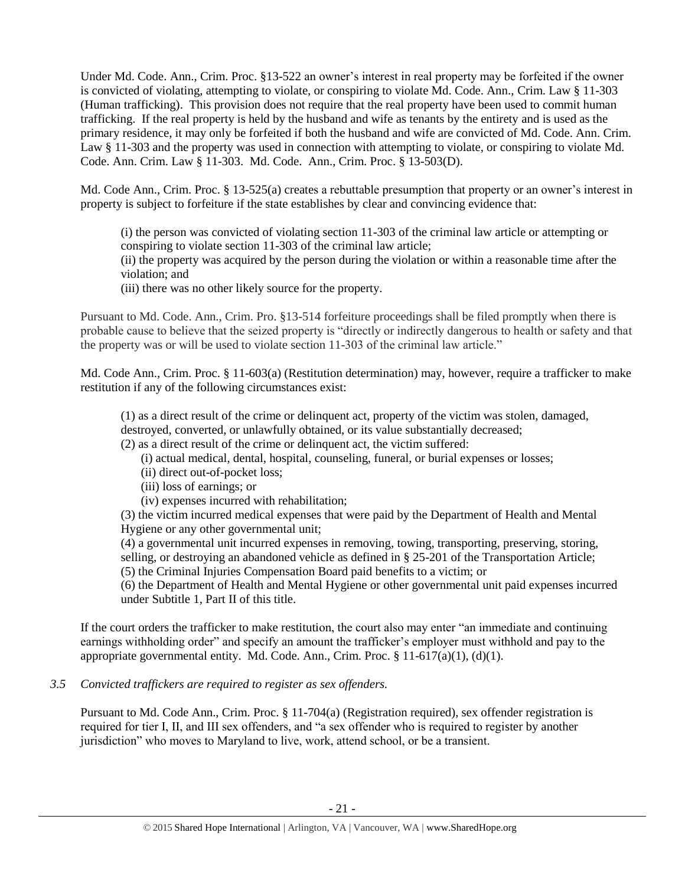Under Md. Code. Ann., Crim. Proc. §13-522 an owner's interest in real property may be forfeited if the owner is convicted of violating, attempting to violate, or conspiring to violate Md. Code. Ann., Crim. Law § 11-303 (Human trafficking). This provision does not require that the real property have been used to commit human trafficking. If the real property is held by the husband and wife as tenants by the entirety and is used as the primary residence, it may only be forfeited if both the husband and wife are convicted of Md. Code. Ann. Crim. Law § 11-303 and the property was used in connection with attempting to violate, or conspiring to violate Md. Code. Ann. Crim. Law § 11-303. Md. Code. Ann., Crim. Proc. § 13-503(D).

Md. Code Ann., Crim. Proc. § 13-525(a) creates a rebuttable presumption that property or an owner's interest in property is subject to forfeiture if the state establishes by clear and convincing evidence that:

(i) the person was convicted of violating section 11-303 of the criminal law article or attempting or conspiring to violate section 11-303 of the criminal law article;

(ii) the property was acquired by the person during the violation or within a reasonable time after the violation; and

(iii) there was no other likely source for the property.

Pursuant to Md. Code. Ann., Crim. Pro. §13-514 forfeiture proceedings shall be filed promptly when there is probable cause to believe that the seized property is "directly or indirectly dangerous to health or safety and that the property was or will be used to violate section 11-303 of the criminal law article."

Md. Code Ann., Crim. Proc. § 11-603(a) (Restitution determination) may, however, require a trafficker to make restitution if any of the following circumstances exist:

(1) as a direct result of the crime or delinquent act, property of the victim was stolen, damaged, destroyed, converted, or unlawfully obtained, or its value substantially decreased;

(2) as a direct result of the crime or delinquent act, the victim suffered:

- (i) actual medical, dental, hospital, counseling, funeral, or burial expenses or losses;
- (ii) direct out-of-pocket loss;
- (iii) loss of earnings; or
- (iv) expenses incurred with rehabilitation;

(3) the victim incurred medical expenses that were paid by the Department of Health and Mental Hygiene or any other governmental unit;

(4) a governmental unit incurred expenses in removing, towing, transporting, preserving, storing, selling, or destroying an abandoned vehicle as defined in § 25-201 of the Transportation Article; (5) the Criminal Injuries Compensation Board paid benefits to a victim; or

(6) the Department of Health and Mental Hygiene or other governmental unit paid expenses incurred under Subtitle 1, Part II of this title.

If the court orders the trafficker to make restitution, the court also may enter "an immediate and continuing earnings withholding order" and specify an amount the trafficker's employer must withhold and pay to the appropriate governmental entity. Md. Code. Ann., Crim. Proc.  $\S 11-617(a)(1)$ , (d)(1).

# *3.5 Convicted traffickers are required to register as sex offenders.*

Pursuant to Md. Code Ann., Crim. Proc. § 11-704(a) (Registration required), sex offender registration is required for tier I, II, and III sex offenders, and "a sex offender who is required to register by another jurisdiction" who moves to Maryland to live, work, attend school, or be a transient.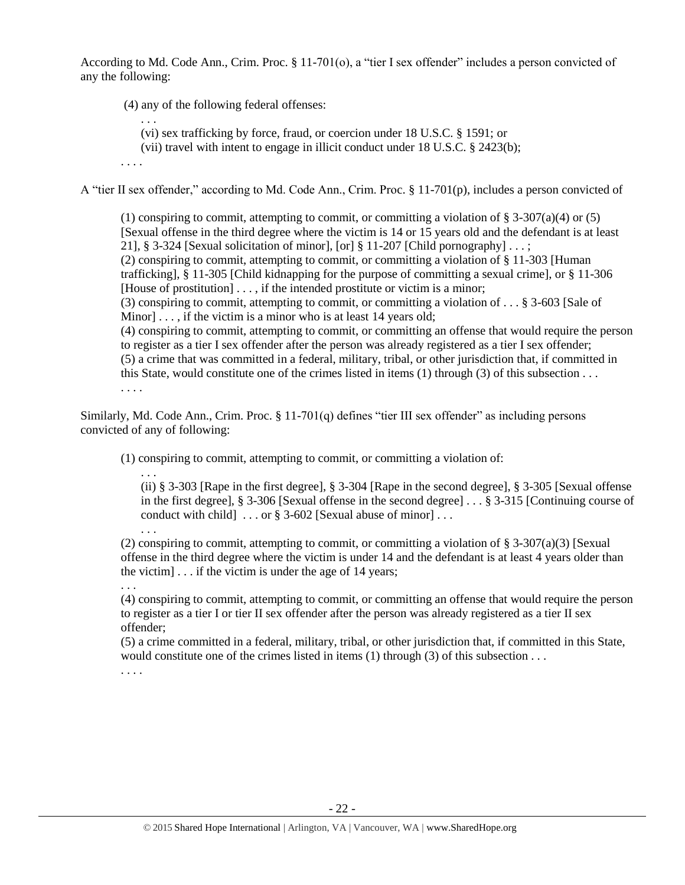According to Md. Code Ann., Crim. Proc. § 11-701(o), a "tier I sex offender" includes a person convicted of any the following:

(4) any of the following federal offenses:

(vi) sex trafficking by force, fraud, or coercion under 18 U.S.C. § 1591; or

(vii) travel with intent to engage in illicit conduct under 18 U.S.C. § 2423(b);

. . . .

. . .

A "tier II sex offender," according to Md. Code Ann., Crim. Proc. § 11-701(p), includes a person convicted of

(1) conspiring to commit, attempting to commit, or committing a violation of  $\S 3-307(a)(4)$  or (5) [Sexual offense in the third degree where the victim is 14 or 15 years old and the defendant is at least 21], § 3-324 [Sexual solicitation of minor], [or] § 11-207 [Child pornography]  $\dots$ ; (2) conspiring to commit, attempting to commit, or committing a violation of § 11-303 [Human trafficking], § 11-305 [Child kidnapping for the purpose of committing a sexual crime], or § 11-306 [House of prostitution]  $\dots$ , if the intended prostitute or victim is a minor; (3) conspiring to commit, attempting to commit, or committing a violation of . . . § 3-603 [Sale of Minor] . . . , if the victim is a minor who is at least 14 years old; (4) conspiring to commit, attempting to commit, or committing an offense that would require the person to register as a tier I sex offender after the person was already registered as a tier I sex offender; (5) a crime that was committed in a federal, military, tribal, or other jurisdiction that, if committed in this State, would constitute one of the crimes listed in items (1) through (3) of this subsection . . .

. . . .

Similarly, Md. Code Ann., Crim. Proc. § 11-701(q) defines "tier III sex offender" as including persons convicted of any of following:

(1) conspiring to commit, attempting to commit, or committing a violation of:

. . . (ii) § 3-303 [Rape in the first degree], § 3-304 [Rape in the second degree], § 3-305 [Sexual offense in the first degree], § 3-306 [Sexual offense in the second degree] . . . § 3-315 [Continuing course of conduct with child  $\ldots$  or § 3-602 [Sexual abuse of minor]...

(2) conspiring to commit, attempting to commit, or committing a violation of  $\S 3-307(a)(3)$  [Sexual offense in the third degree where the victim is under 14 and the defendant is at least 4 years older than the victim]  $\ldots$  if the victim is under the age of 14 years;

(4) conspiring to commit, attempting to commit, or committing an offense that would require the person to register as a tier I or tier II sex offender after the person was already registered as a tier II sex offender;

(5) a crime committed in a federal, military, tribal, or other jurisdiction that, if committed in this State, would constitute one of the crimes listed in items (1) through (3) of this subsection . . .

. . . .

. . .

. . .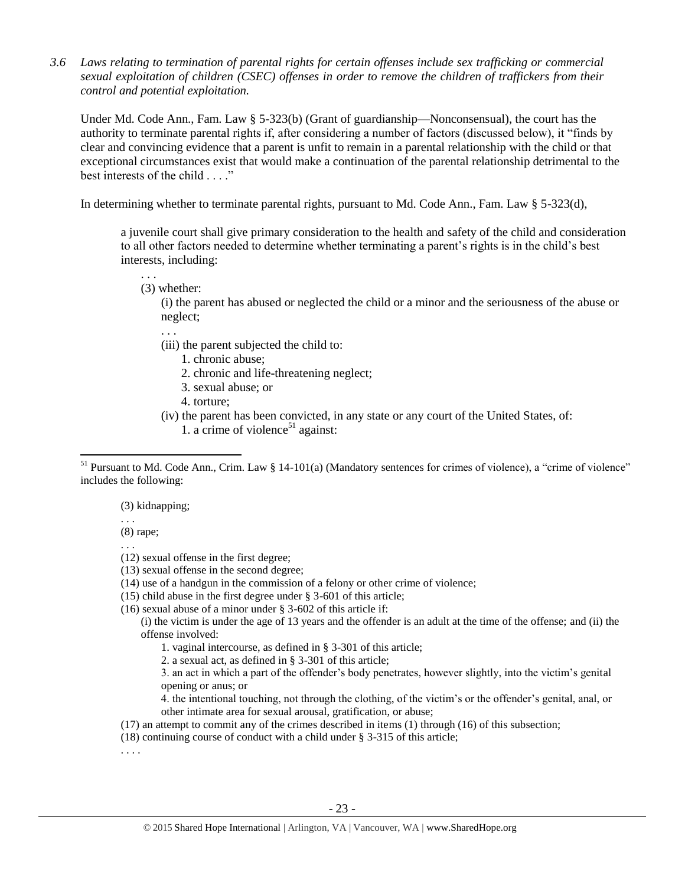*3.6 Laws relating to termination of parental rights for certain offenses include sex trafficking or commercial sexual exploitation of children (CSEC) offenses in order to remove the children of traffickers from their control and potential exploitation.* 

Under Md. Code Ann., Fam. Law § 5-323(b) (Grant of guardianship—Nonconsensual), the court has the authority to terminate parental rights if, after considering a number of factors (discussed below), it "finds by clear and convincing evidence that a parent is unfit to remain in a parental relationship with the child or that exceptional circumstances exist that would make a continuation of the parental relationship detrimental to the best interests of the child . . . ."

In determining whether to terminate parental rights, pursuant to Md. Code Ann., Fam. Law § 5-323(d),

a juvenile court shall give primary consideration to the health and safety of the child and consideration to all other factors needed to determine whether terminating a parent's rights is in the child's best interests, including:

(3) whether:

. . .

(i) the parent has abused or neglected the child or a minor and the seriousness of the abuse or neglect;

. . .

- (iii) the parent subjected the child to:
	- 1. chronic abuse;
	- 2. chronic and life-threatening neglect;
	- 3. sexual abuse; or
	- 4. torture;
- (iv) the parent has been convicted, in any state or any court of the United States, of:
	- 1. a crime of violence<sup>51</sup> against:

(3) kidnapping;

. . . (8) rape;

l

- . . .
- (12) sexual offense in the first degree;
- (13) sexual offense in the second degree;
- (14) use of a handgun in the commission of a felony or other crime of violence;
- (15) child abuse in the first degree under § 3-601 of this article;
- (16) sexual abuse of a minor under § 3-602 of this article if:

(i) the victim is under the age of 13 years and the offender is an adult at the time of the offense; and (ii) the offense involved:

1. vaginal intercourse, as defined in § 3-301 of this article;

2. a sexual act, as defined in § 3-301 of this article;

3. an act in which a part of the offender's body penetrates, however slightly, into the victim's genital opening or anus; or

4. the intentional touching, not through the clothing, of the victim's or the offender's genital, anal, or other intimate area for sexual arousal, gratification, or abuse;

- (17) an attempt to commit any of the crimes described in items (1) through (16) of this subsection;
- (18) continuing course of conduct with a child under § 3-315 of this article;

. . . .

 $51$  Pursuant to Md. Code Ann., Crim. Law § 14-101(a) (Mandatory sentences for crimes of violence), a "crime of violence" includes the following: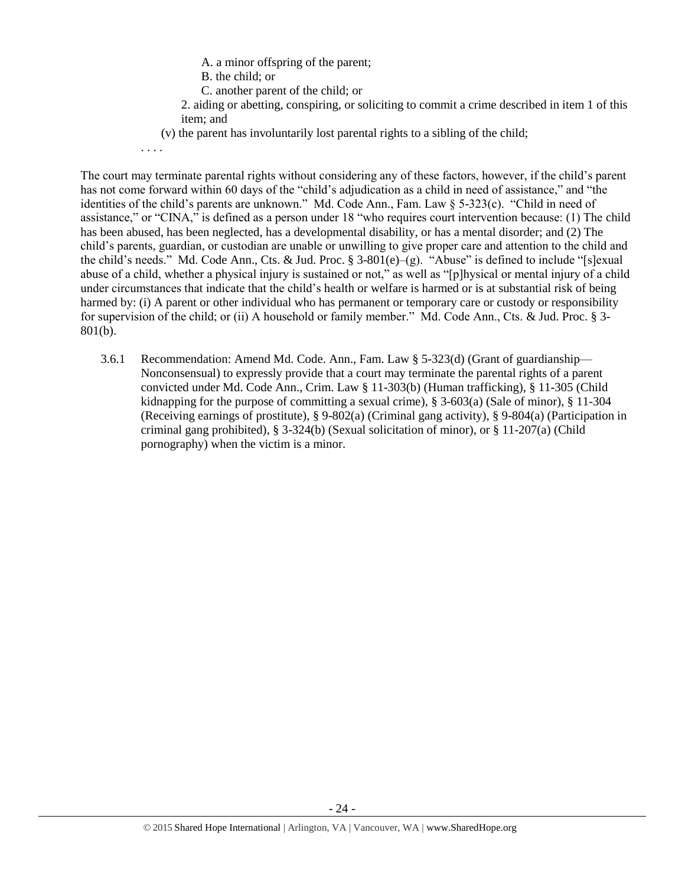- A. a minor offspring of the parent;
- B. the child; or
- C. another parent of the child; or
- 2. aiding or abetting, conspiring, or soliciting to commit a crime described in item 1 of this item; and
- (v) the parent has involuntarily lost parental rights to a sibling of the child;
- . . . .

The court may terminate parental rights without considering any of these factors, however, if the child's parent has not come forward within 60 days of the "child's adjudication as a child in need of assistance," and "the identities of the child's parents are unknown." Md. Code Ann., Fam. Law § 5-323(c). "Child in need of assistance," or "CINA," is defined as a person under 18 "who requires court intervention because: (1) The child has been abused, has been neglected, has a developmental disability, or has a mental disorder; and (2) The child's parents, guardian, or custodian are unable or unwilling to give proper care and attention to the child and the child's needs." Md. Code Ann., Cts. & Jud. Proc. § 3-801(e)–(g). "Abuse" is defined to include "[s]exual abuse of a child, whether a physical injury is sustained or not," as well as "[p]hysical or mental injury of a child under circumstances that indicate that the child's health or welfare is harmed or is at substantial risk of being harmed by: (i) A parent or other individual who has permanent or temporary care or custody or responsibility for supervision of the child; or (ii) A household or family member." Md. Code Ann., Cts. & Jud. Proc. § 3- 801(b).

3.6.1 Recommendation: Amend Md. Code. Ann., Fam. Law § 5-323(d) (Grant of guardianship— Nonconsensual) to expressly provide that a court may terminate the parental rights of a parent convicted under Md. Code Ann., Crim. Law § 11-303(b) (Human trafficking), § 11-305 (Child kidnapping for the purpose of committing a sexual crime),  $\S$  3-603(a) (Sale of minor),  $\S$  11-304 (Receiving earnings of prostitute), § 9-802(a) (Criminal gang activity), § 9-804(a) (Participation in criminal gang prohibited), § 3-324(b) (Sexual solicitation of minor), or § 11-207(a) (Child pornography) when the victim is a minor.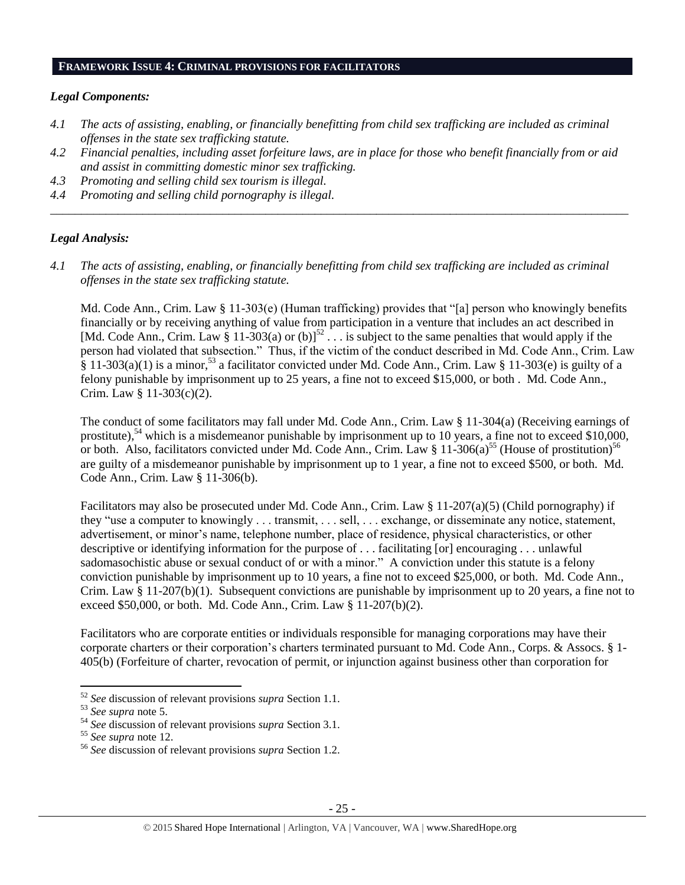#### **FRAMEWORK ISSUE 4: CRIMINAL PROVISIONS FOR FACILITATORS**

#### *Legal Components:*

- *4.1 The acts of assisting, enabling, or financially benefitting from child sex trafficking are included as criminal offenses in the state sex trafficking statute.*
- *4.2 Financial penalties, including asset forfeiture laws, are in place for those who benefit financially from or aid and assist in committing domestic minor sex trafficking.*

*\_\_\_\_\_\_\_\_\_\_\_\_\_\_\_\_\_\_\_\_\_\_\_\_\_\_\_\_\_\_\_\_\_\_\_\_\_\_\_\_\_\_\_\_\_\_\_\_\_\_\_\_\_\_\_\_\_\_\_\_\_\_\_\_\_\_\_\_\_\_\_\_\_\_\_\_\_\_\_\_\_\_\_\_\_\_\_\_\_\_\_\_\_\_*

- *4.3 Promoting and selling child sex tourism is illegal.*
- *4.4 Promoting and selling child pornography is illegal.*

#### *Legal Analysis:*

*4.1 The acts of assisting, enabling, or financially benefitting from child sex trafficking are included as criminal offenses in the state sex trafficking statute.*

Md. Code Ann., Crim. Law § 11-303(e) (Human trafficking) provides that "[a] person who knowingly benefits financially or by receiving anything of value from participation in a venture that includes an act described in [Md. Code Ann., Crim. Law § 11-303(a) or (b)]<sup>52</sup>  $\ldots$  is subject to the same penalties that would apply if the person had violated that subsection." Thus, if the victim of the conduct described in Md. Code Ann., Crim. Law  $\hat{\S}$  11-303(a)(1) is a minor,<sup>53</sup> a facilitator convicted under Md. Code Ann., Crim. Law  $\S$  11-303(e) is guilty of a felony punishable by imprisonment up to 25 years, a fine not to exceed \$15,000, or both . Md. Code Ann., Crim. Law § 11-303(c)(2).

The conduct of some facilitators may fall under Md. Code Ann., Crim. Law § 11-304(a) (Receiving earnings of prostitute),<sup>54</sup> which is a misdemeanor punishable by imprisonment up to 10 years, a fine not to exceed \$10,000, or both. Also, facilitators convicted under Md. Code Ann., Crim. Law § 11-306(a)<sup>55</sup> (House of prostitution)<sup>56</sup> are guilty of a misdemeanor punishable by imprisonment up to 1 year, a fine not to exceed \$500, or both. Md. Code Ann., Crim. Law § 11-306(b).

Facilitators may also be prosecuted under Md. Code Ann., Crim. Law § 11-207(a)(5) (Child pornography) if they "use a computer to knowingly . . . transmit, . . . sell, . . . exchange, or disseminate any notice, statement, advertisement, or minor's name, telephone number, place of residence, physical characteristics, or other descriptive or identifying information for the purpose of . . . facilitating [or] encouraging . . . unlawful sadomasochistic abuse or sexual conduct of or with a minor." A conviction under this statute is a felony conviction punishable by imprisonment up to 10 years, a fine not to exceed \$25,000, or both. Md. Code Ann., Crim. Law  $\S 11-207(b)(1)$ . Subsequent convictions are punishable by imprisonment up to 20 years, a fine not to exceed \$50,000, or both. Md. Code Ann., Crim. Law § 11-207(b)(2).

Facilitators who are corporate entities or individuals responsible for managing corporations may have their corporate charters or their corporation's charters terminated pursuant to Md. Code Ann., Corps. & Assocs. § 1- 405(b) (Forfeiture of charter, revocation of permit, or injunction against business other than corporation for

 $\overline{\phantom{a}}$ 

<sup>52</sup> *See* discussion of relevant provisions *supra* Section 1.1.

<sup>53</sup> *See supra* note [5.](#page-1-1)

<sup>54</sup> *See* discussion of relevant provisions *supra* Section 3.1.

<sup>55</sup> *See supra* note [12.](#page-5-0)

<sup>56</sup> *See* discussion of relevant provisions *supra* Section 1.2.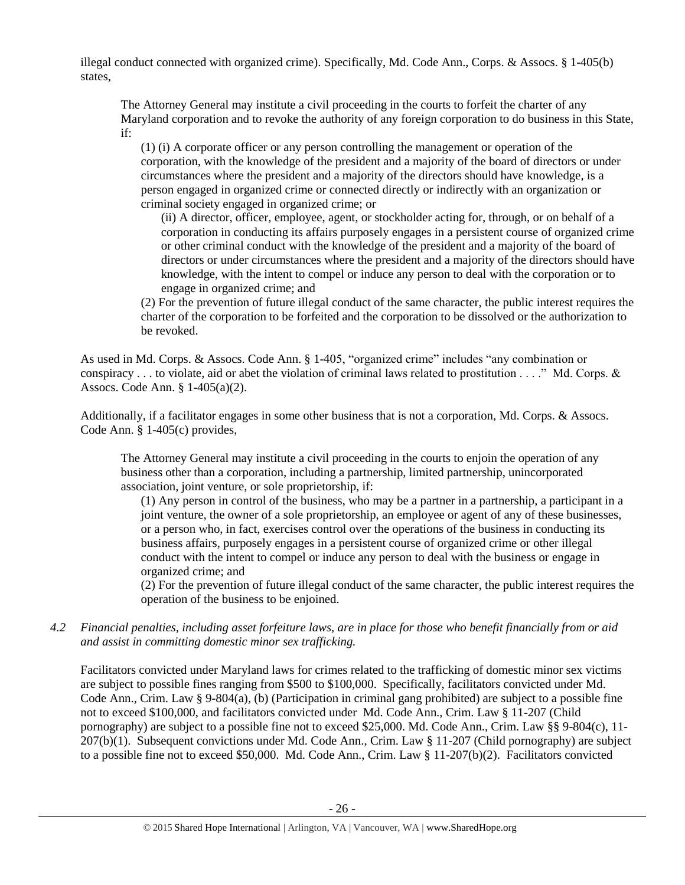illegal conduct connected with organized crime). Specifically, Md. Code Ann., Corps. & Assocs. § 1-405(b) states,

The Attorney General may institute a civil proceeding in the courts to forfeit the charter of any Maryland corporation and to revoke the authority of any foreign corporation to do business in this State, if:

(1) (i) A corporate officer or any person controlling the management or operation of the corporation, with the knowledge of the president and a majority of the board of directors or under circumstances where the president and a majority of the directors should have knowledge, is a person engaged in organized crime or connected directly or indirectly with an organization or criminal society engaged in organized crime; or

(ii) A director, officer, employee, agent, or stockholder acting for, through, or on behalf of a corporation in conducting its affairs purposely engages in a persistent course of organized crime or other criminal conduct with the knowledge of the president and a majority of the board of directors or under circumstances where the president and a majority of the directors should have knowledge, with the intent to compel or induce any person to deal with the corporation or to engage in organized crime; and

(2) For the prevention of future illegal conduct of the same character, the public interest requires the charter of the corporation to be forfeited and the corporation to be dissolved or the authorization to be revoked.

As used in Md. Corps. & Assocs. Code Ann. § 1-405, "organized crime" includes "any combination or conspiracy  $\dots$  to violate, aid or abet the violation of criminal laws related to prostitution  $\dots$ ." Md. Corps. & Assocs. Code Ann. § 1-405(a)(2).

Additionally, if a facilitator engages in some other business that is not a corporation, Md. Corps. & Assocs. Code Ann. § 1-405(c) provides,

The Attorney General may institute a civil proceeding in the courts to enjoin the operation of any business other than a corporation, including a partnership, limited partnership, unincorporated association, joint venture, or sole proprietorship, if:

(1) Any person in control of the business, who may be a partner in a partnership, a participant in a joint venture, the owner of a sole proprietorship, an employee or agent of any of these businesses, or a person who, in fact, exercises control over the operations of the business in conducting its business affairs, purposely engages in a persistent course of organized crime or other illegal conduct with the intent to compel or induce any person to deal with the business or engage in organized crime; and

(2) For the prevention of future illegal conduct of the same character, the public interest requires the operation of the business to be enjoined.

*4.2 Financial penalties, including asset forfeiture laws, are in place for those who benefit financially from or aid and assist in committing domestic minor sex trafficking.*

Facilitators convicted under Maryland laws for crimes related to the trafficking of domestic minor sex victims are subject to possible fines ranging from \$500 to \$100,000. Specifically, facilitators convicted under Md. Code Ann., Crim. Law § 9-804(a), (b) (Participation in criminal gang prohibited) are subject to a possible fine not to exceed \$100,000, and facilitators convicted under Md. Code Ann., Crim. Law § 11-207 (Child pornography) are subject to a possible fine not to exceed \$25,000. Md. Code Ann., Crim. Law §§ 9-804(c), 11- 207(b)(1). Subsequent convictions under Md. Code Ann., Crim. Law § 11-207 (Child pornography) are subject to a possible fine not to exceed \$50,000. Md. Code Ann., Crim. Law § 11-207(b)(2). Facilitators convicted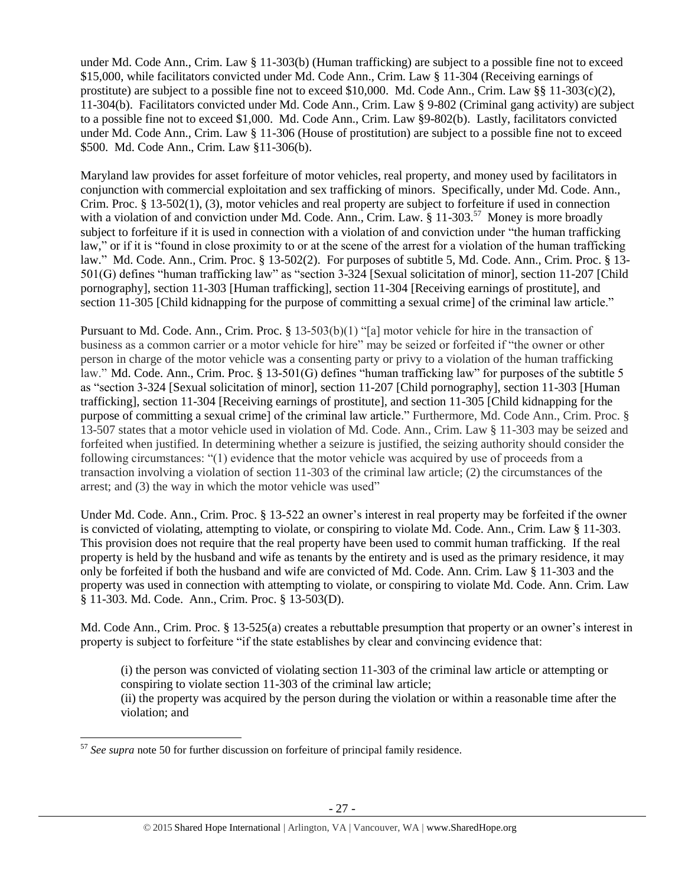under Md. Code Ann., Crim. Law § 11-303(b) (Human trafficking) are subject to a possible fine not to exceed \$15,000, while facilitators convicted under Md. Code Ann., Crim. Law § 11-304 (Receiving earnings of prostitute) are subject to a possible fine not to exceed \$10,000. Md. Code Ann., Crim. Law  $\S$  11-303(c)(2), 11-304(b). Facilitators convicted under Md. Code Ann., Crim. Law § 9-802 (Criminal gang activity) are subject to a possible fine not to exceed \$1,000. Md. Code Ann., Crim. Law §9-802(b). Lastly, facilitators convicted under Md. Code Ann., Crim. Law § 11-306 (House of prostitution) are subject to a possible fine not to exceed \$500. Md. Code Ann., Crim. Law §11-306(b).

Maryland law provides for asset forfeiture of motor vehicles, real property, and money used by facilitators in conjunction with commercial exploitation and sex trafficking of minors. Specifically, under Md. Code. Ann., Crim. Proc. § 13-502(1), (3), motor vehicles and real property are subject to forfeiture if used in connection with a violation of and conviction under Md. Code. Ann., Crim. Law. § 11-303.<sup>57</sup> Money is more broadly subject to forfeiture if it is used in connection with a violation of and conviction under "the human trafficking law," or if it is "found in close proximity to or at the scene of the arrest for a violation of the human trafficking law." Md. Code. Ann., Crim. Proc. § 13-502(2). For purposes of subtitle 5, Md. Code. Ann., Crim. Proc. § 13- 501(G) defines "human trafficking law" as "section 3-324 [Sexual solicitation of minor], section 11-207 [Child pornography], section 11-303 [Human trafficking], section 11-304 [Receiving earnings of prostitute], and section 11-305 [Child kidnapping for the purpose of committing a sexual crime] of the criminal law article."

Pursuant to Md. Code. Ann., Crim. Proc. § 13-503(b)(1) "[a] motor vehicle for hire in the transaction of business as a common carrier or a motor vehicle for hire" may be seized or forfeited if "the owner or other person in charge of the motor vehicle was a consenting party or privy to a violation of the human trafficking law." Md. Code. Ann., Crim. Proc. § 13-501(G) defines "human trafficking law" for purposes of the subtitle 5 as "section 3-324 [Sexual solicitation of minor], section 11-207 [Child pornography], section 11-303 [Human trafficking], section 11-304 [Receiving earnings of prostitute], and section 11-305 [Child kidnapping for the purpose of committing a sexual crime] of the criminal law article." Furthermore, Md. Code Ann., Crim. Proc. § 13-507 states that a motor vehicle used in violation of Md. Code. Ann., Crim. Law § 11-303 may be seized and forfeited when justified. In determining whether a seizure is justified, the seizing authority should consider the following circumstances: "(1) evidence that the motor vehicle was acquired by use of proceeds from a transaction involving a violation of section 11-303 of the criminal law article; (2) the circumstances of the arrest; and (3) the way in which the motor vehicle was used"

Under Md. Code. Ann., Crim. Proc. § 13-522 an owner's interest in real property may be forfeited if the owner is convicted of violating, attempting to violate, or conspiring to violate Md. Code. Ann., Crim. Law § 11-303. This provision does not require that the real property have been used to commit human trafficking. If the real property is held by the husband and wife as tenants by the entirety and is used as the primary residence, it may only be forfeited if both the husband and wife are convicted of Md. Code. Ann. Crim. Law § 11-303 and the property was used in connection with attempting to violate, or conspiring to violate Md. Code. Ann. Crim. Law § 11-303. Md. Code. Ann., Crim. Proc. § 13-503(D).

Md. Code Ann., Crim. Proc. § 13-525(a) creates a rebuttable presumption that property or an owner's interest in property is subject to forfeiture "if the state establishes by clear and convincing evidence that:

(i) the person was convicted of violating section 11-303 of the criminal law article or attempting or conspiring to violate section 11-303 of the criminal law article; (ii) the property was acquired by the person during the violation or within a reasonable time after the violation; and

 $\overline{a}$ <sup>57</sup> *See supra* note [50](#page-19-0) for further discussion on forfeiture of principal family residence.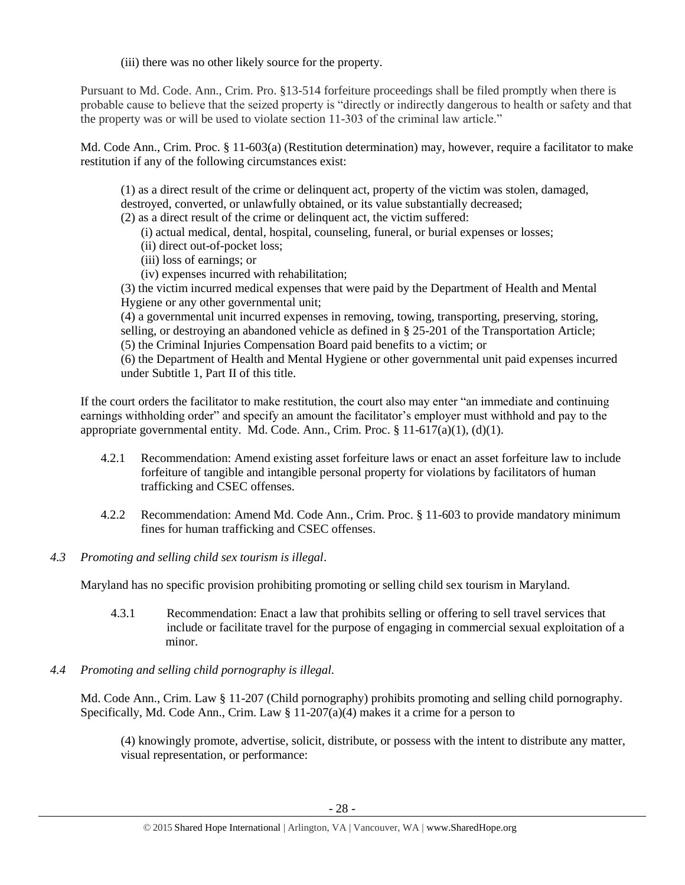(iii) there was no other likely source for the property.

Pursuant to Md. Code. Ann., Crim. Pro. §13-514 forfeiture proceedings shall be filed promptly when there is probable cause to believe that the seized property is "directly or indirectly dangerous to health or safety and that the property was or will be used to violate section 11-303 of the criminal law article."

Md. Code Ann., Crim. Proc. § 11-603(a) (Restitution determination) may, however, require a facilitator to make restitution if any of the following circumstances exist:

(1) as a direct result of the crime or delinquent act, property of the victim was stolen, damaged, destroyed, converted, or unlawfully obtained, or its value substantially decreased;

(2) as a direct result of the crime or delinquent act, the victim suffered:

- (i) actual medical, dental, hospital, counseling, funeral, or burial expenses or losses;
- (ii) direct out-of-pocket loss;
- (iii) loss of earnings; or
- (iv) expenses incurred with rehabilitation;

(3) the victim incurred medical expenses that were paid by the Department of Health and Mental Hygiene or any other governmental unit;

(4) a governmental unit incurred expenses in removing, towing, transporting, preserving, storing, selling, or destroying an abandoned vehicle as defined in § 25-201 of the Transportation Article; (5) the Criminal Injuries Compensation Board paid benefits to a victim; or

(6) the Department of Health and Mental Hygiene or other governmental unit paid expenses incurred under Subtitle 1, Part II of this title.

If the court orders the facilitator to make restitution, the court also may enter "an immediate and continuing earnings withholding order" and specify an amount the facilitator's employer must withhold and pay to the appropriate governmental entity. Md. Code. Ann., Crim. Proc.  $\S 11-617(a)(1)$ , (d)(1).

- 4.2.1 Recommendation: Amend existing asset forfeiture laws or enact an asset forfeiture law to include forfeiture of tangible and intangible personal property for violations by facilitators of human trafficking and CSEC offenses.
- 4.2.2 Recommendation: Amend Md. Code Ann., Crim. Proc. § 11-603 to provide mandatory minimum fines for human trafficking and CSEC offenses.
- *4.3 Promoting and selling child sex tourism is illegal*.

Maryland has no specific provision prohibiting promoting or selling child sex tourism in Maryland.

- 4.3.1 Recommendation: Enact a law that prohibits selling or offering to sell travel services that include or facilitate travel for the purpose of engaging in commercial sexual exploitation of a minor.
- *4.4 Promoting and selling child pornography is illegal.*

Md. Code Ann., Crim. Law § 11-207 (Child pornography) prohibits promoting and selling child pornography. Specifically, Md. Code Ann., Crim. Law § 11-207(a)(4) makes it a crime for a person to

(4) knowingly promote, advertise, solicit, distribute, or possess with the intent to distribute any matter, visual representation, or performance: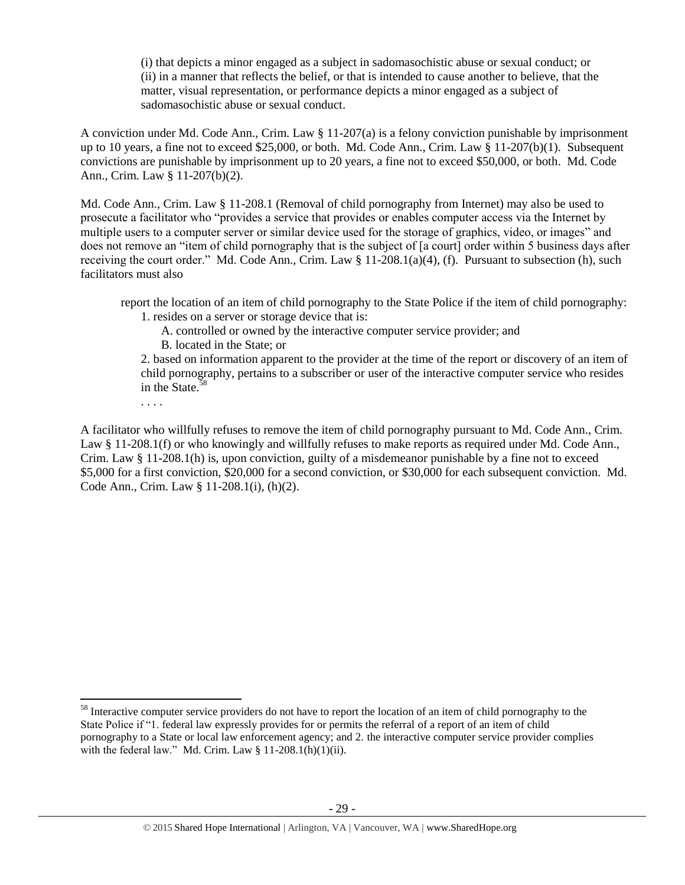(i) that depicts a minor engaged as a subject in sadomasochistic abuse or sexual conduct; or (ii) in a manner that reflects the belief, or that is intended to cause another to believe, that the matter, visual representation, or performance depicts a minor engaged as a subject of sadomasochistic abuse or sexual conduct.

A conviction under Md. Code Ann., Crim. Law § 11-207(a) is a felony conviction punishable by imprisonment up to 10 years, a fine not to exceed \$25,000, or both. Md. Code Ann., Crim. Law § 11-207(b)(1). Subsequent convictions are punishable by imprisonment up to 20 years, a fine not to exceed \$50,000, or both. Md. Code Ann., Crim. Law § 11-207(b)(2).

Md. Code Ann., Crim. Law § 11-208.1 (Removal of child pornography from Internet) may also be used to prosecute a facilitator who "provides a service that provides or enables computer access via the Internet by multiple users to a computer server or similar device used for the storage of graphics, video, or images" and does not remove an "item of child pornography that is the subject of [a court] order within 5 business days after receiving the court order." Md. Code Ann., Crim. Law § 11-208.1(a)(4), (f). Pursuant to subsection (h), such facilitators must also

report the location of an item of child pornography to the State Police if the item of child pornography:

1. resides on a server or storage device that is:

. . . .

 $\overline{a}$ 

A. controlled or owned by the interactive computer service provider; and B. located in the State; or

2. based on information apparent to the provider at the time of the report or discovery of an item of child pornography, pertains to a subscriber or user of the interactive computer service who resides in the State. $58$ 

A facilitator who willfully refuses to remove the item of child pornography pursuant to Md. Code Ann., Crim. Law § 11-208.1(f) or who knowingly and willfully refuses to make reports as required under Md. Code Ann., Crim. Law § 11-208.1(h) is, upon conviction, guilty of a misdemeanor punishable by a fine not to exceed \$5,000 for a first conviction, \$20,000 for a second conviction, or \$30,000 for each subsequent conviction. Md. Code Ann., Crim. Law § 11-208.1(i), (h)(2).

<sup>&</sup>lt;sup>58</sup> Interactive computer service providers do not have to report the location of an item of child pornography to the State Police if "1. federal law expressly provides for or permits the referral of a report of an item of child pornography to a State or local law enforcement agency; and 2. the interactive computer service provider complies with the federal law." Md. Crim. Law  $§$  11-208.1(h)(1)(ii).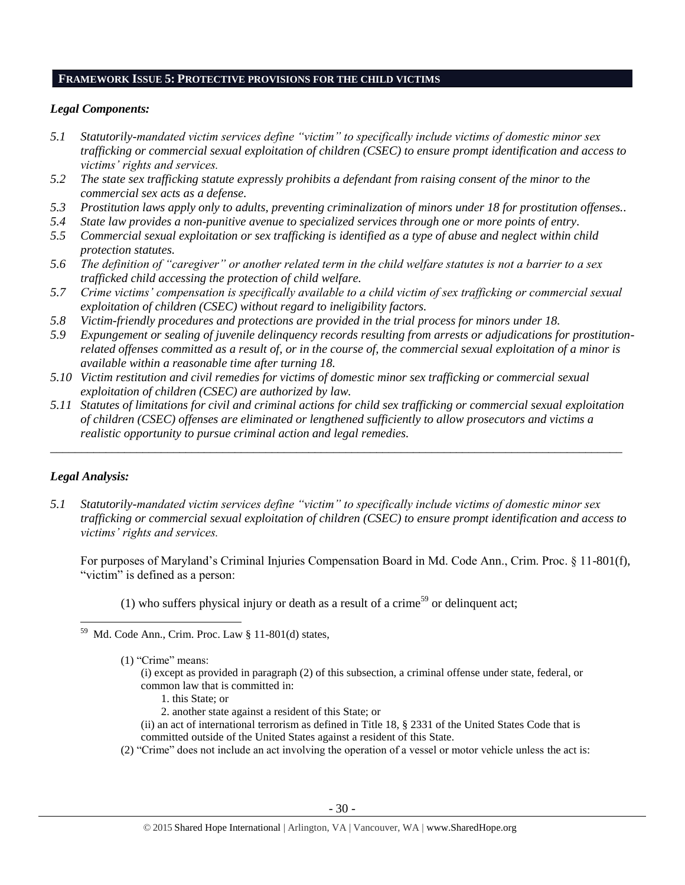#### **FRAMEWORK ISSUE 5: PROTECTIVE PROVISIONS FOR THE CHILD VICTIMS**

#### *Legal Components:*

- *5.1 Statutorily-mandated victim services define "victim" to specifically include victims of domestic minor sex trafficking or commercial sexual exploitation of children (CSEC) to ensure prompt identification and access to victims' rights and services.*
- *5.2 The state sex trafficking statute expressly prohibits a defendant from raising consent of the minor to the commercial sex acts as a defense.*
- *5.3 Prostitution laws apply only to adults, preventing criminalization of minors under 18 for prostitution offenses..*
- *5.4 State law provides a non-punitive avenue to specialized services through one or more points of entry.*
- *5.5 Commercial sexual exploitation or sex trafficking is identified as a type of abuse and neglect within child protection statutes.*
- *5.6 The definition of "caregiver" or another related term in the child welfare statutes is not a barrier to a sex trafficked child accessing the protection of child welfare.*
- *5.7 Crime victims' compensation is specifically available to a child victim of sex trafficking or commercial sexual exploitation of children (CSEC) without regard to ineligibility factors.*
- *5.8 Victim-friendly procedures and protections are provided in the trial process for minors under 18.*
- *5.9 Expungement or sealing of juvenile delinquency records resulting from arrests or adjudications for prostitutionrelated offenses committed as a result of, or in the course of, the commercial sexual exploitation of a minor is available within a reasonable time after turning 18.*
- *5.10 Victim restitution and civil remedies for victims of domestic minor sex trafficking or commercial sexual exploitation of children (CSEC) are authorized by law.*
- *5.11 Statutes of limitations for civil and criminal actions for child sex trafficking or commercial sexual exploitation of children (CSEC) offenses are eliminated or lengthened sufficiently to allow prosecutors and victims a realistic opportunity to pursue criminal action and legal remedies.*

*\_\_\_\_\_\_\_\_\_\_\_\_\_\_\_\_\_\_\_\_\_\_\_\_\_\_\_\_\_\_\_\_\_\_\_\_\_\_\_\_\_\_\_\_\_\_\_\_\_\_\_\_\_\_\_\_\_\_\_\_\_\_\_\_\_\_\_\_\_\_\_\_\_\_\_\_\_\_\_\_\_\_\_\_\_\_\_\_\_\_\_\_\_*

# *Legal Analysis:*

 $\overline{a}$ 

*5.1 Statutorily-mandated victim services define "victim" to specifically include victims of domestic minor sex trafficking or commercial sexual exploitation of children (CSEC) to ensure prompt identification and access to victims' rights and services.*

For purposes of Maryland's Criminal Injuries Compensation Board in Md. Code Ann., Crim. Proc. § 11-801(f), "victim" is defined as a person:

(1) who suffers physical injury or death as a result of a crime<sup>59</sup> or delinquent act;

- (i) except as provided in paragraph (2) of this subsection, a criminal offense under state, federal, or common law that is committed in:
	- 1. this State; or
	- 2. another state against a resident of this State; or
- (ii) an act of international terrorism as defined in Title 18, § 2331 of the United States Code that is committed outside of the United States against a resident of this State.
- (2) "Crime" does not include an act involving the operation of a vessel or motor vehicle unless the act is:

Md. Code Ann., Crim. Proc. Law § 11-801(d) states,

<sup>(1)</sup> "Crime" means: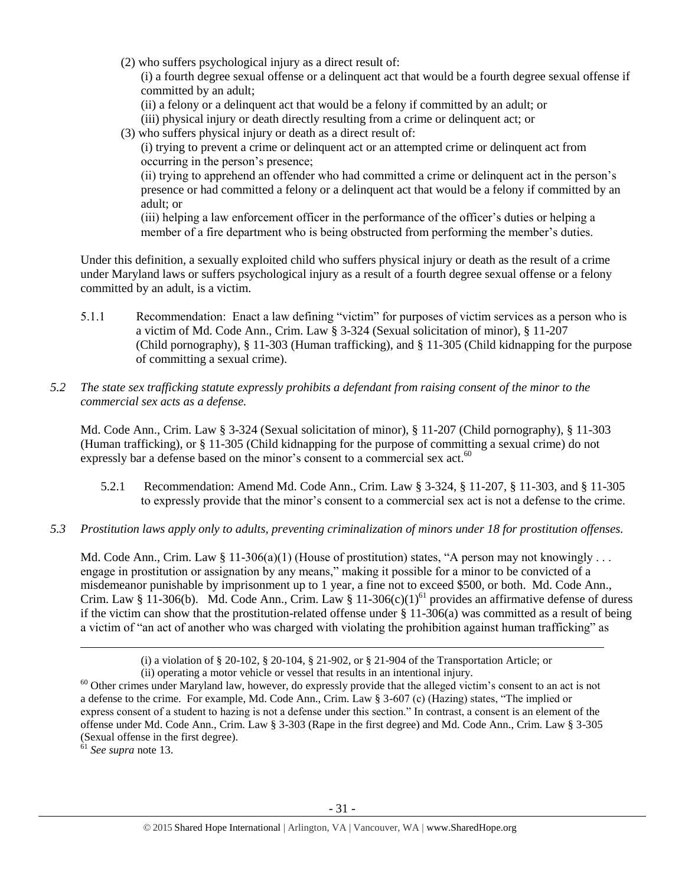(2) who suffers psychological injury as a direct result of:

(i) a fourth degree sexual offense or a delinquent act that would be a fourth degree sexual offense if committed by an adult;

- (ii) a felony or a delinquent act that would be a felony if committed by an adult; or
- (iii) physical injury or death directly resulting from a crime or delinquent act; or
- (3) who suffers physical injury or death as a direct result of:

(i) trying to prevent a crime or delinquent act or an attempted crime or delinquent act from occurring in the person's presence;

(ii) trying to apprehend an offender who had committed a crime or delinquent act in the person's presence or had committed a felony or a delinquent act that would be a felony if committed by an adult; or

(iii) helping a law enforcement officer in the performance of the officer's duties or helping a member of a fire department who is being obstructed from performing the member's duties.

Under this definition, a sexually exploited child who suffers physical injury or death as the result of a crime under Maryland laws or suffers psychological injury as a result of a fourth degree sexual offense or a felony committed by an adult, is a victim.

- 5.1.1 Recommendation: Enact a law defining "victim" for purposes of victim services as a person who is a victim of Md. Code Ann., Crim. Law § 3-324 (Sexual solicitation of minor), § 11-207 (Child pornography), § 11-303 (Human trafficking), and § 11-305 (Child kidnapping for the purpose of committing a sexual crime).
- *5.2 The state sex trafficking statute expressly prohibits a defendant from raising consent of the minor to the commercial sex acts as a defense.*

Md. Code Ann., Crim. Law § 3-324 (Sexual solicitation of minor), § 11-207 (Child pornography), § 11-303 (Human trafficking), or § 11-305 (Child kidnapping for the purpose of committing a sexual crime) do not expressly bar a defense based on the minor's consent to a commercial sex act.<sup>60</sup>

- 5.2.1 Recommendation: Amend Md. Code Ann., Crim. Law § 3-324, § 11-207, § 11-303, and § 11-305 to expressly provide that the minor's consent to a commercial sex act is not a defense to the crime.
- *5.3 Prostitution laws apply only to adults, preventing criminalization of minors under 18 for prostitution offenses.*

Md. Code Ann., Crim. Law  $\S 11-306(a)(1)$  (House of prostitution) states, "A person may not knowingly . . . engage in prostitution or assignation by any means," making it possible for a minor to be convicted of a misdemeanor punishable by imprisonment up to 1 year, a fine not to exceed \$500, or both. Md. Code Ann., Crim. Law § 11-306(b). Md. Code Ann., Crim. Law § 11-306(c)(1)<sup>61</sup> provides an affirmative defense of duress if the victim can show that the prostitution-related offense under  $\S 11{\text -}306(a)$  was committed as a result of being a victim of "an act of another who was charged with violating the prohibition against human trafficking" as

<sup>61</sup> *See supra* note 13.

 $\overline{a}$ 

<sup>(</sup>i) a violation of § 20-102, § 20-104, § 21-902, or § 21-904 of the Transportation Article; or (ii) operating a motor vehicle or vessel that results in an intentional injury.

<sup>&</sup>lt;sup>60</sup> Other crimes under Maryland law, however, do expressly provide that the alleged victim's consent to an act is not a defense to the crime. For example, Md. Code Ann., Crim. Law § 3-607 (c) (Hazing) states, "The implied or express consent of a student to hazing is not a defense under this section." In contrast, a consent is an element of the offense under Md. Code Ann., Crim. Law § 3-303 (Rape in the first degree) and Md. Code Ann., Crim. Law § 3-305 (Sexual offense in the first degree).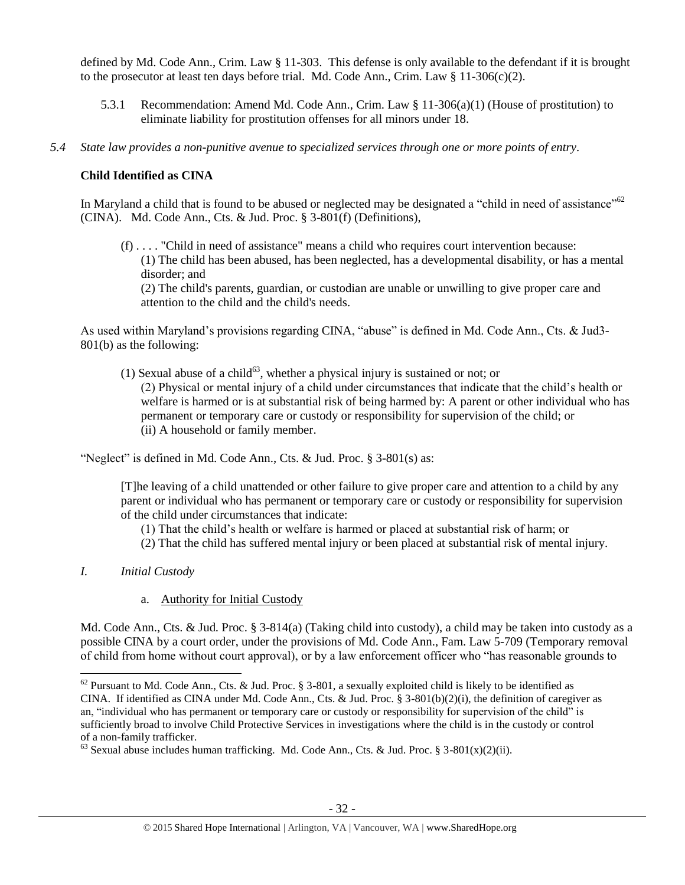defined by Md. Code Ann., Crim. Law § 11-303. This defense is only available to the defendant if it is brought to the prosecutor at least ten days before trial. Md. Code Ann., Crim. Law  $\S 11-306(c)(2)$ .

- 5.3.1 Recommendation: Amend Md. Code Ann., Crim. Law § 11-306(a)(1) (House of prostitution) to eliminate liability for prostitution offenses for all minors under 18.
- *5.4 State law provides a non-punitive avenue to specialized services through one or more points of entry.*

# **Child Identified as CINA**

In Maryland a child that is found to be abused or neglected may be designated a "child in need of assistance"<sup>62</sup> (CINA). Md. Code Ann., Cts. & Jud. Proc. § 3-801(f) (Definitions),

(f) . . . . "Child in need of assistance" means a child who requires court intervention because: (1) The child has been abused, has been neglected, has a developmental disability, or has a mental disorder; and (2) The child's parents, guardian, or custodian are unable or unwilling to give proper care and

attention to the child and the child's needs.

As used within Maryland's provisions regarding CINA, "abuse" is defined in Md. Code Ann., Cts. & Jud3- 801(b) as the following:

(1) Sexual abuse of a child<sup>63</sup>, whether a physical injury is sustained or not; or (2) Physical or mental injury of a child under circumstances that indicate that the child's health or welfare is harmed or is at substantial risk of being harmed by: A parent or other individual who has permanent or temporary care or custody or responsibility for supervision of the child; or (ii) A household or family member.

"Neglect" is defined in Md. Code Ann., Cts. & Jud. Proc. § 3-801(s) as:

[T]he leaving of a child unattended or other failure to give proper care and attention to a child by any parent or individual who has permanent or temporary care or custody or responsibility for supervision of the child under circumstances that indicate:

- (1) That the child's health or welfare is harmed or placed at substantial risk of harm; or
- (2) That the child has suffered mental injury or been placed at substantial risk of mental injury.
- *I. Initial Custody*
	- a. Authority for Initial Custody

Md. Code Ann., Cts. & Jud. Proc. § 3-814(a) (Taking child into custody), a child may be taken into custody as a possible CINA by a court order, under the provisions of Md. Code Ann., Fam. Law 5-709 (Temporary removal of child from home without court approval), or by a law enforcement officer who "has reasonable grounds to

 $\overline{\phantom{a}}$  $62$  Pursuant to Md. Code Ann., Cts. & Jud. Proc. § 3-801, a sexually exploited child is likely to be identified as CINA. If identified as CINA under Md. Code Ann., Cts. & Jud. Proc. § 3-801(b)(2)(i), the definition of caregiver as an, "individual who has permanent or temporary care or custody or responsibility for supervision of the child" is sufficiently broad to involve Child Protective Services in investigations where the child is in the custody or control of a non-family trafficker.

 $63$  Sexual abuse includes human trafficking. Md. Code Ann., Cts. & Jud. Proc. § 3-801(x)(2)(ii).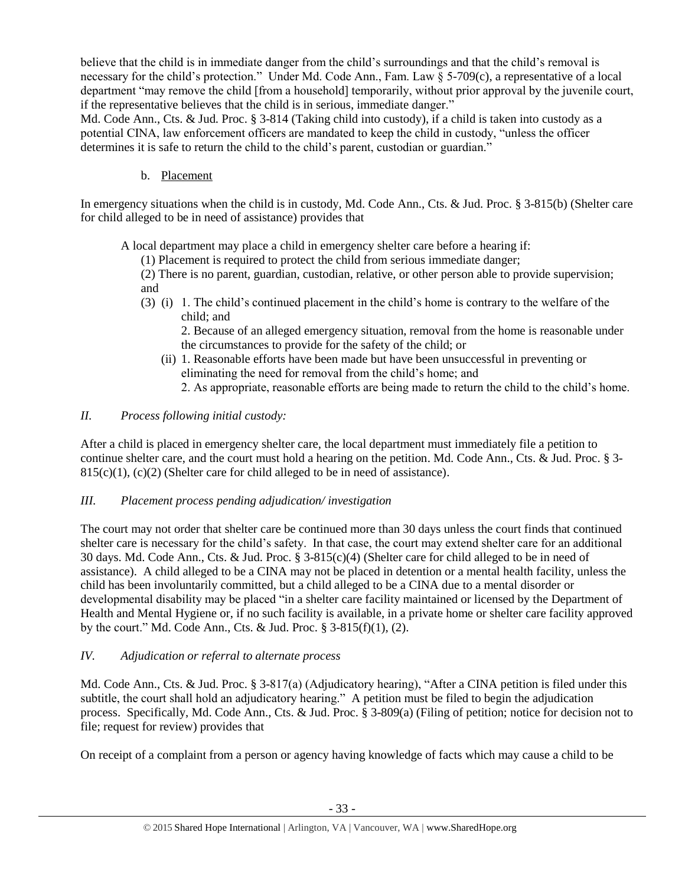believe that the child is in immediate danger from the child's surroundings and that the child's removal is necessary for the child's protection." Under Md. Code Ann., Fam. Law § 5-709(c), a representative of a local department "may remove the child [from a household] temporarily, without prior approval by the juvenile court, if the representative believes that the child is in serious, immediate danger."

Md. Code Ann., Cts. & Jud. Proc. § 3-814 (Taking child into custody), if a child is taken into custody as a potential CINA, law enforcement officers are mandated to keep the child in custody, "unless the officer determines it is safe to return the child to the child's parent, custodian or guardian."

b. Placement

In emergency situations when the child is in custody, Md. Code Ann., Cts. & Jud. Proc. § 3-815(b) (Shelter care for child alleged to be in need of assistance) provides that

A local department may place a child in emergency shelter care before a hearing if:

(1) Placement is required to protect the child from serious immediate danger;

(2) There is no parent, guardian, custodian, relative, or other person able to provide supervision; and

(3) (i) 1. The child's continued placement in the child's home is contrary to the welfare of the child; and

2. Because of an alleged emergency situation, removal from the home is reasonable under the circumstances to provide for the safety of the child; or

- (ii) 1. Reasonable efforts have been made but have been unsuccessful in preventing or eliminating the need for removal from the child's home; and
	- 2. As appropriate, reasonable efforts are being made to return the child to the child's home.

# *II. Process following initial custody:*

After a child is placed in emergency shelter care, the local department must immediately file a petition to continue shelter care, and the court must hold a hearing on the petition. Md. Code Ann., Cts. & Jud. Proc. § 3-  $815(c)(1)$ ,  $(c)(2)$  (Shelter care for child alleged to be in need of assistance).

# *III. Placement process pending adjudication/ investigation*

The court may not order that shelter care be continued more than 30 days unless the court finds that continued shelter care is necessary for the child's safety. In that case, the court may extend shelter care for an additional 30 days. Md. Code Ann., Cts. & Jud. Proc. § 3-815(c)(4) (Shelter care for child alleged to be in need of assistance). A child alleged to be a CINA may not be placed in detention or a mental health facility, unless the child has been involuntarily committed, but a child alleged to be a CINA due to a mental disorder or developmental disability may be placed "in a shelter care facility maintained or licensed by the Department of Health and Mental Hygiene or, if no such facility is available, in a private home or shelter care facility approved by the court." Md. Code Ann., Cts. & Jud. Proc. § 3-815(f)(1), (2).

# *IV. Adjudication or referral to alternate process*

Md. Code Ann., Cts. & Jud. Proc. § 3-817(a) (Adjudicatory hearing), "After a CINA petition is filed under this subtitle, the court shall hold an adjudicatory hearing." A petition must be filed to begin the adjudication process. Specifically, Md. Code Ann., Cts. & Jud. Proc. § 3-809(a) (Filing of petition; notice for decision not to file; request for review) provides that

On receipt of a complaint from a person or agency having knowledge of facts which may cause a child to be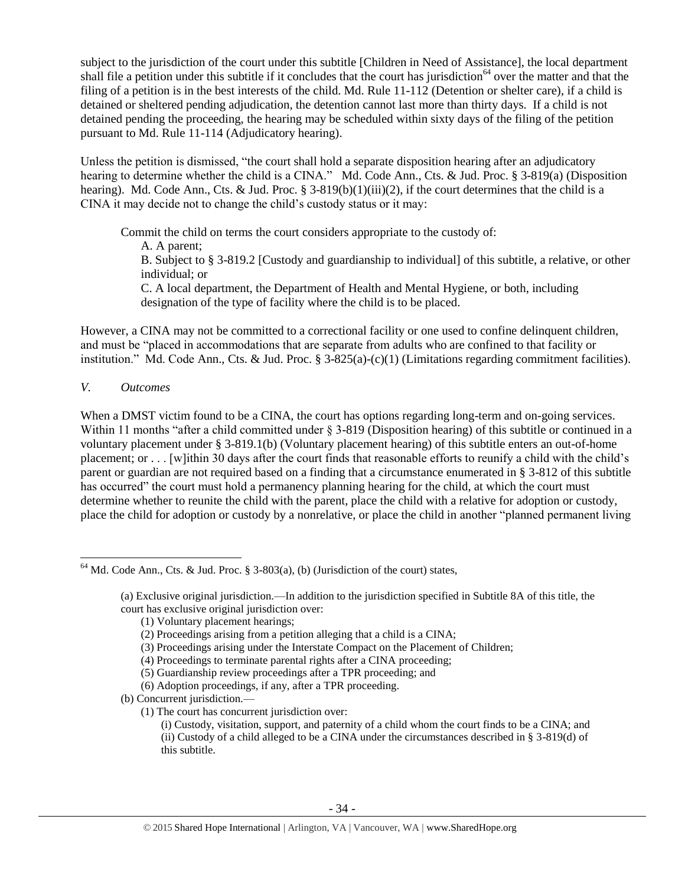subject to the jurisdiction of the court under this subtitle [Children in Need of Assistance], the local department shall file a petition under this subtitle if it concludes that the court has jurisdiction<sup>64</sup> over the matter and that the filing of a petition is in the best interests of the child. Md. Rule 11-112 (Detention or shelter care), if a child is detained or sheltered pending adjudication, the detention cannot last more than thirty days. If a child is not detained pending the proceeding, the hearing may be scheduled within sixty days of the filing of the petition pursuant to Md. Rule 11-114 (Adjudicatory hearing).

Unless the petition is dismissed, "the court shall hold a separate disposition hearing after an adjudicatory hearing to determine whether the child is a CINA." Md. Code Ann., Cts. & Jud. Proc. § 3-819(a) (Disposition hearing). Md. Code Ann., Cts. & Jud. Proc. § 3-819(b)(1)(iii)(2), if the court determines that the child is a CINA it may decide not to change the child's custody status or it may:

Commit the child on terms the court considers appropriate to the custody of: A. A parent; B. Subject to § 3-819.2 [Custody and guardianship to individual] of this subtitle, a relative, or other individual; or C. A local department, the Department of Health and Mental Hygiene, or both, including designation of the type of facility where the child is to be placed.

However, a CINA may not be committed to a correctional facility or one used to confine delinquent children, and must be "placed in accommodations that are separate from adults who are confined to that facility or institution." Md. Code Ann., Cts. & Jud. Proc. § 3-825(a)-(c)(1) (Limitations regarding commitment facilities).

*V. Outcomes* 

When a DMST victim found to be a CINA, the court has options regarding long-term and on-going services. Within 11 months "after a child committed under § 3-819 (Disposition hearing) of this subtitle or continued in a voluntary placement under § 3-819.1(b) (Voluntary placement hearing) of this subtitle enters an out-of-home placement; or . . . [w]ithin 30 days after the court finds that reasonable efforts to reunify a child with the child's parent or guardian are not required based on a finding that a circumstance enumerated in § 3-812 of this subtitle has occurred" the court must hold a permanency planning hearing for the child, at which the court must determine whether to reunite the child with the parent, place the child with a relative for adoption or custody, place the child for adoption or custody by a nonrelative, or place the child in another "planned permanent living

(1) Voluntary placement hearings;

 $\overline{\phantom{a}}$  $64$  Md. Code Ann., Cts. & Jud. Proc. § 3-803(a), (b) (Jurisdiction of the court) states,

<sup>(</sup>a) Exclusive original jurisdiction.—In addition to the jurisdiction specified in Subtitle 8A of this title, the court has exclusive original jurisdiction over:

<sup>(2)</sup> Proceedings arising from a petition alleging that a child is a CINA;

<sup>(3)</sup> Proceedings arising under the Interstate Compact on the Placement of Children;

<sup>(4)</sup> Proceedings to terminate parental rights after a CINA proceeding;

<sup>(5)</sup> Guardianship review proceedings after a TPR proceeding; and

<sup>(6)</sup> Adoption proceedings, if any, after a TPR proceeding.

<sup>(</sup>b) Concurrent jurisdiction.—

<sup>(1)</sup> The court has concurrent jurisdiction over:

<sup>(</sup>i) Custody, visitation, support, and paternity of a child whom the court finds to be a CINA; and (ii) Custody of a child alleged to be a CINA under the circumstances described in  $\S 3-819(d)$  of this subtitle.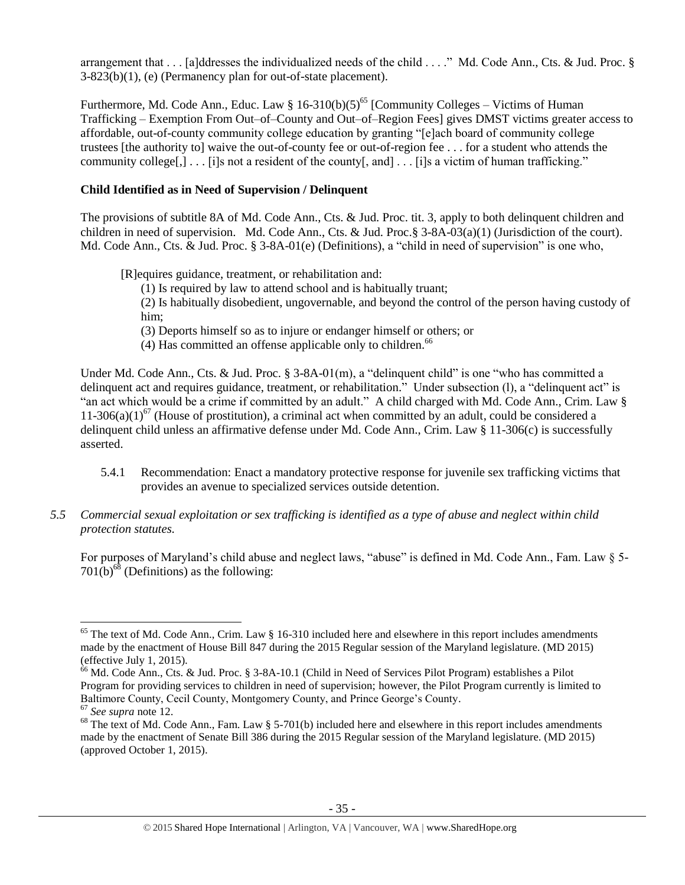arrangement that . . . [a]ddresses the individualized needs of the child . . . ." Md. Code Ann., Cts. & Jud. Proc. § 3-823(b)(1), (e) (Permanency plan for out-of-state placement).

Furthermore, Md. Code Ann., Educ. Law § 16-310(b)(5)<sup>65</sup> [Community Colleges – Victims of Human Trafficking – Exemption From Out–of–County and Out–of–Region Fees] gives DMST victims greater access to affordable, out-of-county community college education by granting "[e]ach board of community college trustees [the authority to] waive the out-of-county fee or out-of-region fee . . . for a student who attends the community college[,] . . . [i]s not a resident of the county[, and] . . . [i]s a victim of human trafficking."

# **Child Identified as in Need of Supervision / Delinquent**

The provisions of subtitle 8A of Md. Code Ann., Cts. & Jud. Proc. tit. 3, apply to both delinquent children and children in need of supervision. Md. Code Ann., Cts. & Jud. Proc.§ 3-8A-03(a)(1) (Jurisdiction of the court). Md. Code Ann., Cts. & Jud. Proc. § 3-8A-01(e) (Definitions), a "child in need of supervision" is one who,

[R]equires guidance, treatment, or rehabilitation and:

(1) Is required by law to attend school and is habitually truant;

(2) Is habitually disobedient, ungovernable, and beyond the control of the person having custody of him;

(3) Deports himself so as to injure or endanger himself or others; or

 $(4)$  Has committed an offense applicable only to children.<sup>66</sup>

Under Md. Code Ann., Cts. & Jud. Proc. § 3-8A-01(m), a "delinquent child" is one "who has committed a delinquent act and requires guidance, treatment, or rehabilitation." Under subsection (l), a "delinquent act" is "an act which would be a crime if committed by an adult." A child charged with Md. Code Ann., Crim. Law § 11-306(a)(1)<sup>67</sup> (House of prostitution), a criminal act when committed by an adult, could be considered a delinquent child unless an affirmative defense under Md. Code Ann., Crim. Law § 11-306(c) is successfully asserted.

- 5.4.1 Recommendation: Enact a mandatory protective response for juvenile sex trafficking victims that provides an avenue to specialized services outside detention.
- *5.5 Commercial sexual exploitation or sex trafficking is identified as a type of abuse and neglect within child protection statutes.*

<span id="page-34-0"></span>For purposes of Maryland's child abuse and neglect laws, "abuse" is defined in Md. Code Ann., Fam. Law § 5-  $701(b)^{68}$  (Definitions) as the following:

 $\overline{a}$ 

 $65$  The text of Md. Code Ann., Crim. Law § 16-310 included here and elsewhere in this report includes amendments made by the enactment of House Bill 847 during the 2015 Regular session of the Maryland legislature. (MD 2015) (effective July 1, 2015).

<sup>&</sup>lt;sup>66</sup> Md. Code Ann., Cts. & Jud. Proc. § 3-8A-10.1 (Child in Need of Services Pilot Program) establishes a Pilot Program for providing services to children in need of supervision; however, the Pilot Program currently is limited to Baltimore County, Cecil County, Montgomery County, and Prince George's County.

<sup>67</sup> *See supra* note [12.](#page-5-0)

<sup>&</sup>lt;sup>68</sup> The text of Md. Code Ann., Fam. Law § 5-701(b) included here and elsewhere in this report includes amendments made by the enactment of Senate Bill 386 during the 2015 Regular session of the Maryland legislature. (MD 2015) (approved October 1, 2015).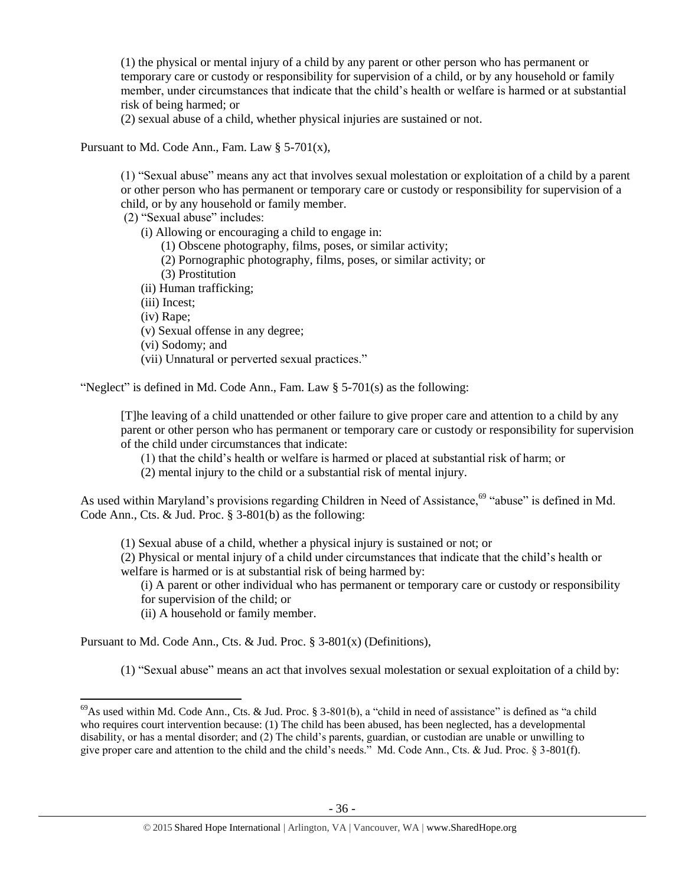(1) the physical or mental injury of a child by any parent or other person who has permanent or temporary care or custody or responsibility for supervision of a child, or by any household or family member, under circumstances that indicate that the child's health or welfare is harmed or at substantial risk of being harmed; or

(2) sexual abuse of a child, whether physical injuries are sustained or not.

Pursuant to Md. Code Ann., Fam. Law  $\S$  5-701(x),

(1) "Sexual abuse" means any act that involves sexual molestation or exploitation of a child by a parent or other person who has permanent or temporary care or custody or responsibility for supervision of a child, or by any household or family member.

(2) "Sexual abuse" includes:

(i) Allowing or encouraging a child to engage in:

(1) Obscene photography, films, poses, or similar activity;

- (2) Pornographic photography, films, poses, or similar activity; or
- (3) Prostitution
- (ii) Human trafficking;

(iii) Incest;

(iv) Rape;

 $\overline{a}$ 

(v) Sexual offense in any degree;

(vi) Sodomy; and

(vii) Unnatural or perverted sexual practices."

"Neglect" is defined in Md. Code Ann., Fam. Law § 5-701(s) as the following:

[T]he leaving of a child unattended or other failure to give proper care and attention to a child by any parent or other person who has permanent or temporary care or custody or responsibility for supervision of the child under circumstances that indicate:

- (1) that the child's health or welfare is harmed or placed at substantial risk of harm; or
- (2) mental injury to the child or a substantial risk of mental injury.

As used within Maryland's provisions regarding Children in Need of Assistance,<sup>69</sup> "abuse" is defined in Md. Code Ann., Cts. & Jud. Proc. § 3-801(b) as the following:

(1) Sexual abuse of a child, whether a physical injury is sustained or not; or

(2) Physical or mental injury of a child under circumstances that indicate that the child's health or welfare is harmed or is at substantial risk of being harmed by:

(i) A parent or other individual who has permanent or temporary care or custody or responsibility for supervision of the child; or

(ii) A household or family member.

Pursuant to Md. Code Ann., Cts. & Jud. Proc. § 3-801(x) (Definitions),

(1) "Sexual abuse" means an act that involves sexual molestation or sexual exploitation of a child by:

 $^{69}$ As used within Md. Code Ann., Cts. & Jud. Proc. § 3-801(b), a "child in need of assistance" is defined as "a child who requires court intervention because: (1) The child has been abused, has been neglected, has a developmental disability, or has a mental disorder; and (2) The child's parents, guardian, or custodian are unable or unwilling to give proper care and attention to the child and the child's needs." Md. Code Ann., Cts. & Jud. Proc. § 3-801(f).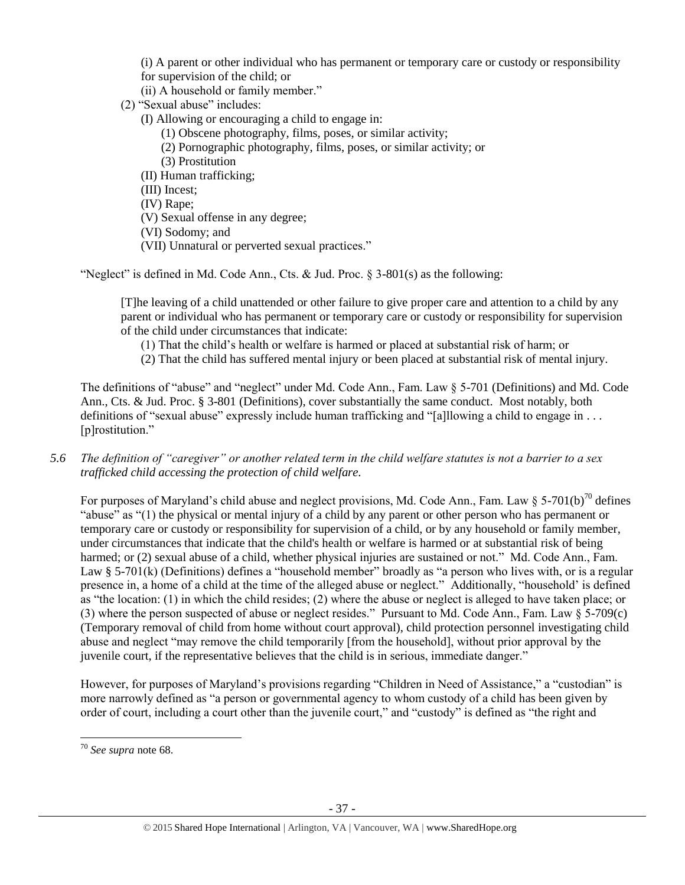(i) A parent or other individual who has permanent or temporary care or custody or responsibility for supervision of the child; or

(ii) A household or family member."

(2) "Sexual abuse" includes:

(I) Allowing or encouraging a child to engage in:

- (1) Obscene photography, films, poses, or similar activity;
- (2) Pornographic photography, films, poses, or similar activity; or
- (3) Prostitution
- (II) Human trafficking;
- (III) Incest;
- (IV) Rape;
- (V) Sexual offense in any degree;

(VI) Sodomy; and

(VII) Unnatural or perverted sexual practices."

"Neglect" is defined in Md. Code Ann., Cts. & Jud. Proc.  $\S$  3-801(s) as the following:

[T]he leaving of a child unattended or other failure to give proper care and attention to a child by any parent or individual who has permanent or temporary care or custody or responsibility for supervision of the child under circumstances that indicate:

- (1) That the child's health or welfare is harmed or placed at substantial risk of harm; or
- (2) That the child has suffered mental injury or been placed at substantial risk of mental injury.

The definitions of "abuse" and "neglect" under Md. Code Ann., Fam. Law § 5-701 (Definitions) and Md. Code Ann., Cts. & Jud. Proc. § 3-801 (Definitions), cover substantially the same conduct. Most notably, both definitions of "sexual abuse" expressly include human trafficking and "[a]llowing a child to engage in . . . [p]rostitution."

*5.6 The definition of "caregiver" or another related term in the child welfare statutes is not a barrier to a sex trafficked child accessing the protection of child welfare.*

For purposes of Maryland's child abuse and neglect provisions, Md. Code Ann., Fam. Law  $\S 5-701(b)^{70}$  defines "abuse" as "(1) the physical or mental injury of a child by any parent or other person who has permanent or temporary care or custody or responsibility for supervision of a child, or by any household or family member, under circumstances that indicate that the child's health or welfare is harmed or at substantial risk of being harmed; or (2) sexual abuse of a child, whether physical injuries are sustained or not." Md. Code Ann., Fam. Law § 5-701(k) (Definitions) defines a "household member" broadly as "a person who lives with, or is a regular presence in, a home of a child at the time of the alleged abuse or neglect." Additionally, "household' is defined as "the location: (1) in which the child resides; (2) where the abuse or neglect is alleged to have taken place; or (3) where the person suspected of abuse or neglect resides." Pursuant to Md. Code Ann., Fam. Law § 5-709(c) (Temporary removal of child from home without court approval), child protection personnel investigating child abuse and neglect "may remove the child temporarily [from the household], without prior approval by the juvenile court, if the representative believes that the child is in serious, immediate danger."

However, for purposes of Maryland's provisions regarding "Children in Need of Assistance," a "custodian" is more narrowly defined as "a person or governmental agency to whom custody of a child has been given by order of court, including a court other than the juvenile court," and "custody" is defined as "the right and

 $\overline{a}$ 

<sup>70</sup> *See supra* note [68.](#page-34-0)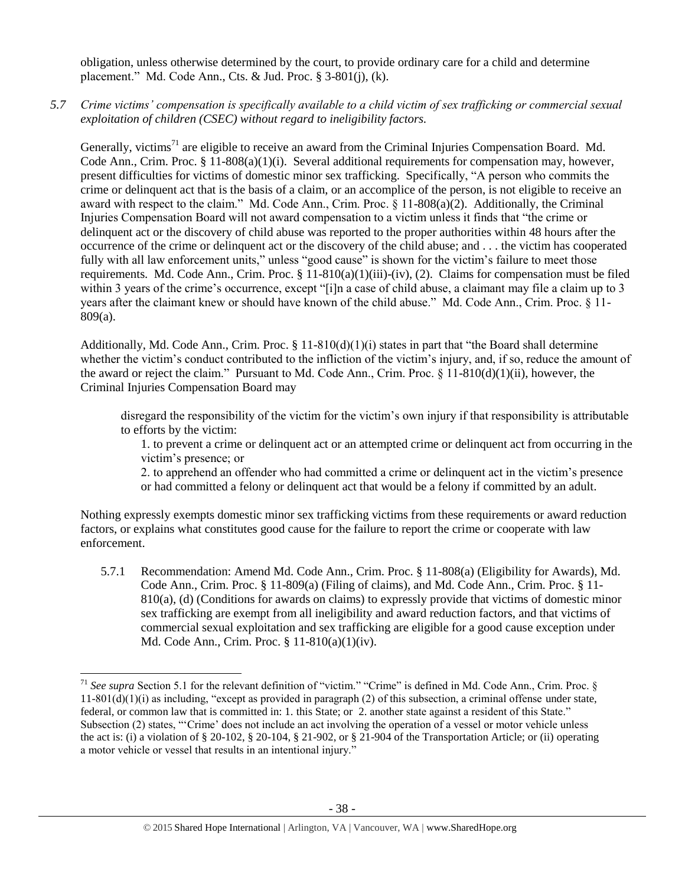obligation, unless otherwise determined by the court, to provide ordinary care for a child and determine placement." Md. Code Ann., Cts. & Jud. Proc. § 3-801(j), (k).

*5.7 Crime victims' compensation is specifically available to a child victim of sex trafficking or commercial sexual exploitation of children (CSEC) without regard to ineligibility factors.*

Generally, victims<sup>71</sup> are eligible to receive an award from the Criminal Injuries Compensation Board. Md. Code Ann., Crim. Proc. § 11-808(a)(1)(i). Several additional requirements for compensation may, however, present difficulties for victims of domestic minor sex trafficking. Specifically, "A person who commits the crime or delinquent act that is the basis of a claim, or an accomplice of the person, is not eligible to receive an award with respect to the claim." Md. Code Ann., Crim. Proc. § 11-808(a)(2). Additionally, the Criminal Injuries Compensation Board will not award compensation to a victim unless it finds that "the crime or delinquent act or the discovery of child abuse was reported to the proper authorities within 48 hours after the occurrence of the crime or delinquent act or the discovery of the child abuse; and . . . the victim has cooperated fully with all law enforcement units," unless "good cause" is shown for the victim's failure to meet those requirements. Md. Code Ann., Crim. Proc.  $\S 11-810(a)(1)(iii)-(iv)$ , (2). Claims for compensation must be filed within 3 years of the crime's occurrence, except "[i]n a case of child abuse, a claimant may file a claim up to 3 years after the claimant knew or should have known of the child abuse." Md. Code Ann., Crim. Proc. § 11- 809(a).

Additionally, Md. Code Ann., Crim. Proc.  $\S 11-810(d)(1)(i)$  states in part that "the Board shall determine" whether the victim's conduct contributed to the infliction of the victim's injury, and, if so, reduce the amount of the award or reject the claim." Pursuant to Md. Code Ann., Crim. Proc. § 11-810(d)(1)(ii), however, the Criminal Injuries Compensation Board may

disregard the responsibility of the victim for the victim's own injury if that responsibility is attributable to efforts by the victim:

1. to prevent a crime or delinquent act or an attempted crime or delinquent act from occurring in the victim's presence; or

2. to apprehend an offender who had committed a crime or delinquent act in the victim's presence or had committed a felony or delinquent act that would be a felony if committed by an adult.

Nothing expressly exempts domestic minor sex trafficking victims from these requirements or award reduction factors, or explains what constitutes good cause for the failure to report the crime or cooperate with law enforcement.

5.7.1 Recommendation: Amend Md. Code Ann., Crim. Proc. § 11-808(a) (Eligibility for Awards), Md. Code Ann., Crim. Proc. § 11-809(a) (Filing of claims), and Md. Code Ann., Crim. Proc. § 11- 810(a), (d) (Conditions for awards on claims) to expressly provide that victims of domestic minor sex trafficking are exempt from all ineligibility and award reduction factors, and that victims of commercial sexual exploitation and sex trafficking are eligible for a good cause exception under Md. Code Ann., Crim. Proc. § 11-810(a)(1)(iv).

 $\overline{\phantom{a}}$ 

<sup>&</sup>lt;sup>71</sup> See supra Section 5.1 for the relevant definition of "victim." "Crime" is defined in Md. Code Ann., Crim. Proc. §  $11-801(d)(1)(i)$  as including, "except as provided in paragraph (2) of this subsection, a criminal offense under state, federal, or common law that is committed in: 1. this State; or 2. another state against a resident of this State." Subsection (2) states, "'Crime' does not include an act involving the operation of a vessel or motor vehicle unless the act is: (i) a violation of § 20-102, § 20-104, § 21-902, or § 21-904 of the Transportation Article; or (ii) operating a motor vehicle or vessel that results in an intentional injury."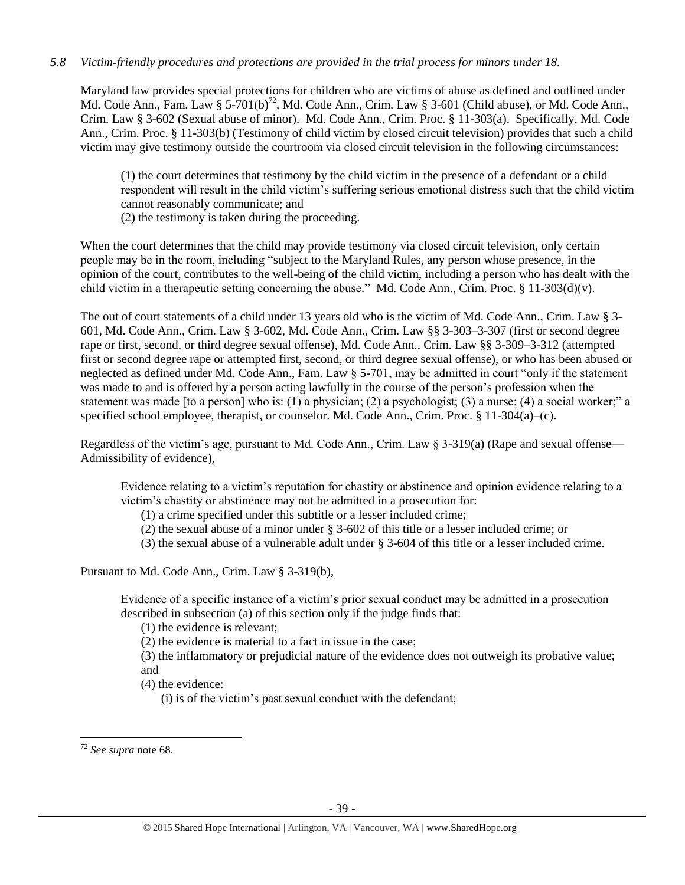# *5.8 Victim-friendly procedures and protections are provided in the trial process for minors under 18.*

Maryland law provides special protections for children who are victims of abuse as defined and outlined under Md. Code Ann., Fam. Law §  $5-701(b)^{72}$ , Md. Code Ann., Crim. Law § 3-601 (Child abuse), or Md. Code Ann., Crim. Law § 3-602 (Sexual abuse of minor). Md. Code Ann., Crim. Proc. § 11-303(a). Specifically, Md. Code Ann., Crim. Proc. § 11-303(b) (Testimony of child victim by closed circuit television) provides that such a child victim may give testimony outside the courtroom via closed circuit television in the following circumstances:

(1) the court determines that testimony by the child victim in the presence of a defendant or a child respondent will result in the child victim's suffering serious emotional distress such that the child victim cannot reasonably communicate; and

(2) the testimony is taken during the proceeding.

When the court determines that the child may provide testimony via closed circuit television, only certain people may be in the room, including "subject to the Maryland Rules, any person whose presence, in the opinion of the court, contributes to the well-being of the child victim, including a person who has dealt with the child victim in a therapeutic setting concerning the abuse." Md. Code Ann., Crim. Proc. § 11-303(d)(v).

The out of court statements of a child under 13 years old who is the victim of Md. Code Ann., Crim. Law § 3- 601, Md. Code Ann., Crim. Law § 3-602, Md. Code Ann., Crim. Law §§ 3-303–3-307 (first or second degree rape or first, second, or third degree sexual offense), Md. Code Ann., Crim. Law §§ 3-309–3-312 (attempted first or second degree rape or attempted first, second, or third degree sexual offense), or who has been abused or neglected as defined under Md. Code Ann., Fam. Law § 5-701, may be admitted in court "only if the statement was made to and is offered by a person acting lawfully in the course of the person's profession when the statement was made [to a person] who is: (1) a physician; (2) a psychologist; (3) a nurse; (4) a social worker;" a specified school employee, therapist, or counselor. Md. Code Ann., Crim. Proc. § 11-304(a)–(c).

Regardless of the victim's age, pursuant to Md. Code Ann., Crim. Law  $\S$  3-319(a) (Rape and sexual offense— Admissibility of evidence),

Evidence relating to a victim's reputation for chastity or abstinence and opinion evidence relating to a victim's chastity or abstinence may not be admitted in a prosecution for:

(1) a crime specified under this subtitle or a lesser included crime;

(2) the sexual abuse of a minor under § 3-602 of this title or a lesser included crime; or

(3) the sexual abuse of a vulnerable adult under § 3-604 of this title or a lesser included crime.

Pursuant to Md. Code Ann., Crim. Law § 3-319(b),

Evidence of a specific instance of a victim's prior sexual conduct may be admitted in a prosecution described in subsection (a) of this section only if the judge finds that:

(1) the evidence is relevant;

(2) the evidence is material to a fact in issue in the case;

(3) the inflammatory or prejudicial nature of the evidence does not outweigh its probative value; and

(4) the evidence:

(i) is of the victim's past sexual conduct with the defendant;

 $\overline{a}$ <sup>72</sup> *See supra* note [68.](#page-34-0)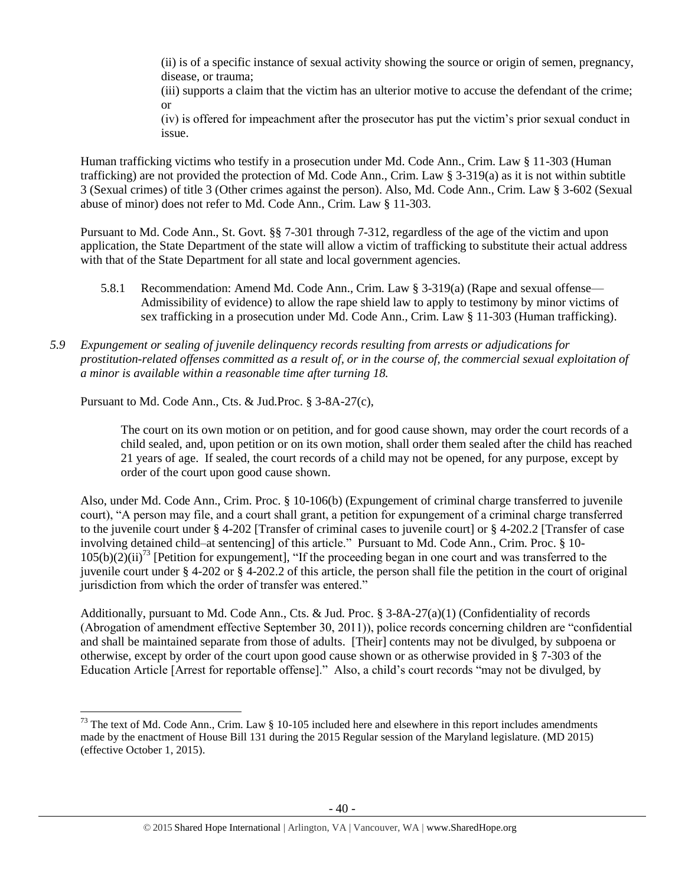(ii) is of a specific instance of sexual activity showing the source or origin of semen, pregnancy, disease, or trauma;

(iii) supports a claim that the victim has an ulterior motive to accuse the defendant of the crime; or

(iv) is offered for impeachment after the prosecutor has put the victim's prior sexual conduct in issue.

Human trafficking victims who testify in a prosecution under Md. Code Ann., Crim. Law § 11-303 (Human trafficking) are not provided the protection of Md. Code Ann., Crim. Law § 3-319(a) as it is not within subtitle 3 (Sexual crimes) of title 3 (Other crimes against the person). Also, Md. Code Ann., Crim. Law § 3-602 (Sexual abuse of minor) does not refer to Md. Code Ann., Crim. Law § 11-303.

Pursuant to Md. Code Ann., St. Govt. §§ 7-301 through 7-312, regardless of the age of the victim and upon application, the State Department of the state will allow a victim of trafficking to substitute their actual address with that of the State Department for all state and local government agencies.

- 5.8.1 Recommendation: Amend Md. Code Ann., Crim. Law § 3-319(a) (Rape and sexual offense— Admissibility of evidence) to allow the rape shield law to apply to testimony by minor victims of sex trafficking in a prosecution under Md. Code Ann., Crim. Law § 11-303 (Human trafficking).
- *5.9 Expungement or sealing of juvenile delinquency records resulting from arrests or adjudications for prostitution-related offenses committed as a result of, or in the course of, the commercial sexual exploitation of a minor is available within a reasonable time after turning 18.*

Pursuant to Md. Code Ann., Cts. & Jud.Proc. § 3-8A-27(c),

 $\overline{\phantom{a}}$ 

The court on its own motion or on petition, and for good cause shown, may order the court records of a child sealed, and, upon petition or on its own motion, shall order them sealed after the child has reached 21 years of age. If sealed, the court records of a child may not be opened, for any purpose, except by order of the court upon good cause shown.

Also, under Md. Code Ann., Crim. Proc. § 10-106(b) (Expungement of criminal charge transferred to juvenile court), "A person may file, and a court shall grant, a petition for expungement of a criminal charge transferred to the juvenile court under § 4-202 [Transfer of criminal cases to juvenile court] or § 4-202.2 [Transfer of case involving detained child–at sentencing] of this article." Pursuant to Md. Code Ann., Crim. Proc. § 10-  $105(b)(2)(ii)^{73}$  [Petition for expungement], "If the proceeding began in one court and was transferred to the juvenile court under § 4-202 or § 4-202.2 of this article, the person shall file the petition in the court of original jurisdiction from which the order of transfer was entered."

Additionally, pursuant to Md. Code Ann., Cts. & Jud. Proc. § 3-8A-27(a)(1) (Confidentiality of records (Abrogation of amendment effective September 30, 2011)), police records concerning children are "confidential and shall be maintained separate from those of adults. [Their] contents may not be divulged, by subpoena or otherwise, except by order of the court upon good cause shown or as otherwise provided in § 7-303 of the Education Article [Arrest for reportable offense]." Also, a child's court records "may not be divulged, by

 $^{73}$  The text of Md. Code Ann., Crim. Law § 10-105 included here and elsewhere in this report includes amendments made by the enactment of House Bill 131 during the 2015 Regular session of the Maryland legislature. (MD 2015) (effective October 1, 2015).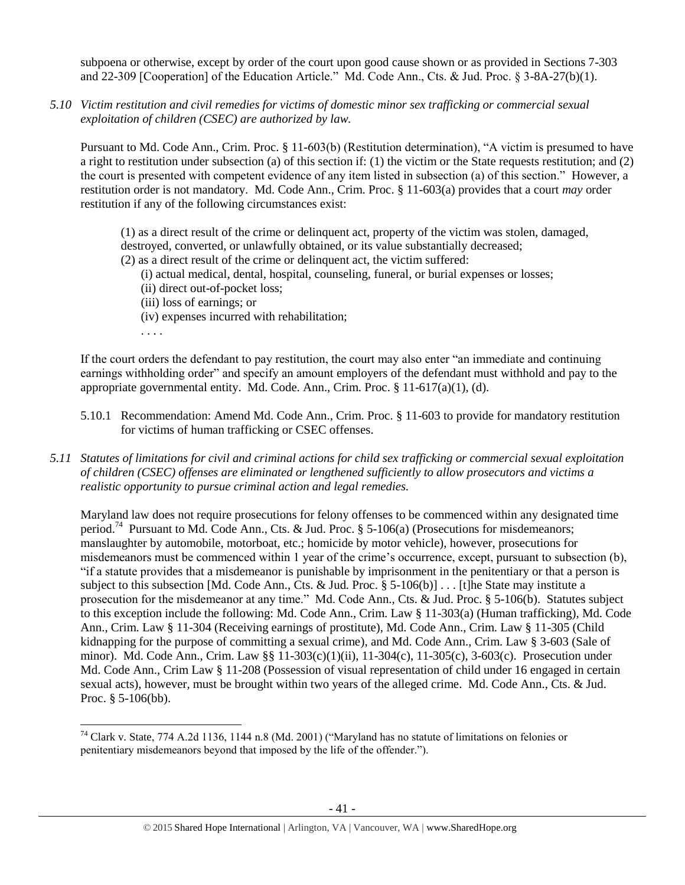subpoena or otherwise, except by order of the court upon good cause shown or as provided in Sections 7-303 and 22-309 [Cooperation] of the Education Article." Md. Code Ann., Cts. & Jud. Proc. § 3-8A-27(b)(1).

*5.10 Victim restitution and civil remedies for victims of domestic minor sex trafficking or commercial sexual exploitation of children (CSEC) are authorized by law.*

Pursuant to Md. Code Ann., Crim. Proc. § 11-603(b) (Restitution determination), "A victim is presumed to have a right to restitution under subsection (a) of this section if: (1) the victim or the State requests restitution; and (2) the court is presented with competent evidence of any item listed in subsection (a) of this section." However, a restitution order is not mandatory. Md. Code Ann., Crim. Proc. § 11-603(a) provides that a court *may* order restitution if any of the following circumstances exist:

(1) as a direct result of the crime or delinquent act, property of the victim was stolen, damaged, destroyed, converted, or unlawfully obtained, or its value substantially decreased;

- (2) as a direct result of the crime or delinquent act, the victim suffered:
	- (i) actual medical, dental, hospital, counseling, funeral, or burial expenses or losses;
	- (ii) direct out-of-pocket loss;
	- (iii) loss of earnings; or
	- (iv) expenses incurred with rehabilitation;
	- . . . .

l

If the court orders the defendant to pay restitution, the court may also enter "an immediate and continuing earnings withholding order" and specify an amount employers of the defendant must withhold and pay to the appropriate governmental entity. Md. Code. Ann., Crim. Proc. § 11-617(a)(1), (d).

- 5.10.1 Recommendation: Amend Md. Code Ann., Crim. Proc. § 11-603 to provide for mandatory restitution for victims of human trafficking or CSEC offenses.
- *5.11 Statutes of limitations for civil and criminal actions for child sex trafficking or commercial sexual exploitation of children (CSEC) offenses are eliminated or lengthened sufficiently to allow prosecutors and victims a realistic opportunity to pursue criminal action and legal remedies.*

Maryland law does not require prosecutions for felony offenses to be commenced within any designated time period.<sup>74</sup> Pursuant to Md. Code Ann., Cts. & Jud. Proc. § 5-106(a) (Prosecutions for misdemeanors; manslaughter by automobile, motorboat, etc.; homicide by motor vehicle), however, prosecutions for misdemeanors must be commenced within 1 year of the crime's occurrence, except, pursuant to subsection (b), "if a statute provides that a misdemeanor is punishable by imprisonment in the penitentiary or that a person is subject to this subsection [Md. Code Ann., Cts. & Jud. Proc. § 5-106(b)]... [t]he State may institute a prosecution for the misdemeanor at any time." Md. Code Ann., Cts. & Jud. Proc. § 5-106(b). Statutes subject to this exception include the following: Md. Code Ann., Crim. Law § 11-303(a) (Human trafficking), Md. Code Ann., Crim. Law § 11-304 (Receiving earnings of prostitute), Md. Code Ann., Crim. Law § 11-305 (Child kidnapping for the purpose of committing a sexual crime), and Md. Code Ann., Crim. Law § 3-603 (Sale of minor). Md. Code Ann., Crim. Law §§ 11-303(c)(1)(ii), 11-304(c), 11-305(c), 3-603(c). Prosecution under Md. Code Ann., Crim Law § 11-208 (Possession of visual representation of child under 16 engaged in certain sexual acts), however, must be brought within two years of the alleged crime. Md. Code Ann., Cts. & Jud. Proc. § 5-106(bb).

<sup>&</sup>lt;sup>74</sup> Clark v. State, 774 A.2d 1136, 1144 n.8 (Md. 2001) ("Maryland has no statute of limitations on felonies or penitentiary misdemeanors beyond that imposed by the life of the offender.").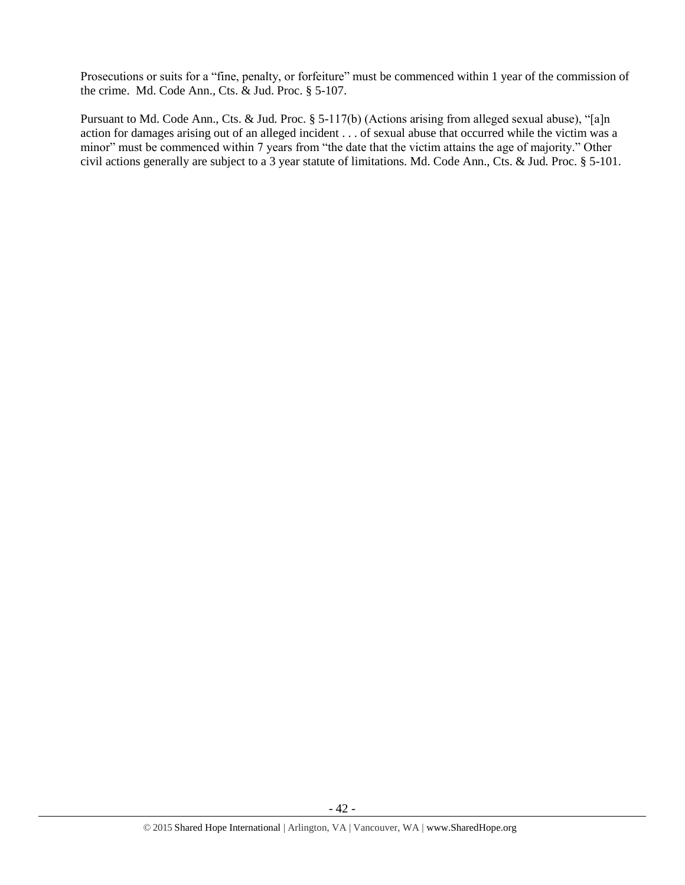Prosecutions or suits for a "fine, penalty, or forfeiture" must be commenced within 1 year of the commission of the crime. Md. Code Ann., Cts. & Jud. Proc. § 5-107.

Pursuant to Md. Code Ann., Cts. & Jud. Proc. § 5-117(b) (Actions arising from alleged sexual abuse), "[a]n action for damages arising out of an alleged incident . . . of sexual abuse that occurred while the victim was a minor" must be commenced within 7 years from "the date that the victim attains the age of majority." Other civil actions generally are subject to a 3 year statute of limitations. Md. Code Ann., Cts. & Jud. Proc. § 5-101.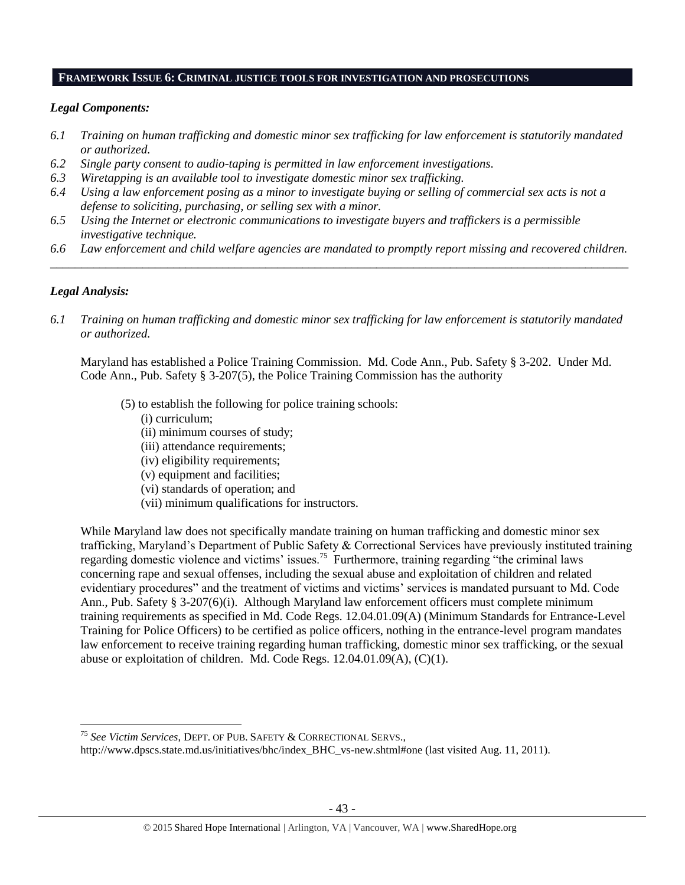#### **FRAMEWORK ISSUE 6: CRIMINAL JUSTICE TOOLS FOR INVESTIGATION AND PROSECUTIONS**

# *Legal Components:*

- *6.1 Training on human trafficking and domestic minor sex trafficking for law enforcement is statutorily mandated or authorized.*
- *6.2 Single party consent to audio-taping is permitted in law enforcement investigations.*
- *6.3 Wiretapping is an available tool to investigate domestic minor sex trafficking.*
- *6.4 Using a law enforcement posing as a minor to investigate buying or selling of commercial sex acts is not a defense to soliciting, purchasing, or selling sex with a minor.*
- *6.5 Using the Internet or electronic communications to investigate buyers and traffickers is a permissible investigative technique.*
- *6.6 Law enforcement and child welfare agencies are mandated to promptly report missing and recovered children. \_\_\_\_\_\_\_\_\_\_\_\_\_\_\_\_\_\_\_\_\_\_\_\_\_\_\_\_\_\_\_\_\_\_\_\_\_\_\_\_\_\_\_\_\_\_\_\_\_\_\_\_\_\_\_\_\_\_\_\_\_\_\_\_\_\_\_\_\_\_\_\_\_\_\_\_\_\_\_\_\_\_\_\_\_\_\_\_\_\_\_\_\_\_*

# *Legal Analysis:*

l

*6.1 Training on human trafficking and domestic minor sex trafficking for law enforcement is statutorily mandated or authorized.*

Maryland has established a Police Training Commission. Md. Code Ann., Pub. Safety § 3-202. Under Md. Code Ann., Pub. Safety § 3-207(5), the Police Training Commission has the authority

- (5) to establish the following for police training schools:
	- (i) curriculum;
	- (ii) minimum courses of study;
	- (iii) attendance requirements;
	- (iv) eligibility requirements;
	- (v) equipment and facilities;
	- (vi) standards of operation; and
	- (vii) minimum qualifications for instructors.

While Maryland law does not specifically mandate training on human trafficking and domestic minor sex trafficking, Maryland's Department of Public Safety & Correctional Services have previously instituted training regarding domestic violence and victims' issues.<sup>75</sup> Furthermore, training regarding "the criminal laws concerning rape and sexual offenses, including the sexual abuse and exploitation of children and related evidentiary procedures" and the treatment of victims and victims' services is mandated pursuant to Md. Code Ann., Pub. Safety § 3-207(6)(i). Although Maryland law enforcement officers must complete minimum training requirements as specified in Md. Code Regs. 12.04.01.09(A) (Minimum Standards for Entrance-Level Training for Police Officers) to be certified as police officers, nothing in the entrance-level program mandates law enforcement to receive training regarding human trafficking, domestic minor sex trafficking, or the sexual abuse or exploitation of children. Md. Code Regs. 12.04.01.09(A), (C)(1).

<sup>75</sup> *See Victim Services*, DEPT. OF PUB. SAFETY & CORRECTIONAL SERVS.,

http://www.dpscs.state.md.us/initiatives/bhc/index\_BHC\_vs-new.shtml#one (last visited Aug. 11, 2011).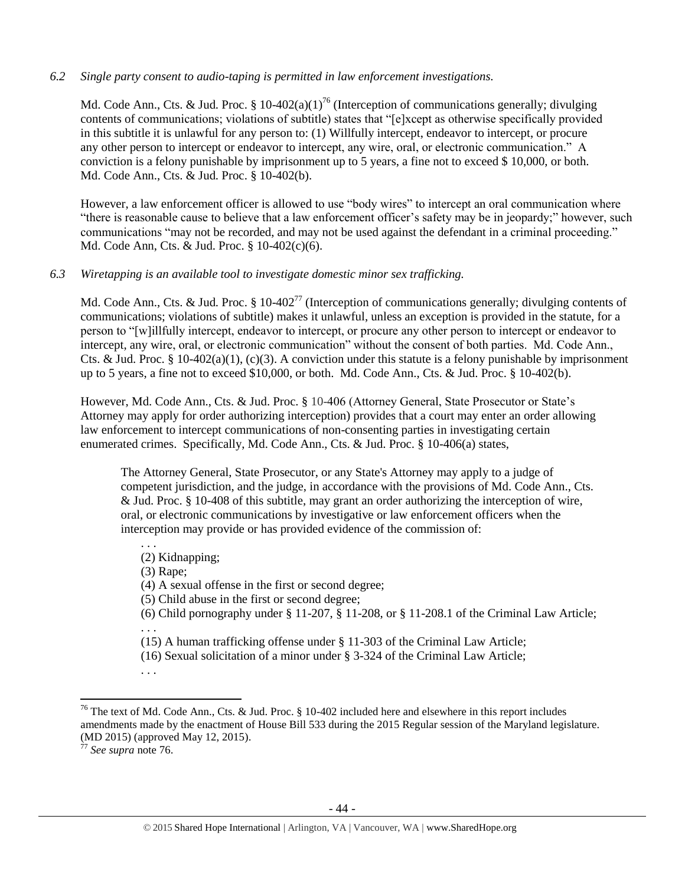# *6.2 Single party consent to audio-taping is permitted in law enforcement investigations.*

<span id="page-43-0"></span>Md. Code Ann., Cts. & Jud. Proc. § 10-402(a)(1)<sup>76</sup> (Interception of communications generally; divulging contents of communications; violations of subtitle) states that "[e]xcept as otherwise specifically provided in this subtitle it is unlawful for any person to: (1) Willfully intercept, endeavor to intercept, or procure any other person to intercept or endeavor to intercept, any wire, oral, or electronic communication." A conviction is a felony punishable by imprisonment up to 5 years, a fine not to exceed \$ 10,000, or both. Md. Code Ann., Cts. & Jud. Proc. § 10-402(b).

However, a law enforcement officer is allowed to use "body wires" to intercept an oral communication where "there is reasonable cause to believe that a law enforcement officer's safety may be in jeopardy;" however, such communications "may not be recorded, and may not be used against the defendant in a criminal proceeding." Md. Code Ann, Cts. & Jud. Proc. § 10-402(c)(6).

# *6.3 Wiretapping is an available tool to investigate domestic minor sex trafficking.*

Md. Code Ann., Cts. & Jud. Proc. § 10-402<sup>77</sup> (Interception of communications generally; divulging contents of communications; violations of subtitle) makes it unlawful, unless an exception is provided in the statute, for a person to "[w]illfully intercept, endeavor to intercept, or procure any other person to intercept or endeavor to intercept, any wire, oral, or electronic communication" without the consent of both parties. Md. Code Ann., Cts. & Jud. Proc. § 10-402(a)(1), (c)(3). A conviction under this statute is a felony punishable by imprisonment up to 5 years, a fine not to exceed \$10,000, or both. Md. Code Ann., Cts. & Jud. Proc. § 10-402(b).

However, Md. Code Ann., Cts. & Jud. Proc. § 10-406 (Attorney General, State Prosecutor or State's Attorney may apply for order authorizing interception) provides that a court may enter an order allowing law enforcement to intercept communications of non-consenting parties in investigating certain enumerated crimes. Specifically, Md. Code Ann., Cts. & Jud. Proc. § 10-406(a) states,

The Attorney General, State Prosecutor, or any State's Attorney may apply to a judge of competent jurisdiction, and the judge, in accordance with the provisions of Md. Code Ann., Cts. & Jud. Proc. § 10-408 of this subtitle, may grant an order authorizing the interception of wire, oral, or electronic communications by investigative or law enforcement officers when the interception may provide or has provided evidence of the commission of:

- (2) Kidnapping;
- (3) Rape;

. . .

(4) A sexual offense in the first or second degree;

(5) Child abuse in the first or second degree;

(6) Child pornography under  $\S 11-207$ ,  $\S 11-208$ , or  $\S 11-208$ . 1 of the Criminal Law Article; . . .

(15) A human trafficking offense under § 11-303 of the Criminal Law Article;

 $\overline{a}$ 

<sup>(16)</sup> Sexual solicitation of a minor under § 3-324 of the Criminal Law Article;

<sup>. . .</sup>

<sup>&</sup>lt;sup>76</sup> The text of Md. Code Ann., Cts. & Jud. Proc. § 10-402 included here and elsewhere in this report includes amendments made by the enactment of House Bill 533 during the 2015 Regular session of the Maryland legislature. (MD 2015) (approved May 12, 2015).

<sup>77</sup> *See supra* note [76.](#page-43-0)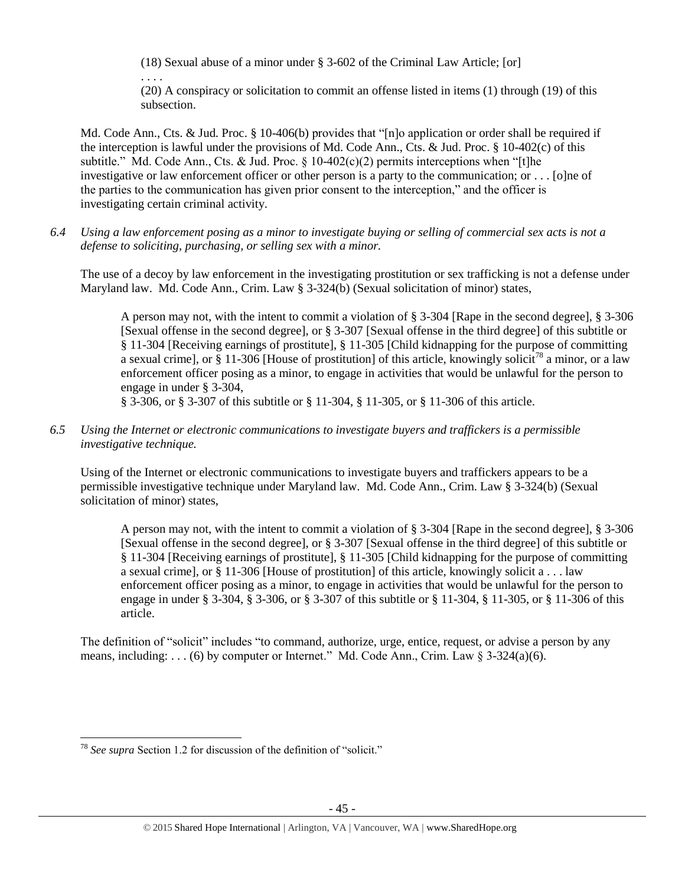(18) Sexual abuse of a minor under § 3-602 of the Criminal Law Article; [or]

. . . .

(20) A conspiracy or solicitation to commit an offense listed in items (1) through (19) of this subsection.

Md. Code Ann., Cts. & Jud. Proc. § 10-406(b) provides that "[n]o application or order shall be required if the interception is lawful under the provisions of Md. Code Ann., Cts. & Jud. Proc. § 10-402(c) of this subtitle." Md. Code Ann., Cts. & Jud. Proc.  $\S$  10-402(c)(2) permits interceptions when "[t]he investigative or law enforcement officer or other person is a party to the communication; or . . . [o]ne of the parties to the communication has given prior consent to the interception," and the officer is investigating certain criminal activity.

*6.4 Using a law enforcement posing as a minor to investigate buying or selling of commercial sex acts is not a defense to soliciting, purchasing, or selling sex with a minor.*

The use of a decoy by law enforcement in the investigating prostitution or sex trafficking is not a defense under Maryland law. Md. Code Ann., Crim. Law § 3-324(b) (Sexual solicitation of minor) states,

A person may not, with the intent to commit a violation of § 3-304 [Rape in the second degree], § 3-306 [Sexual offense in the second degree], or § 3-307 [Sexual offense in the third degree] of this subtitle or § 11-304 [Receiving earnings of prostitute], § 11-305 [Child kidnapping for the purpose of committing a sexual crime], or § 11-306 [House of prostitution] of this article, knowingly solicit<sup>78</sup> a minor, or a law enforcement officer posing as a minor, to engage in activities that would be unlawful for the person to engage in under § 3-304,

§ 3-306, or § 3-307 of this subtitle or § 11-304, § 11-305, or § 11-306 of this article.

*6.5 Using the Internet or electronic communications to investigate buyers and traffickers is a permissible investigative technique.*

Using of the Internet or electronic communications to investigate buyers and traffickers appears to be a permissible investigative technique under Maryland law. Md. Code Ann., Crim. Law § 3-324(b) (Sexual solicitation of minor) states,

A person may not, with the intent to commit a violation of § 3-304 [Rape in the second degree], § 3-306 [Sexual offense in the second degree], or § 3-307 [Sexual offense in the third degree] of this subtitle or § 11-304 [Receiving earnings of prostitute], § 11-305 [Child kidnapping for the purpose of committing a sexual crime], or § 11-306 [House of prostitution] of this article, knowingly solicit a . . . law enforcement officer posing as a minor, to engage in activities that would be unlawful for the person to engage in under § 3-304, § 3-306, or § 3-307 of this subtitle or § 11-304, § 11-305, or § 11-306 of this article.

The definition of "solicit" includes "to command, authorize, urge, entice, request, or advise a person by any means, including: . . . (6) by computer or Internet." Md. Code Ann., Crim. Law  $\S 3-324(a)(6)$ .

 $\overline{a}$ <sup>78</sup> *See supra* Section 1.2 for discussion of the definition of "solicit."